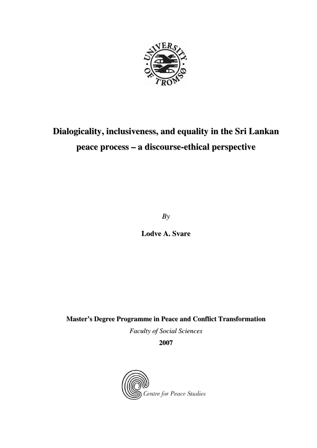

# **Dialogicality, inclusiveness, and equality in the Sri Lankan peace process – a discourse-ethical perspective**

*By*

**Lodve A. Svare**

# **Master's Degree Programme in Peace and Conflict Transformation**

*Faculty of Social Sciences*

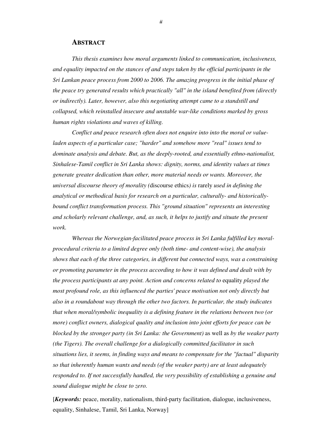# **ABSTRACT**

 *This thesis examines how moral arguments linked to communication, inclusiveness, and equality impacted on the stances of and steps taken by the official participants in the Sri Lankan peace process from 2000 to 2006. The amazing progress in the initial phase of the peace try generated results which practically "all" in the island benefited from (directly or indirectly). Later, however, also this negotiating attempt came to a standstill and collapsed, which reinstalled insecure and unstable war-like conditions marked by gross human rights violations and waves of killing.* 

 *Conflict and peace research often does not enquire into into the moral or valueladen aspects of a particular case; "harder" and somehow more "real" issues tend to dominate analysis and debate. But, as the deeply-rooted, and essentially ethno-nationalist, Sinhalese-Tamil conflict in Sri Lanka shows: dignity, norms, and identity values at times generate greater dedication than other, more material needs or wants. Moreover, the universal discourse theory of morality (*discourse ethics*) is* rarely *used in defining the analytical or methodical basis for research on a particular, culturally- and historicallybound conflict transformation process. This "ground situation" represents an interesting and scholarly relevant challenge, and, as such, it helps to justify and situate the present work.* 

 *Whereas the Norwegian-facilitated peace process in Sri Lanka fulfilled key moralprocedural criteria to a limited degree only (both time- and content-wise), the analysis shows that each of the three categories, in different but connected ways, was a constraining or promoting parameter in the process according to how it was defined and dealt with by the process participants at any point. Action and concerns related to equality played the most profound role, as this influenced the parties' peace motivation not only directly but also in a roundabout way through the other two factors. In particular, the study indicates that when moral/symbolic inequality is a defining feature in the relations between two (or more) conflict owners, dialogical quality and inclusion into joint efforts for peace can be blocked by the stronger party (in Sri Lanka: the Government)* as well as *by the weaker party (the Tigers). The overall challenge for a dialogically committed facilitator in such situations lies, it seems, in finding ways and means to compensate for the "factual" disparity so that inherently human wants and needs (of the weaker party) are at least adequately responded to. If not successfully handled, the very possibility of establishing a genuine and sound dialogue might be close to zero.* 

[*Keywords:* peace, morality, nationalism, third-party facilitation, dialogue, inclusiveness, equality, Sinhalese, Tamil, Sri Lanka, Norway]

*ii*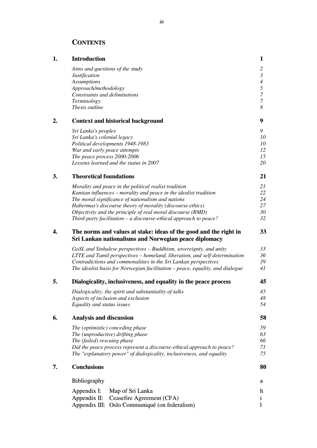# **CONTENTS**

| <b>Introduction</b>                                                                                                        | 1                                                                                                                                                                                                                                                                                                                                                                                                                                                                                                                                                                       |
|----------------------------------------------------------------------------------------------------------------------------|-------------------------------------------------------------------------------------------------------------------------------------------------------------------------------------------------------------------------------------------------------------------------------------------------------------------------------------------------------------------------------------------------------------------------------------------------------------------------------------------------------------------------------------------------------------------------|
|                                                                                                                            | $\overline{c}$                                                                                                                                                                                                                                                                                                                                                                                                                                                                                                                                                          |
| <b>Justification</b>                                                                                                       | $\mathfrak{Z}$                                                                                                                                                                                                                                                                                                                                                                                                                                                                                                                                                          |
| <b>Assumptions</b>                                                                                                         | $\overline{4}$                                                                                                                                                                                                                                                                                                                                                                                                                                                                                                                                                          |
| Approach/methodology                                                                                                       | 5                                                                                                                                                                                                                                                                                                                                                                                                                                                                                                                                                                       |
| Constraints and delimitations                                                                                              | $\overline{7}$                                                                                                                                                                                                                                                                                                                                                                                                                                                                                                                                                          |
| Terminology                                                                                                                | $\boldsymbol{7}$                                                                                                                                                                                                                                                                                                                                                                                                                                                                                                                                                        |
|                                                                                                                            | 8                                                                                                                                                                                                                                                                                                                                                                                                                                                                                                                                                                       |
| <b>Context and historical background</b>                                                                                   | 9                                                                                                                                                                                                                                                                                                                                                                                                                                                                                                                                                                       |
|                                                                                                                            | 9                                                                                                                                                                                                                                                                                                                                                                                                                                                                                                                                                                       |
| Sri Lanka's colonial legacy                                                                                                | 10                                                                                                                                                                                                                                                                                                                                                                                                                                                                                                                                                                      |
| Political developments 1948-1983                                                                                           | 10                                                                                                                                                                                                                                                                                                                                                                                                                                                                                                                                                                      |
| War and early peace attempts                                                                                               | 12                                                                                                                                                                                                                                                                                                                                                                                                                                                                                                                                                                      |
| The peace process 2000-2006                                                                                                | 15                                                                                                                                                                                                                                                                                                                                                                                                                                                                                                                                                                      |
|                                                                                                                            | 20                                                                                                                                                                                                                                                                                                                                                                                                                                                                                                                                                                      |
| <b>Theoretical foundations</b>                                                                                             | 21                                                                                                                                                                                                                                                                                                                                                                                                                                                                                                                                                                      |
| Morality and peace in the political realist tradition                                                                      | 21                                                                                                                                                                                                                                                                                                                                                                                                                                                                                                                                                                      |
| Kantian influences – morality and peace in the idealist tradition                                                          | 22                                                                                                                                                                                                                                                                                                                                                                                                                                                                                                                                                                      |
| The moral significance of nationalism and nations                                                                          | 24                                                                                                                                                                                                                                                                                                                                                                                                                                                                                                                                                                      |
| Habermas's discourse theory of morality (discourse ethics)                                                                 | 27                                                                                                                                                                                                                                                                                                                                                                                                                                                                                                                                                                      |
|                                                                                                                            | 30                                                                                                                                                                                                                                                                                                                                                                                                                                                                                                                                                                      |
|                                                                                                                            | 32                                                                                                                                                                                                                                                                                                                                                                                                                                                                                                                                                                      |
| The norms and values at stake: ideas of the good and the right in<br>Sri Lankan nationalisms and Norwegian peace diplomacy | 33                                                                                                                                                                                                                                                                                                                                                                                                                                                                                                                                                                      |
| GoSL and Sinhalese perspectives - Buddhism, sovereignty, and unity                                                         | 33                                                                                                                                                                                                                                                                                                                                                                                                                                                                                                                                                                      |
| LTTE and Tamil perspectives - homeland, liberation, and self-determination                                                 | 36                                                                                                                                                                                                                                                                                                                                                                                                                                                                                                                                                                      |
|                                                                                                                            | 39                                                                                                                                                                                                                                                                                                                                                                                                                                                                                                                                                                      |
|                                                                                                                            | 41                                                                                                                                                                                                                                                                                                                                                                                                                                                                                                                                                                      |
| Dialogicality, inclusiveness, and equality in the peace process                                                            | 45                                                                                                                                                                                                                                                                                                                                                                                                                                                                                                                                                                      |
| Dialogicality; the spirit and substantiality of talks                                                                      | 45                                                                                                                                                                                                                                                                                                                                                                                                                                                                                                                                                                      |
| Aspects of inclusion and exclusion                                                                                         | 48                                                                                                                                                                                                                                                                                                                                                                                                                                                                                                                                                                      |
| Equality and status issues                                                                                                 | 54                                                                                                                                                                                                                                                                                                                                                                                                                                                                                                                                                                      |
| <b>Analysis and discussion</b>                                                                                             | 58                                                                                                                                                                                                                                                                                                                                                                                                                                                                                                                                                                      |
|                                                                                                                            | 59                                                                                                                                                                                                                                                                                                                                                                                                                                                                                                                                                                      |
|                                                                                                                            | 63                                                                                                                                                                                                                                                                                                                                                                                                                                                                                                                                                                      |
|                                                                                                                            | 66                                                                                                                                                                                                                                                                                                                                                                                                                                                                                                                                                                      |
| Did the peace process represent a discourse-ethical approach to peace?                                                     | 71                                                                                                                                                                                                                                                                                                                                                                                                                                                                                                                                                                      |
| The "explanatory power" of dialogicality, inclusiveness, and equality                                                      | 75                                                                                                                                                                                                                                                                                                                                                                                                                                                                                                                                                                      |
| <b>Conclusions</b>                                                                                                         | 80                                                                                                                                                                                                                                                                                                                                                                                                                                                                                                                                                                      |
| <b>Bibliography</b>                                                                                                        | a                                                                                                                                                                                                                                                                                                                                                                                                                                                                                                                                                                       |
| Appendix I:<br>Map of Sri Lanka                                                                                            | h                                                                                                                                                                                                                                                                                                                                                                                                                                                                                                                                                                       |
| Appendix II:<br>Ceasefire Agreement (CFA)                                                                                  | $\mathbf{1}$                                                                                                                                                                                                                                                                                                                                                                                                                                                                                                                                                            |
|                                                                                                                            | 1                                                                                                                                                                                                                                                                                                                                                                                                                                                                                                                                                                       |
|                                                                                                                            | Aims and questions of the study<br>Thesis outline<br>Sri Lanka's peoples<br>Lessons learned and the status in 2007<br>Objectivity and the principle of real moral discourse (RMD)<br>Third-party facilitation $-a$ discourse-ethical approach to peace?<br>Contradictions and commonalities in the Sri Lankan perspectives<br>The idealist basis for Norwegian facilitation – peace, equality, and dialogue<br>The (optimistic) conceding phase<br>The (unproductive) drifting phase<br>The (failed) rescuing phase<br>Oslo Communiqué (on federalism)<br>Appendix III: |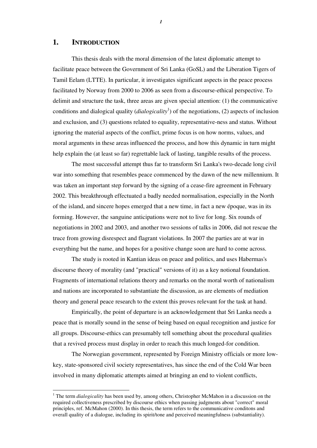# **1. INTRODUCTION**

This thesis deals with the moral dimension of the latest diplomatic attempt to facilitate peace between the Government of Sri Lanka (GoSL) and the Liberation Tigers of Tamil Eelam (LTTE). In particular, it investigates significant aspects in the peace process facilitated by Norway from 2000 to 2006 as seen from a discourse-ethical perspective. To delimit and structure the task, three areas are given special attention: (1) the communicative conditions and dialogical quality  $(dialogicality^1)$  of the negotiations, (2) aspects of inclusion and exclusion, and (3) questions related to equality, representative-ness and status. Without ignoring the material aspects of the conflict, prime focus is on how norms, values, and moral arguments in these areas influenced the process, and how this dynamic in turn might help explain the (at least so far) regrettable lack of lasting, tangible results of the process.

The most successful attempt thus far to transform Sri Lanka's two-decade long civil war into something that resembles peace commenced by the dawn of the new millennium. It was taken an important step forward by the signing of a cease-fire agreement in February 2002. This breakthrough effectuated a badly needed normalisation, especially in the North of the island, and sincere hopes emerged that a new time, in fact a new époque, was in its forming. However, the sanguine anticipations were not to live for long. Six rounds of negotiations in 2002 and 2003, and another two sessions of talks in 2006, did not rescue the truce from growing disrespect and flagrant violations. In 2007 the parties are at war in everything but the name, and hopes for a positive change soon are hard to come across.

The study is rooted in Kantian ideas on peace and politics, and uses Habermas's discourse theory of morality (and "practical" versions of it) as a key notional foundation. Fragments of international relations theory and remarks on the moral worth of nationalism and nations are incorporated to substantiate the discussion, as are elements of mediation theory and general peace research to the extent this proves relevant for the task at hand.

Empirically, the point of departure is an acknowledgement that Sri Lanka needs a peace that is morally sound in the sense of being based on equal recognition and justice for all groups. Discourse-ethics can presumably tell something about the procedural qualities that a revived process must display in order to reach this much longed-for condition.

The Norwegian government, represented by Foreign Ministry officials or more lowkey, state-sponsored civil society representatives, has since the end of the Cold War been involved in many diplomatic attempts aimed at bringing an end to violent conflicts,

<sup>&</sup>lt;sup>1</sup> The term *dialogicality* has been used by, among others, Christopher McMahon in a discussion on the required collectiveness prescribed by discourse ethics when passing judgments about "correct" moral principles, ref. McMahon (2000). In this thesis, the term refers to the communicative conditons and overall quality of a dialogue, including its spirit/tone and perceived meaningfulness (substantiality).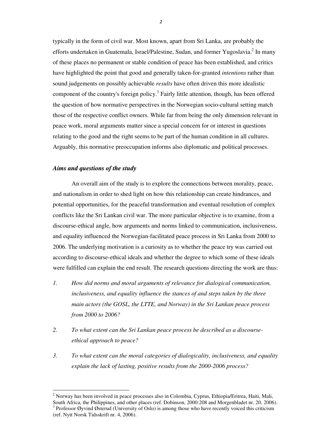typically in the form of civil war. Most known, apart from Sri Lanka, are probably the efforts undertaken in Guatemala, Israel/Palestine, Sudan, and former Yugoslavia.<sup>2</sup> In many of these places no permanent or stable condition of peace has been established, and critics have highlighted the point that good and generally taken-for-granted *intentions* rather than sound judgements on possibly achievable *results* have often driven this more idealistic component of the country's foreign policy.<sup>3</sup> Fairly little attention, though, has been offered the question of how normative perspectives in the Norwegian socio-cultural setting match those of the respective conflict owners. While far from being the only dimension relevant in peace work, moral arguments matter since a special concern for or interest in questions relating to the good and the right seems to be part of the human condition in all cultures. Arguably, this normative preoccupation informs also diplomatic and political processes.

# *Aims and questions of the study*

 $\overline{a}$ 

An overall aim of the study is to explore the connections between morality, peace, and nationalism in order to shed light on how this relationship can create hindrances, and potential opportunities, for the peaceful transformation and eventual resolution of complex conflicts like the Sri Lankan civil war. The more particular objective is to examine, from a discourse-ethical angle, how arguments and norms linked to communication, inclusiveness, and equality influenced the Norwegian-facilitated peace process in Sri Lanka from 2000 to 2006. The underlying motivation is a curiosity as to whether the peace try was carried out according to discourse-ethical ideals and whether the degree to which some of these ideals were fulfilled can explain the end result. The research questions directing the work are thus:

- *1. How did norms and moral arguments of relevance for dialogical communication, inclusiveness, and equality influence the stances of and steps taken by the three main actors (the GOSL, the LTTE, and Norway) in the Sri Lankan peace process from 2000 to 2006?*
- *2. To what extent can the Sri Lankan peace process be described as a discourseethical approach to peace?*
- *3. To what extent can the moral categories of dialogicality, inclusiveness, and equality explain the lack of lasting, positive results from the 2000-2006 process?*

<sup>&</sup>lt;sup>2</sup> Norway has been involved in peace processes also in Colombia, Cyprus, Ethiopia/Eritrea, Haiti, Mali, South Africa, the Philippines, and other places (ref. Dobinson, 2000:208 and Morgenbladet nr. 20, 2006). <sup>3</sup> Professor Øyvind Østerud (University of Oslo) is among those who have recently voiced this criticism (ref. Nytt Norsk Tidsskrift nr. 4, 2006).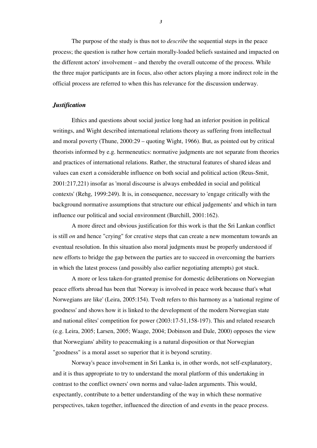The purpose of the study is thus not to *describe* the sequential steps in the peace process; the question is rather how certain morally-loaded beliefs sustained and impacted on the different actors' involvement – and thereby the overall outcome of the process. While the three major participants are in focus, also other actors playing a more indirect role in the official process are referred to when this has relevance for the discussion underway.

# *Justification*

Ethics and questions about social justice long had an inferior position in political writings, and Wight described international relations theory as suffering from intellectual and moral poverty (Thune, 2000:29 – quoting Wight, 1966). But, as pointed out by critical theorists informed by e.g. hermeneutics: normative judgments are not separate from theories and practices of international relations. Rather, the structural features of shared ideas and values can exert a considerable influence on both social and political action (Reus-Smit, 2001:217,221) insofar as 'moral discourse is always embedded in social and political contexts' (Rehg, 1999:249). It is, in consequence, necessary to 'engage critically with the background normative assumptions that structure our ethical judgements' and which in turn influence our political and social environment (Burchill, 2001:162).

A more direct and obvious justification for this work is that the Sri Lankan conflict is still *on* and hence "crying" for creative steps that can create a new momentum towards an eventual resolution. In this situation also moral judgments must be properly understood if new efforts to bridge the gap between the parties are to succeed in overcoming the barriers in which the latest process (and possibly also earlier negotiating attempts) got stuck.

A more or less taken-for-granted premise for domestic deliberations on Norwegian peace efforts abroad has been that 'Norway is involved in peace work because that's what Norwegians are like' (Leira, 2005:154). Tvedt refers to this harmony as a 'national regime of goodness' and shows how it is linked to the development of the modern Norwegian state and national elites' competition for power (2003:17-51,158-197). This and related research (e.g. Leira, 2005; Larsen, 2005; Waage, 2004; Dobinson and Dale, 2000) opposes the view that Norwegians' ability to peacemaking is a natural disposition or that Norwegian "goodness" is a moral asset so superior that it is beyond scrutiny.

Norway's peace involvement in Sri Lanka is, in other words, not self-explanatory, and it is thus appropriate to try to understand the moral platform of this undertaking in contrast to the conflict owners' own norms and value-laden arguments. This would, expectantly, contribute to a better understanding of the way in which these normative perspectives, taken together, influenced the direction of and events in the peace process.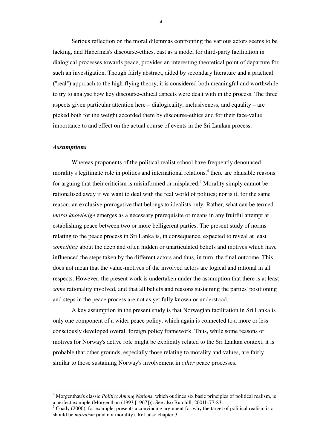Serious reflection on the moral dilemmas confronting the various actors seems to be lacking, and Habermas's discourse-ethics, cast as a model for third-party facilitation in dialogical processes towards peace, provides an interesting theoretical point of departure for such an investigation. Though fairly abstract, aided by secondary literature and a practical ("real") approach to the high-flying theory, it is considered both meaningful and worthwhile to try to analyse how key discourse-ethical aspects were dealt with in the process. The three aspects given particular attention here – dialogicality, inclusiveness, and equality – are picked both for the weight accorded them by discourse-ethics and for their face-value importance to and effect on the actual course of events in the Sri Lankan process.

#### *Assumptions*

 $\overline{a}$ 

Whereas proponents of the political realist school have frequently denounced morality's legitimate role in politics and international relations,<sup>4</sup> there are plausible reasons for arguing that their criticism is misinformed or misplaced.<sup>5</sup> Morality simply cannot be rationalised away if we want to deal with the real world of politics; nor is it, for the same reason, an exclusive prerogative that belongs to idealists only. Rather, what can be termed *moral knowledge* emerges as a necessary prerequisite or means in any fruitful attempt at establishing peace between two or more belligerent parties. The present study of norms relating to the peace process in Sri Lanka is, in consequence, expected to reveal at least *something* about the deep and often hidden or unarticulated beliefs and motives which have influenced the steps taken by the different actors and thus, in turn, the final outcome. This does not mean that the value-motives of the involved actors are logical and rational in all respects. However, the present work is undertaken under the assumption that there is at least *some* rationality involved, and that all beliefs and reasons sustaining the parties' positioning and steps in the peace process are not as yet fully known or understood.

A key assumption in the present study is that Norwegian facilitation in Sri Lanka is only one component of a wider peace policy, which again is connected to a more or less consciously developed overall foreign policy framework. Thus, while some reasons or motives for Norway's active role might be explicitly related to the Sri Lankan context, it is probable that other grounds, especially those relating to morality and values, are fairly similar to those sustaining Norway's involvement in *other* peace processes.

<sup>4</sup> Morgenthau's classic *Politics Among Nations*, which outlines six basic principles of political realism, is a perfect example (Morgenthau (1993 [1967])). See also Burchill, 2001b:77-83.

 $5 \text{ Coady } (2006)$ , for example, presents a convincing argument for why the target of political realism is or should be *moralism (*and not morality). Ref. also chapter 3.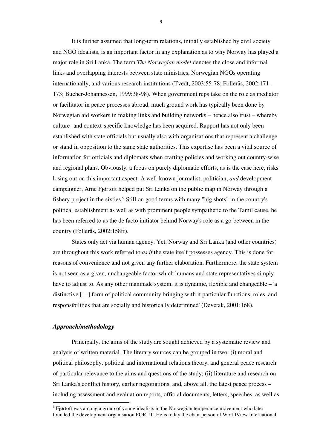It is further assumed that long-term relations, initially established by civil society and NGO idealists, is an important factor in any explanation as to why Norway has played a major role in Sri Lanka. The term *The Norwegian model* denotes the close and informal links and overlapping interests between state ministries, Norwegian NGOs operating internationally, and various research institutions (Tvedt, 2003:55-78; Follerås, 2002:171- 173; Bucher-Johannessen, 1999:38-98). When government reps take on the role as mediator or facilitator in peace processes abroad, much ground work has typically been done by Norwegian aid workers in making links and building networks – hence also trust – whereby culture- and context-specific knowledge has been acquired. Rapport has not only been established with state officials but usually also with organisations that represent a challenge or stand in opposition to the same state authorities. This expertise has been a vital source of information for officials and diplomats when crafting policies and working out country-wise and regional plans. Obviously, a focus on purely diplomatic efforts, as is the case here, risks losing out on this important aspect. A well-known journalist, politician, *and* development campaigner, Arne Fjørtoft helped put Sri Lanka on the public map in Norway through a fishery project in the sixties.<sup>6</sup> Still on good terms with many "big shots" in the country's political establishment as well as with prominent people sympathetic to the Tamil cause, he has been referred to as the de facto initiator behind Norway's role as a go-between in the country (Follerås, 2002:158ff).

States only act via human agency. Yet, Norway and Sri Lanka (and other countries) are throughout this work referred to *as if* the state itself possesses agency. This is done for reasons of convenience and not given any further elaboration. Furthermore, the state system is not seen as a given, unchangeable factor which humans and state representatives simply have to adjust to. As any other manmade system, it is dynamic, flexible and changeable – 'a distinctive […] form of political community bringing with it particular functions, roles, and responsibilities that are socially and historically determined' (Devetak, 2001:168).

# *Approach/methodology*

 $\overline{a}$ 

Principally, the aims of the study are sought achieved by a systematic review and analysis of written material. The literary sources can be grouped in two: (i) moral and political philosophy, political and international relations theory, and general peace research of particular relevance to the aims and questions of the study; (ii) literature and research on Sri Lanka's conflict history, earlier negotiations, and, above all, the latest peace process – including assessment and evaluation reports, official documents, letters, speeches, as well as

<sup>&</sup>lt;sup>6</sup> Fjørtoft was among a group of young idealists in the Norwegian temperance movement who later founded the development organisation FORUT. He is today the chair person of WorldView International.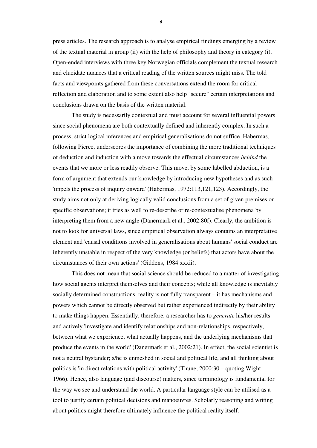press articles. The research approach is to analyse empirical findings emerging by a review of the textual material in group (ii) with the help of philosophy and theory in category (i). Open-ended interviews with three key Norwegian officials complement the textual research and elucidate nuances that a critical reading of the written sources might miss. The told facts and viewpoints gathered from these conversations extend the room for critical reflection and elaboration and to some extent also help "secure" certain interpretations and conclusions drawn on the basis of the written material.

The study is necessarily contextual and must account for several influential powers since social phenomena are both contextually defined and inherently complex. In such a process, strict logical inferences and empirical generalisations do not suffice. Habermas, following Pierce, underscores the importance of combining the more traditional techniques of deduction and induction with a move towards the effectual circumstances *behind* the events that we more or less readily observe. This move, by some labelled abduction, is a form of argument that extends our knowledge by introducing new hypotheses and as such 'impels the process of inquiry onward' (Habermas, 1972:113,121,123). Accordingly, the study aims not only at deriving logically valid conclusions from a set of given premises or specific observations; it tries as well to re-describe or re-contextualise phenomena by interpreting them from a new angle (Danermark et al., 2002:80f). Clearly, the ambition is not to look for universal laws, since empirical observation always contains an interpretative element and 'causal conditions involved in generalisations about humans' social conduct are inherently unstable in respect of the very knowledge (or beliefs) that actors have about the circumstances of their own actions' (Giddens, 1984:xxxii).

This does not mean that social science should be reduced to a matter of investigating how social agents interpret themselves and their concepts; while all knowledge is inevitably socially determined constructions, reality is not fully transparent – it has mechanisms and powers which cannot be directly observed but rather experienced indirectly by their ability to make things happen. Essentially, therefore, a researcher has to *generate* his/her results and actively 'investigate and identify relationships and non-relationships, respectively, between what we experience, what actually happens, and the underlying mechanisms that produce the events in the world' (Danermark et al., 2002:21). In effect, the social scientist is not a neutral bystander; s/he is enmeshed in social and political life, and all thinking about politics is 'in direct relations with political activity' (Thune, 2000:30 – quoting Wight, 1966). Hence, also language (and discourse) matters, since terminology is fundamental for the way we see and understand the world. A particular language style can be utilised as a tool to justify certain political decisions and manoeuvres. Scholarly reasoning and writing about politics might therefore ultimately influence the political reality itself.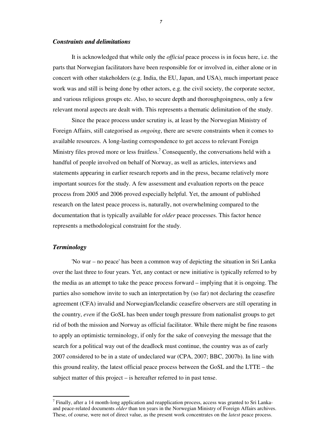# *Constraints and delimitations*

It is acknowledged that while only the *official* peace process is in focus here, i.e. the parts that Norwegian facilitators have been responsible for or involved in, either alone or in concert with other stakeholders (e.g. India, the EU, Japan, and USA), much important peace work was and still is being done by other actors, e.g. the civil society, the corporate sector, and various religious groups etc. Also, to secure depth and thoroughgoingness, only a few relevant moral aspects are dealt with. This represents a thematic delimitation of the study.

Since the peace process under scrutiny is, at least by the Norwegian Ministry of Foreign Affairs, still categorised as *ongoing*, there are severe constraints when it comes to available resources. A long-lasting correspondence to get access to relevant Foreign Ministry files proved more or less fruitless.<sup>7</sup> Consequently, the conversations held with a handful of people involved on behalf of Norway, as well as articles, interviews and statements appearing in earlier research reports and in the press, became relatively more important sources for the study. A few assessment and evaluation reports on the peace process from 2005 and 2006 proved especially helpful. Yet, the amount of published research on the latest peace process is, naturally, not overwhelming compared to the documentation that is typically available for *older* peace processes. This factor hence represents a methodological constraint for the study.

# *Terminology*

 $\overline{a}$ 

'No war – no peace' has been a common way of depicting the situation in Sri Lanka over the last three to four years. Yet, any contact or new initiative is typically referred to by the media as an attempt to take the peace process forward – implying that it is ongoing. The parties also somehow invite to such an interpretation by (so far) not declaring the ceasefire agreement (CFA) invalid and Norwegian/Icelandic ceasefire observers are still operating in the country, *even* if the GoSL has been under tough pressure from nationalist groups to get rid of both the mission and Norway as official facilitator. While there might be fine reasons to apply an optimistic terminology, if only for the sake of conveying the message that the search for a political way out of the deadlock must continue, the country was as of early 2007 considered to be in a state of undeclared war (CPA, 2007; BBC, 2007b). In line with this ground reality, the latest official peace process between the GoSL and the LTTE – the subject matter of this project – is hereafter referred to in past tense.

<sup>&</sup>lt;sup>7</sup> Finally, after a 14 month-long application and reapplication process, access was granted to Sri Lankaand peace-related documents *older* than ten years in the Norwegian Ministry of Foreign Affairs archives. These, of course, were not of direct value, as the present work concentrates on the *latest* peace process.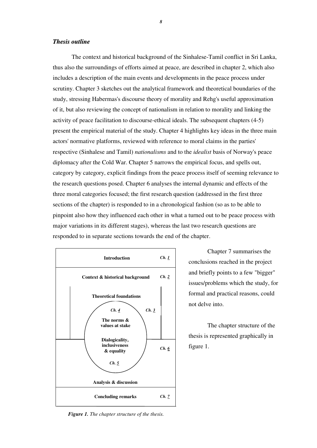# *Thesis outline*

The context and historical background of the Sinhalese-Tamil conflict in Sri Lanka, thus also the surroundings of efforts aimed at peace, are described in chapter 2, which also includes a description of the main events and developments in the peace process under scrutiny. Chapter 3 sketches out the analytical framework and theoretical boundaries of the study, stressing Habermas's discourse theory of morality and Rehg's useful approximation of it, but also reviewing the concept of nationalism in relation to morality and linking the activity of peace facilitation to discourse-ethical ideals. The subsequent chapters (4-5) present the empirical material of the study. Chapter 4 highlights key ideas in the three main actors' normative platforms, reviewed with reference to moral claims in the parties' respective (Sinhalese and Tamil) *nationalisms* and to the *idealist* basis of Norway's peace diplomacy after the Cold War. Chapter 5 narrows the empirical focus, and spells out, category by category, explicit findings from the peace process itself of seeming relevance to the research questions posed. Chapter 6 analyses the internal dynamic and effects of the three moral categories focused; the first research question (addressed in the first three sections of the chapter) is responded to in a chronological fashion (so as to be able to pinpoint also how they influenced each other in what a turned out to be peace process with major variations in its different stages), whereas the last two research questions are responded to in separate sections towards the end of the chapter.



Chapter 7 summarises the conclusions reached in the project and briefly points to a few "bigger" issues/problems which the study, for formal and practical reasons, could not delve into.

The chapter structure of the thesis is represented graphically in figure 1.

*8* 

*Figure 1. The chapter structure of the thesis.*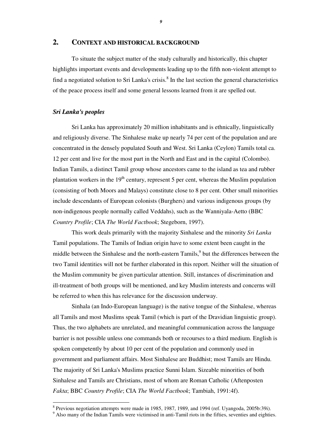# **2. CONTEXT AND HISTORICAL BACKGROUND**

To situate the subject matter of the study culturally and historically, this chapter highlights important events and developments leading up to the fifth non-violent attempt to find a negotiated solution to Sri Lanka's crisis.<sup>8</sup> In the last section the general characteristics of the peace process itself and some general lessons learned from it are spelled out.

### *Sri Lanka's peoples*

Sri Lanka has approximately 20 million inhabitants and is ethnically, linguistically and religiously diverse. The Sinhalese make up nearly 74 per cent of the population and are concentrated in the densely populated South and West. Sri Lanka (Ceylon) Tamils total ca. 12 per cent and live for the most part in the North and East and in the capital (Colombo). Indian Tamils, a distinct Tamil group whose ancestors came to the island as tea and rubber plantation workers in the  $19<sup>th</sup>$  century, represent 5 per cent, whereas the Muslim population (consisting of both Moors and Malays) constitute close to 8 per cent. Other small minorities include descendants of European colonists (Burghers) and various indigenous groups (by non-indigenous people normally called Veddahs), such as the Wanniyala-Aetto (BBC *Country Profile*; CIA *The World Factbook*; Stegeborn, 1997).

This work deals primarily with the majority Sinhalese and the minority *Sri Lanka* Tamil populations. The Tamils of Indian origin have to some extent been caught in the middle between the Sinhalese and the north-eastern Tamils,<sup>9</sup> but the differences between the two Tamil identities will not be further elaborated in this report. Neither will the situation of the Muslim community be given particular attention. Still, instances of discrimination and ill-treatment of both groups will be mentioned, and key Muslim interests and concerns will be referred to when this has relevance for the discussion underway.

Sinhala (an Indo-European language) is the native tongue of the Sinhalese, whereas all Tamils and most Muslims speak Tamil (which is part of the Dravidian linguistic group). Thus, the two alphabets are unrelated, and meaningful communication across the language barrier is not possible unless one commands both or recourses to a third medium. English is spoken competently by about 10 per cent of the population and commonly used in government and parliament affairs. Most Sinhalese are Buddhist; most Tamils are Hindu. The majority of Sri Lanka's Muslims practice Sunni Islam. Sizeable minorities of both Sinhalese and Tamils are Christians, most of whom are Roman Catholic (Aftenposten *Fakta*; BBC *Country Profile*; CIA *The World Factbook*; Tambiah, 1991:4f).

<sup>&</sup>lt;sup>8</sup> Previous negotiation attempts were made in 1985, 1987, 1989, and 1994 (ref. Uyangoda, 2005b:39i).

<sup>&</sup>lt;sup>9</sup> Also many of the Indian Tamils were victimised in anti-Tamil riots in the fifties, seventies and eighties.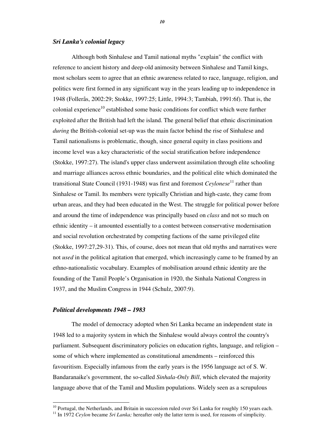### *Sri Lanka's colonial legacy*

Although both Sinhalese and Tamil national myths "explain" the conflict with reference to ancient history and deep-old animosity between Sinhalese and Tamil kings, most scholars seem to agree that an ethnic awareness related to race, language, religion, and politics were first formed in any significant way in the years leading up to independence in 1948 (Follerås, 2002:29; Stokke, 1997:25; Little, 1994:3; Tambiah, 1991:6f). That is, the colonial experience<sup>10</sup> established some basic conditions for conflict which were further exploited after the British had left the island. The general belief that ethnic discrimination *during* the British-colonial set-up was the main factor behind the rise of Sinhalese and Tamil nationalisms is problematic, though, since general equity in class positions and income level was a key characteristic of the social stratification before independence (Stokke, 1997:27). The island's upper class underwent assimilation through elite schooling and marriage alliances across ethnic boundaries, and the political elite which dominated the transitional State Council (1931-1948) was first and foremost *Ceylonese*<sup>11</sup> rather than Sinhalese or Tamil. Its members were typically Christian and high-caste, they came from urban areas, and they had been educated in the West. The struggle for political power before and around the time of independence was principally based on *class* and not so much on ethnic identity – it amounted essentially to a contest between conservative modernisation and social revolution orchestrated by competing factions of the same privileged elite (Stokke, 1997:27,29-31). This, of course, does not mean that old myths and narratives were not *used* in the political agitation that emerged, which increasingly came to be framed by an ethno-nationalistic vocabulary. Examples of mobilisation around ethnic identity are the founding of the Tamil People's Organisation in 1920, the Sinhala National Congress in 1937, and the Muslim Congress in 1944 (Schulz, 2007:9).

# *Political developments 1948 – 1983*

 $\overline{a}$ 

The model of democracy adopted when Sri Lanka became an independent state in 1948 led to a majority system in which the Sinhalese would always control the country's parliament. Subsequent discriminatory policies on education rights, language, and religion – some of which where implemented as constitutional amendments – reinforced this favouritism. Especially infamous from the early years is the 1956 language act of S. W. Bandaranaike's government, the so-called *Sinhala-Only Bill*, which elevated the majority language above that of the Tamil and Muslim populations. Widely seen as a scrupulous

<sup>&</sup>lt;sup>10</sup> Portugal, the Netherlands, and Britain in succession ruled over Sri Lanka for roughly 150 years each.

<sup>&</sup>lt;sup>11</sup> In 1972 *Ceylon* became *Sri Lanka*; hereafter only the latter term is used, for reasons of simplicity.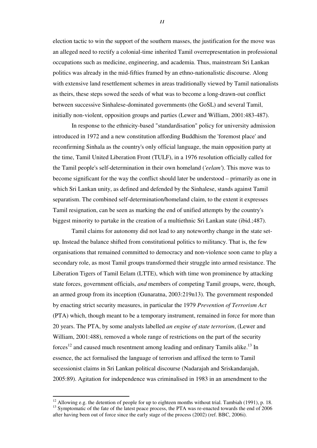election tactic to win the support of the southern masses, the justification for the move was an alleged need to rectify a colonial-time inherited Tamil overrepresentation in professional occupations such as medicine, engineering, and academia. Thus, mainstream Sri Lankan politics was already in the mid-fifties framed by an ethno-nationalistic discourse. Along with extensive land resettlement schemes in areas traditionally viewed by Tamil nationalists as theirs, these steps sowed the seeds of what was to become a long-drawn-out conflict between successive Sinhalese-dominated governments (the GoSL) and several Tamil, initially non-violent, opposition groups and parties (Lewer and William, 2001:483-487).

In response to the ethnicity-based "standardisation" policy for university admission introduced in 1972 and a new constitution affording Buddhism the 'foremost place' and reconfirming Sinhala as the country's only official language, the main opposition party at the time, Tamil United Liberation Front (TULF), in a 1976 resolution officially called for the Tamil people's self-determination in their own homeland (*'eelam'*). This move was to become significant for the way the conflict should later be understood – primarily as one in which Sri Lankan unity, as defined and defended by the Sinhalese, stands against Tamil separatism. The combined self-determination/homeland claim, to the extent it expresses Tamil resignation, can be seen as marking the end of unified attempts by the country's biggest minority to partake in the creation of a multiethnic Sri Lankan state (ibid.;487).

Tamil claims for autonomy did not lead to any noteworthy change in the state setup. Instead the balance shifted from constitutional politics to militancy. That is, the few organisations that remained committed to democracy and non-violence soon came to play a secondary role, as most Tamil groups transformed their struggle into armed resistance. The Liberation Tigers of Tamil Eelam (LTTE), which with time won prominence by attacking state forces, government officials, *and* members of competing Tamil groups, were, though, an armed group from its inception (Gunaratna, 2003:219n13). The government responded by enacting strict security measures, in particular the 1979 *Prevention of Terrorism Act* (PTA) which, though meant to be a temporary instrument, remained in force for more than 20 years. The PTA, by some analysts labelled *an engine of state terrorism*, (Lewer and William, 2001:488), removed a whole range of restrictions on the part of the security forces<sup>12</sup> and caused much resentment among leading and ordinary Tamils alike.<sup>13</sup> In essence, the act formalised the language of terrorism and affixed the term to Tamil secessionist claims in Sri Lankan political discourse (Nadarajah and Sriskandarajah, 2005:89). Agitation for independence was criminalised in 1983 in an amendment to the

 $\overline{a}$ 

 $12$  Allowing e.g. the detention of people for up to eighteen months without trial. Tambiah (1991), p. 18. <sup>13</sup> Symptomatic of the fate of the latest peace process, the PTA was re-enacted towards the end of 2006 after having been out of force since the early stage of the process (2002) (ref. BBC, 2006i).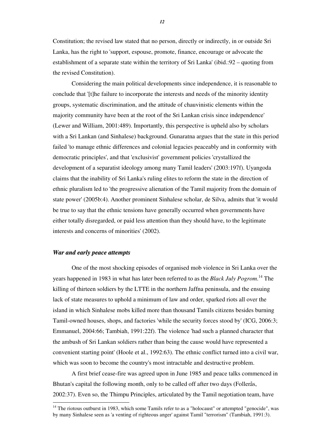Constitution; the revised law stated that no person, directly or indirectly, in or outside Sri Lanka, has the right to 'support, espouse, promote, finance, encourage or advocate the establishment of a separate state within the territory of Sri Lanka' (ibid.:92 – quoting from the revised Constitution).

Considering the main political developments since independence, it is reasonable to conclude that '[t]he failure to incorporate the interests and needs of the minority identity groups, systematic discrimination, and the attitude of chauvinistic elements within the majority community have been at the root of the Sri Lankan crisis since independence' (Lewer and William, 2001:489). Importantly, this perspective is upheld also by scholars with a Sri Lankan (and Sinhalese) background. Gunaratna argues that the state in this period failed 'to manage ethnic differences and colonial legacies peaceably and in conformity with democratic principles', and that 'exclusivist' government policies 'crystallized the development of a separatist ideology among many Tamil leaders' (2003:197f). Uyangoda claims that the inability of Sri Lanka's ruling elites to reform the state in the direction of ethnic pluralism led to 'the progressive alienation of the Tamil majority from the domain of state power' (2005b:4). Another prominent Sinhalese scholar, de Silva, admits that 'it would be true to say that the ethnic tensions have generally occurred when governments have either totally disregarded, or paid less attention than they should have, to the legitimate interests and concerns of minorities' (2002).

## *War and early peace attempts*

 $\overline{a}$ 

One of the most shocking episodes of organised mob violence in Sri Lanka over the years happened in 1983 in what has later been referred to as the *Black July Pogrom*. <sup>14</sup> The killing of thirteen soldiers by the LTTE in the northern Jaffna peninsula, and the ensuing lack of state measures to uphold a minimum of law and order, sparked riots all over the island in which Sinhalese mobs killed more than thousand Tamils citizens besides burning Tamil-owned houses, shops, and factories 'while the security forces stood by' (ICG, 2006:3; Emmanuel, 2004:66; Tambiah, 1991:22f). The violence 'had such a planned character that the ambush of Sri Lankan soldiers rather than being the cause would have represented a convenient starting point' (Hoole et al., 1992:63). The ethnic conflict turned into a civil war, which was soon to become the country's most intractable and destructive problem.

A first brief cease-fire was agreed upon in June 1985 and peace talks commenced in Bhutan's capital the following month, only to be called off after two days (Follerås, 2002:37). Even so, the Thimpu Principles, articulated by the Tamil negotiation team, have

<sup>&</sup>lt;sup>14</sup> The riotous outburst in 1983, which some Tamils refer to as a "holocaust" or attempted "genocide", was by many Sinhalese seen as 'a venting of righteous anger' against Tamil "terrorism" (Tambiah, 1991:3).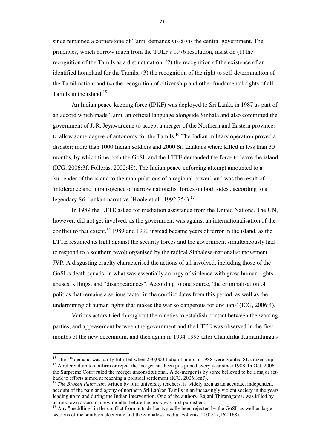since remained a cornerstone of Tamil demands vis-à-vis the central government. The principles, which borrow much from the TULF's 1976 resolution, insist on (1) the recognition of the Tamils as a distinct nation, (2) the recognition of the existence of an identified homeland for the Tamils, (3) the recognition of the right to self-determination of the Tamil nation, and (4) the recognition of citizenship and other fundamental rights of all Tamils in the island.<sup>15</sup>

An Indian peace-keeping force (IPKF) was deployed to Sri Lanka in 1987 as part of an accord which made Tamil an official language alongside Sinhala and also committed the government of J. R. Jeyawardene to accept a merger of the Northern and Eastern provinces to allow some degree of autonomy for the Tamils.<sup>16</sup> The Indian military operation proved a disaster; more than 1000 Indian soldiers and 2000 Sri Lankans where killed in less than 30 months, by which time both the GoSL and the LTTE demanded the force to leave the island (ICG, 2006:3f; Follerås, 2002:48). The Indian peace-enforcing attempt amounted to a 'surrender of the island to the manipulations of a regional power', and was the result of 'intolerance and intransigence of narrow nationalist forces on both sides', according to a legendary Sri Lankan narrative (Hoole et al., 1992:354).<sup>17</sup>

In 1989 the LTTE asked for mediation assistance from the United Nations. The UN, however, did not get involved, as the government was against an internationalisation of the conflict to that extent.<sup>18</sup> 1989 and 1990 instead became years of terror in the island, as the LTTE resumed its fight against the security forces and the government simultaneously had to respond to a southern revolt organised by the radical Sinhalese-nationalist movement JVP. A disgusting cruelty characterised the actions of all involved, including those of the GoSL's death squads, in what was essentially an orgy of violence with gross human rights abuses, killings, and "disappearances". According to one source, 'the criminalisation of politics that remains a serious factor in the conflict dates from this period, as well as the undermining of human rights that makes the war so dangerous for civilians' (ICG, 2006:4).

Various actors tried throughout the nineties to establish contact between the warring parties, and appeasement between the government and the LTTE was observed in the first months of the new decennium, and then again in 1994-1995 after Chandrika Kumaratunga's

 $\overline{a}$ 

<sup>&</sup>lt;sup>15</sup> The  $4<sup>th</sup>$  demand was partly fulfilled when 230,000 Indian Tamils in 1988 were granted SL citizenship. <sup>16</sup> A referendum to confirm or reject the merger has been postponed every year since 1988. In Oct. 2006 the Surpreme Court ruled the merger unconstitutional. A de-merger is by some believed to be a major setback to efforts aimed at reaching a political settlement (ICG, 2006:3fn7).

<sup>&</sup>lt;sup>17</sup> *The Broken Palmyrah*, written by four university teachers, is widely seen as an accurate, independent account of the pain and agony of northern Sri Lankan Tamils in an inceasingly violent society in the years leading up to and during the Indian intervention. One of the authors, Rajani Thiranagama, was killed by an unknown assassin a few months before the book was first published.

<sup>&</sup>lt;sup>18</sup> Any "meddling" in the conflict from outside has typically been rejected by the GoSL as well as large sections of the southern electorate and the Sinhalese media (Follerås, 2002:47,162,168).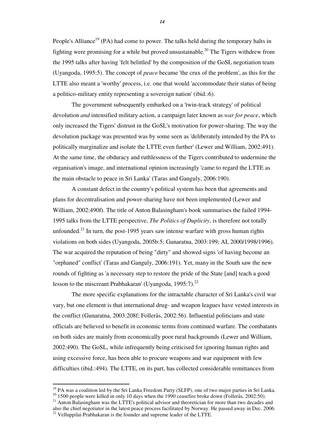People's Alliance<sup>19</sup> (PA) had come to power. The talks held during the temporary halts in fighting were promising for a while but proved unsustainable.<sup>20</sup> The Tigers withdrew from the 1995 talks after having 'felt belittled' by the composition of the GoSL negotiation team (Uyangoda, 1995:5). The concept of *peace* became 'the crux of the problem', as this for the LTTE also meant a 'worthy' process, i.e. one that would 'accommodate their status of being a politico-military entity representing a sovereign nation' (ibid.:6).

The government subsequently embarked on a 'twin-track strategy' of political devolution *and* intensified military action, a campaign later known as *war for peace*, which only increased the Tigers' distrust in the GoSL's motivation for power-sharing. The way the devolution package was presented was by some seen as 'deliberately intended by the PA to politically marginalize and isolate the LTTE even further' (Lewer and William, 2002:491). At the same time, the obduracy and ruthlessness of the Tigers contributed to undermine the organisation's image, and international opinion increasingly 'came to regard the LTTE as the main obstacle to peace in Sri Lanka' (Taras and Ganguly, 2006:190).

A constant defect in the country's political system has been that agreements and plans for decentralisation and power-sharing have not been implemented (Lewer and William, 2002:490f). The title of Anton Balasingham's book summarises the failed 1994- 1995 talks from the LTTE perspective, *The Politics of Duplicity*, is therefore not totally unfounded.<sup>21</sup> In turn, the post-1995 years saw intense warfare with gross human rights violations on both sides (Uyangoda, 2005b:5; Gunaratna, 2003:199; AI, 2000/1998/1996). The war acquired the reputation of being "dirty" and showed signs 'of having become an "orphaned" conflict' (Taras and Ganguly, 2006:191). Yet, many in the South saw the new rounds of fighting as 'a necessary step to restore the pride of the State [and] teach a good lesson to the miscreant Prabhakaran' (Uyangoda, 1995:7).<sup>22</sup>

The more specific explanations for the intractable character of Sri Lanka's civil war vary, but one element is that international drug- and weapon leagues have vested interests in the conflict (Gunaratna, 2003:208f; Follerås, 2002:56). Influential politicians and state officials are believed to benefit in economic terms from continued warfare. The combatants on both sides are mainly from economically poor rural backgrounds (Lewer and William, 2002:490). The GoSL, while infrequently being criticised for ignoring human rights and using excessive force, has been able to procure weapons and war equipment with few difficulties (ibid.:494). The LTTE, on its part, has collected considerable remittances from

 $\overline{a}$ 

<sup>&</sup>lt;sup>19</sup> PA was a coalition led by the Sri Lanka Freedom Party (SLFP), one of two major parties in Sri Lanka.

 $20$  1500 people were killed in only 10 days when the 1990 ceasefire broke down (Follerås, 2002:50).

<sup>&</sup>lt;sup>21</sup> Anton Balasingham was the LTTE's political advisor and theoretician for more than two decades and also the chief negotiator in the latest peace process facilitated by Norway. He passed away in Dec. 2006.

 $22$  Velluppilai Prabhakaran is the founder and supreme leader of the LTTE.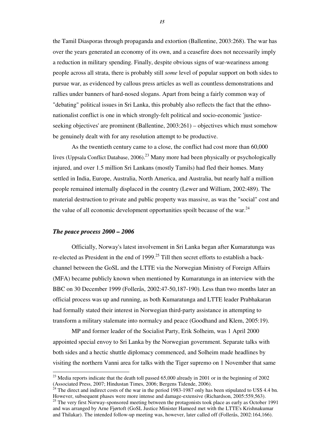the Tamil Diasporas through propaganda and extortion (Ballentine, 2003:268). The war has over the years generated an economy of its own, and a ceasefire does not necessarily imply a reduction in military spending. Finally, despite obvious signs of war-weariness among people across all strata, there is probably still *some* level of popular support on both sides to pursue war, as evidenced by callous press articles as well as countless demonstrations and rallies under banners of hard-nosed slogans. Apart from being a fairly common way of "debating" political issues in Sri Lanka, this probably also reflects the fact that the ethnonationalist conflict is one in which strongly-felt political and socio-economic 'justiceseeking objectives' are prominent (Ballentine, 2003:261) – objectives which must somehow be genuinely dealt with for any resolution attempt to be productive.

As the twentieth century came to a close, the conflict had cost more than 60,000 lives (Uppsala Conflict Database, 2006).<sup>23</sup> Many more had been physically or psychologically injured, and over 1.5 million Sri Lankans (mostly Tamils) had fled their homes. Many settled in India, Europe, Australia, North America, and Australia, but nearly half a million people remained internally displaced in the country (Lewer and William, 2002:489). The material destruction to private and public property was massive, as was the "social" cost and the value of all economic development opportunities spoilt because of the war.<sup>24</sup>

#### *The peace process 2000 – 2006*

 $\overline{a}$ 

Officially, Norway's latest involvement in Sri Lanka began after Kumaratunga was re-elected as President in the end of  $1999$ .<sup>25</sup> Till then secret efforts to establish a backchannel between the GoSL and the LTTE via the Norwegian Ministry of Foreign Affairs (MFA) became publicly known when mentioned by Kumaratunga in an interview with the BBC on 30 December 1999 (Follerås, 2002:47-50,187-190). Less than two months later an official process was up and running, as both Kumaratunga and LTTE leader Prabhakaran had formally stated their interest in Norwegian third-party assistance in attempting to transform a military stalemate into normalcy and peace (Goodhand and Klem, 2005:19).

MP and former leader of the Socialist Party, Erik Solheim, was 1 April 2000 appointed special envoy to Sri Lanka by the Norwegian government. Separate talks with both sides and a hectic shuttle diplomacy commenced, and Solheim made headlines by visiting the northern Vanni area for talks with the Tiger supremo on 1 November that same

 $^{23}$  Media reports indicate that the death toll passed 65,000 already in 2001 or in the beginning of 2002. (Associated Press, 2007; Hindustan Times, 2006; Bergens Tidende, 2006).

 $24$  The direct and indirect costs of the war in the period 1983-1987 only has been stipulated to US\$ 4.4 bn. However, subsequent phases were more intense and damage-extensive (Richardson, 2005:559,563).

<sup>&</sup>lt;sup>25</sup> The very first Norway-sponsored meeting between the protagonists took place as early as October 1991 and was arranged by Arne Fjørtoft (GoSL Justice Minister Hameed met with the LTTE's Krishnakumar and Thilakar). The intended follow-up meeting was, however, later called off (Follerås, 2002:164,166).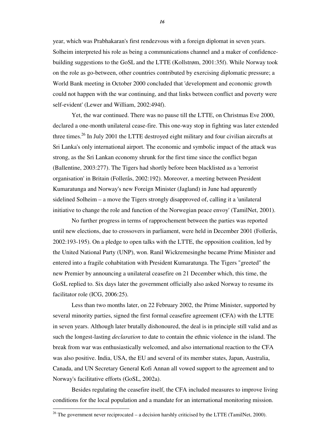year, which was Prabhakaran's first rendezvous with a foreign diplomat in seven years. Solheim interpreted his role as being a communications channel and a maker of confidencebuilding suggestions to the GoSL and the LTTE (Kollstrøm, 2001:35f). While Norway took on the role as go-between, other countries contributed by exercising diplomatic pressure; a World Bank meeting in October 2000 concluded that 'development and economic growth could not happen with the war continuing, and that links between conflict and poverty were self-evident' (Lewer and William, 2002:494f).

Yet, the war continued. There was no pause till the LTTE, on Christmas Eve 2000, declared a one-month unilateral cease-fire. This one-way stop in fighting was later extended three times.<sup>26</sup> In July 2001 the LTTE destroyed eight military and four civilian aircrafts at Sri Lanka's only international airport. The economic and symbolic impact of the attack was strong, as the Sri Lankan economy shrunk for the first time since the conflict began (Ballentine, 2003:277). The Tigers had shortly before been blacklisted as a 'terrorist organisation' in Britain (Follerås, 2002:192). Moreover, a meeting between President Kumaratunga and Norway's new Foreign Minister (Jagland) in June had apparently sidelined Solheim – a move the Tigers strongly disapproved of, calling it a 'unilateral initiative to change the role and function of the Norwegian peace envoy' (TamilNet, 2001).

No further progress in terms of rapprochement between the parties was reported until new elections, due to crossovers in parliament, were held in December 2001 (Follerås, 2002:193-195). On a pledge to open talks with the LTTE, the opposition coalition, led by the United National Party (UNP), won. Ranil Wickremesinghe became Prime Minister and entered into a fragile cohabitation with President Kumaratunga. The Tigers "greeted" the new Premier by announcing a unilateral ceasefire on 21 December which, this time, the GoSL replied to. Six days later the government officially also asked Norway to resume its facilitator role (ICG, 2006:25).

Less than two months later, on 22 February 2002, the Prime Minister, supported by several minority parties, signed the first formal ceasefire agreement (CFA) with the LTTE in seven years. Although later brutally dishonoured, the deal is in principle still valid and as such the longest-lasting *declaration* to date to contain the ethnic violence in the island. The break from war was enthusiastically welcomed, and also international reaction to the CFA was also positive. India, USA, the EU and several of its member states, Japan, Australia, Canada, and UN Secretary General Kofi Annan all vowed support to the agreement and to Norway's facilitative efforts (GoSL, 2002a).

Besides regulating the ceasefire itself, the CFA included measures to improve living conditions for the local population and a mandate for an international monitoring mission.

 $\overline{a}$ 

<sup>&</sup>lt;sup>26</sup> The government never reciprocated – a decision harshly criticised by the LTTE (TamilNet, 2000).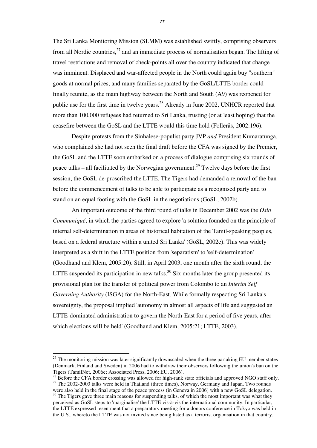The Sri Lanka Monitoring Mission (SLMM) was established swiftly, comprising observers from all Nordic countries,<sup>27</sup> and an immediate process of normalisation began. The lifting of travel restrictions and removal of check-points all over the country indicated that change was imminent. Displaced and war-affected people in the North could again buy "southern" goods at normal prices, and many families separated by the GoSL/LTTE border could finally reunite, as the main highway between the North and South (A9) was reopened for public use for the first time in twelve years.<sup>28</sup> Already in June 2002, UNHCR reported that more than 100,000 refugees had returned to Sri Lanka, trusting (or at least hoping) that the ceasefire between the GoSL and the LTTE would this time hold (Follerås, 2002:196).

Despite protests from the Sinhalese-populist party JVP *and* President Kumaratunga, who complained she had not seen the final draft before the CFA was signed by the Premier, the GoSL and the LTTE soon embarked on a process of dialogue comprising six rounds of peace talks – all facilitated by the Norwegian government.<sup>29</sup> Twelve days before the first session, the GoSL de-proscribed the LTTE. The Tigers had demanded a removal of the ban before the commencement of talks to be able to participate as a recognised party and to stand on an equal footing with the GoSL in the negotiations (GoSL, 2002b).

An important outcome of the third round of talks in December 2002 was the *Oslo Communiqué*, in which the parties agreed to explore 'a solution founded on the principle of internal self-determination in areas of historical habitation of the Tamil-speaking peoples, based on a federal structure within a united Sri Lanka' (GoSL, 2002c). This was widely interpreted as a shift in the LTTE position from 'separatism' to 'self-determination' (Goodhand and Klem, 2005:20). Still, in April 2003, one month after the sixth round, the LTTE suspended its participation in new talks.<sup>30</sup> Six months later the group presented its provisional plan for the transfer of political power from Colombo to an *Interim Self Governing Authority* (ISGA) for the North-East. While formally respecting Sri Lanka's sovereignty, the proposal implied 'autonomy in almost all aspects of life and suggested an LTTE-dominated administration to govern the North-East for a period of five years, after which elections will be held' (Goodhand and Klem, 2005:21; LTTE, 2003).

 $\overline{a}$ 

 $27$  The monitoring mission was later significantly downscaled when the three partaking EU member states (Denmark, Finland and Sweden) in 2006 had to withdraw their observers following the union's ban on the Tigers (TamilNet, 2006e; Associated Press, 2006; EU, 2006).

<sup>&</sup>lt;sup>28</sup> Before the CFA border crossing was allowed for high-rank state officials and approved NGO staff only. <sup>29</sup> The 2002-2003 talks were held in Thailand (three times), Norway, Germany and Japan. Two rounds were also held in the final stage of the peace process (in Geneva in 2006) with a new GoSL delegation.

 $30$  The Tigers gave three main reasons for suspending talks, of which the most important was what they perceived as GoSL steps to 'marginalise' the LTTE vis-à-vis the international community. In particular, the LTTE expressed resentment that a preparatory meeting for a donors conference in Tokyo was held in the U.S., whereto the LTTE was not invited since being listed as a terrorist organisation in that country.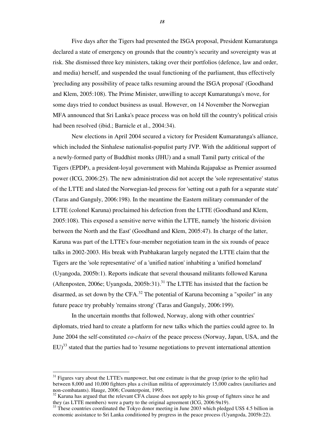Five days after the Tigers had presented the ISGA proposal, President Kumaratunga declared a state of emergency on grounds that the country's security and sovereignty was at risk. She dismissed three key ministers, taking over their portfolios (defence, law and order, and media) herself, and suspended the usual functioning of the parliament, thus effectively 'precluding any possibility of peace talks resuming around the ISGA proposal' (Goodhand and Klem, 2005:108). The Prime Minister, unwilling to accept Kumaratunga's move, for some days tried to conduct business as usual. However, on 14 November the Norwegian MFA announced that Sri Lanka's peace process was on hold till the country's political crisis had been resolved (ibid.; Barnicle et al., 2004:34).

New elections in April 2004 secured a victory for President Kumaratunga's alliance, which included the Sinhalese nationalist-populist party JVP. With the additional support of a newly-formed party of Buddhist monks (JHU) and a small Tamil party critical of the Tigers (EPDP), a president-loyal government with Mahinda Rajapakse as Premier assumed power (ICG, 2006:25). The new administration did not accept the 'sole representative' status of the LTTE and slated the Norwegian-led process for 'setting out a path for a separate state' (Taras and Ganguly, 2006:198). In the meantime the Eastern military commander of the LTTE (colonel Karuna) proclaimed his defection from the LTTE (Goodhand and Klem, 2005:108). This exposed a sensitive nerve within the LTTE, namely 'the historic division between the North and the East' (Goodhand and Klem, 2005:47). In charge of the latter, Karuna was part of the LTTE's four-member negotiation team in the six rounds of peace talks in 2002-2003. His break with Prabhakaran largely negated the LTTE claim that the Tigers are the 'sole representative' of a 'unified nation' inhabiting a 'unified homeland' (Uyangoda, 2005b:1). Reports indicate that several thousand militants followed Karuna (Aftenposten, 2006e; Uyangoda, 2005b:31).<sup>31</sup> The LTTE has insisted that the faction be disarmed, as set down by the CFA.<sup>32</sup> The potential of Karuna becoming a "spoiler" in any future peace try probably 'remains strong' (Taras and Ganguly, 2006:199).

 In the uncertain months that followed, Norway, along with other countries' diplomats, tried hard to create a platform for new talks which the parties could agree to. In June 2004 the self-constituted *co-chairs* of the peace process (Norway, Japan, USA, and the  $EU$ <sup>33</sup> stated that the parties had to 'resume negotiations to prevent international attention

 $\overline{a}$ 

 $31$  Figures vary about the LTTE's manpower, but one estimate is that the group (prior to the split) had between 8,000 and 10,000 fighters plus a civilian militia of approximately 15,000 cadres (auxiliaries and non-combatants). Hauge, 2006; Counterpoint, 1995.

<sup>&</sup>lt;sup>32</sup> Karuna has argued that the relevant CFA clause does not apply to his group of fighters since he and they (as LTTE members) were a party to the original agreement (ICG, 2006:9n19).

<sup>&</sup>lt;sup>33</sup> These countries coordinated the Tokyo donor meeting in June 2003 which pledged US\$ 4.5 billion in economic assistance to Sri Lanka conditioned by progress in the peace process (Uyangoda, 2005b:22).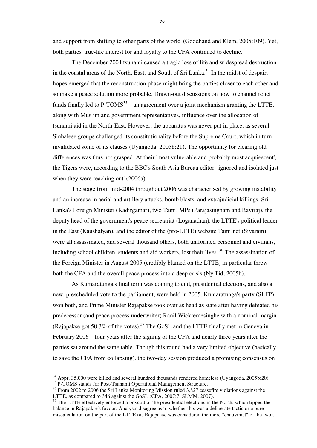and support from shifting to other parts of the world' (Goodhand and Klem, 2005:109). Yet, both parties' true-life interest for and loyalty to the CFA continued to decline.

The December 2004 tsunami caused a tragic loss of life and widespread destruction in the coastal areas of the North, East, and South of Sri Lanka.<sup>34</sup> In the midst of despair, hopes emerged that the reconstruction phase might bring the parties closer to each other and so make a peace solution more probable. Drawn-out discussions on how to channel relief funds finally led to  $P\text{-TOMS}^{35}$  – an agreement over a joint mechanism granting the LTTE. along with Muslim and government representatives, influence over the allocation of tsunami aid in the North-East. However, the apparatus was never put in place, as several Sinhalese groups challenged its constitutionality before the Supreme Court, which in turn invalidated some of its clauses (Uyangoda, 2005b:21). The opportunity for clearing old differences was thus not grasped. At their 'most vulnerable and probably most acquiescent', the Tigers were, according to the BBC's South Asia Bureau editor, 'ignored and isolated just when they were reaching out' (2006a).

The stage from mid-2004 throughout 2006 was characterised by growing instability and an increase in aerial and artillery attacks, bomb blasts, and extrajudicial killings. Sri Lanka's Foreign Minister (Kadirgamar), two Tamil MPs (Parajasingham and Raviraj), the deputy head of the government's peace secretariat (Loganathan), the LTTE's political leader in the East (Kaushalyan), and the editor of the (pro-LTTE) website Tamilnet (Sivaram) were all assassinated, and several thousand others, both uniformed personnel and civilians, including school children, students and aid workers, lost their lives.<sup>36</sup> The assassination of the Foreign Minister in August 2005 (credibly blamed on the LTTE) in particular threw both the CFA and the overall peace process into a deep crisis (Ny Tid, 2005b).

As Kumaratunga's final term was coming to end, presidential elections, and also a new, prescheduled vote to the parliament, were held in 2005. Kumaratunga's party (SLFP) won both, and Prime Minister Rajapakse took over as head as state after having defeated his predecessor (and peace process underwriter) Ranil Wickremesinghe with a nominal margin (Rajapakse got 50,3% of the votes).<sup>37</sup> The GoSL and the LTTE finally met in Geneva in February 2006 – four years after the signing of the CFA and nearly three years after the parties sat around the same table. Though this round had a very limited objective (basically to save the CFA from collapsing), the two-day session produced a promising consensus on

 $\overline{a}$ 

 $34$  Appr. 35,000 were killed and several hundred thousands rendered homeless (Uyangoda, 2005b:20). <sup>35</sup> P-TOMS stands for Post-Tsunami Operational Management Structure.

<sup>&</sup>lt;sup>36</sup> From 2002 to 2006 the Sri Lanka Monitoring Mission ruled 3,827 ceasefire violations against the LTTE, as compared to 346 against the GoSL (CPA, 2007:7; SLMM, 2007).

<sup>&</sup>lt;sup>37</sup> The LTTE effectively enforced a boycott of the presidential elections in the North, which tipped the balance in Rajapakse's favour. Analysts disagree as to whether this was a deliberate tactic or a pure miscalculation on the part of the LTTE (as Rajapakse was considered the more "chauvinist" of the two).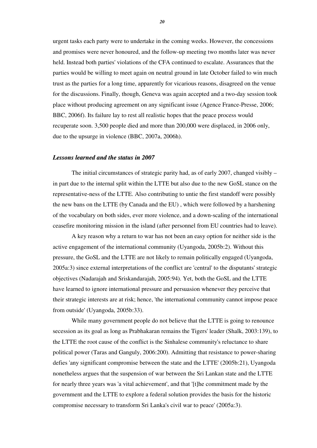urgent tasks each party were to undertake in the coming weeks. However, the concessions and promises were never honoured, and the follow-up meeting two months later was never held. Instead both parties' violations of the CFA continued to escalate. Assurances that the parties would be willing to meet again on neutral ground in late October failed to win much trust as the parties for a long time, apparently for vicarious reasons, disagreed on the venue for the discussions. Finally, though, Geneva was again accepted and a two-day session took place without producing agreement on any significant issue (Agence France-Presse, 2006; BBC, 2006f). Its failure lay to rest all realistic hopes that the peace process would recuperate soon. 3,500 people died and more than 200,000 were displaced, in 2006 only, due to the upsurge in violence (BBC, 2007a, 2006h).

#### *Lessons learned and the status in 2007*

The initial circumstances of strategic parity had, as of early 2007, changed visibly – in part due to the internal split within the LTTE but also due to the new GoSL stance on the representative-ness of the LTTE. Also contributing to untie the first standoff were possibly the new bans on the LTTE (by Canada and the EU) , which were followed by a harshening of the vocabulary on both sides, ever more violence, and a down-scaling of the international ceasefire monitoring mission in the island (after personnel from EU countries had to leave).

A key reason why a return to war has not been an easy option for neither side is the active engagement of the international community (Uyangoda, 2005b:2). Without this pressure, the GoSL and the LTTE are not likely to remain politically engaged (Uyangoda, 2005a:3) since external interpretations of the conflict are 'central' to the disputants' strategic objectives (Nadarajah and Sriskandarajah, 2005:94). Yet, both the GoSL and the LTTE have learned to ignore international pressure and persuasion whenever they perceive that their strategic interests are at risk; hence, 'the international community cannot impose peace from outside' (Uyangoda, 2005b:33).

While many government people do not believe that the LTTE is going to renounce secession as its goal as long as Prabhakaran remains the Tigers' leader (Shalk, 2003:139), to the LTTE the root cause of the conflict is the Sinhalese community's reluctance to share political power (Taras and Ganguly, 2006:200). Admitting that resistance to power-sharing defies 'any significant compromise between the state and the LTTE' (2005b:21), Uyangoda nonetheless argues that the suspension of war between the Sri Lankan state and the LTTE for nearly three years was 'a vital achievement', and that '[t]he commitment made by the government and the LTTE to explore a federal solution provides the basis for the historic compromise necessary to transform Sri Lanka's civil war to peace' (2005a:3).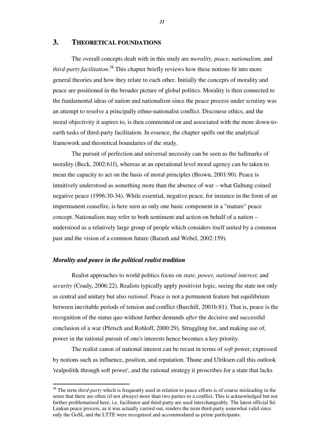# **3. THEORETICAL FOUNDATIONS**

The overall concepts dealt with in this study are *morality, peace, nationalism,* and *third-party facilitation*. <sup>38</sup> This chapter briefly reviews how these notions fit into more general theories and how they relate to each other. Initially the concepts of morality and peace are positioned in the broader picture of global politics. Morality is then connected to the fundamental ideas of nation and nationalism since the peace process under scrutiny was an attempt to resolve a principally ethno-nationalist conflict. Discourse ethics, and the moral objectivity it aspires to, is then commented on and associated with the more down-toearth tasks of third-party facilitation. In essence, the chapter spells out the analytical framework and theoretical boundaries of the study.

The pursuit of perfection and universal necessity can be seen as the hallmarks of morality (Beck, 2002:61f), whereas at an operational level moral agency can be taken to mean the capacity to act on the basis of moral principles (Brown, 2001:90). Peace is intuitively understood as something more than the absence of war – what Galtung coined negative peace (1996:30-34). While essential, negative peace, for instance in the form of an impermanent ceasefire, is here seen as only one basic component in a "mature" peace concept. Nationalism may refer to both sentiment and action on behalf of a nation – understood as a relatively large group of people which considers itself united by a common past and the vision of a common future (Barash and Webel, 2002:159).

# *Morality and peace in the political realist tradition*

 $\overline{a}$ 

Realist approaches to world politics focus on *state, power, national interest,* and *security* (Coady, 2006:22). Realists typically apply positivist logic, seeing the state not only as central and unitary but also *rational*. Peace is not a permanent feature but equilibrium between inevitable periods of tension and conflict (Burchill, 2001b:81). That is, peace is the recognition of the status quo without further demands *after* the decisive and successful conclusion of a war (Pfetsch and Rohloff, 2000:29). Struggling for, and making use of, power in the rational pursuit of one's interests hence becomes a key priority.

The realist canon of national interest can be recast in terms of *soft* power, expressed by notions such as influence, position, and reputation. Thune and Ulriksen call this outlook 'realpolitik through soft power', and the rational strategy it proscribes for a state that lacks

<sup>&</sup>lt;sup>38</sup> The term *third-party* which is frequently used in relation to peace efforts is of course misleading in the sense that there are often (if not always) more than two parties to a conflict. This is acknowledged but not further problematised here, i.e. facilitator and third-party are used interchangeably. The latest official Sri Lankan peace process, as it was actually carried out, renders the term third-party somewhat valid since only the GoSL and the LTTE were recognised and accommodated as prime participants.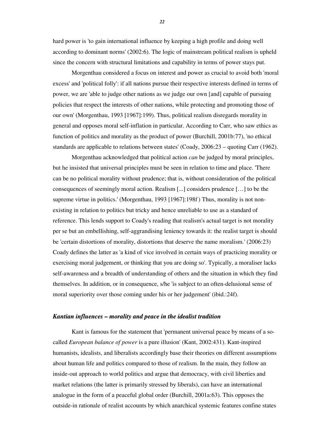hard power is 'to gain international influence by keeping a high profile and doing well according to dominant norms' (2002:6). The logic of mainstream political realism is upheld since the concern with structural limitations and capability in terms of power stays put.

Morgenthau considered a focus on interest and power as crucial to avoid both 'moral excess' and 'political folly': if all nations pursue their respective interests defined in terms of power, we are 'able to judge other nations as we judge our own [and] capable of pursuing policies that respect the interests of other nations, while protecting and promoting those of our own' (Morgenthau, 1993 [1967]:199). Thus, political realism disregards morality in general and opposes moral self-inflation in particular. According to Carr, who saw ethics as function of politics and morality as the product of power (Burchill, 2001b:77), 'no ethical standards are applicable to relations between states' (Coady, 2006:23 – quoting Carr (1962).

Morgenthau acknowledged that political action *can* be judged by moral principles, but he insisted that universal principles must be seen in relation to time and place. 'There can be no political morality without prudence; that is, without consideration of the political consequences of seemingly moral action. Realism [...] considers prudence […] to be the supreme virtue in politics.' (Morgenthau, 1993 [1967]:198f) Thus, morality is not nonexisting in relation to politics but tricky and hence unreliable to use as a standard of reference. This lends support to Coady's reading that realism's actual target is not morality per se but an embellishing, self-aggrandising leniency towards it: the realist target is should be 'certain distortions of morality, distortions that deserve the name moralism.' (2006:23) Coady defines the latter as 'a kind of vice involved in certain ways of practicing morality or exercising moral judgement, or thinking that you are doing so'. Typically, a moraliser lacks self-awareness and a breadth of understanding of others and the situation in which they find themselves. In addition, or in consequence, s/he 'is subject to an often-delusional sense of moral superiority over those coming under his or her judgement' (ibid.:24f).

#### *Kantian influences – morality and peace in the idealist tradition*

Kant is famous for the statement that 'permanent universal peace by means of a socalled *European balance of power* is a pure illusion' (Kant, 2002:431). Kant-inspired humanists, idealists, and liberalists accordingly base their theories on different assumptions about human life and politics compared to those of realism. In the main, they follow an inside-out approach to world politics and argue that democracy, with civil liberties and market relations (the latter is primarily stressed by liberals), can have an international analogue in the form of a peaceful global order (Burchill, 2001a:63). This opposes the outside-in rationale of realist accounts by which anarchical systemic features confine states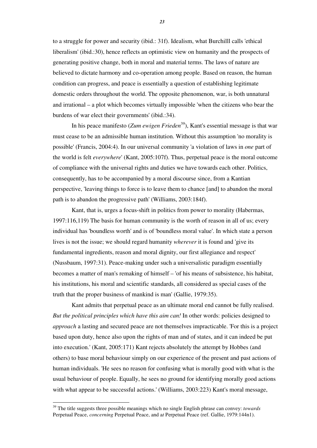to a struggle for power and security (ibid.: 31f). Idealism, what Burchilll calls 'ethical liberalism' (ibid.:30), hence reflects an optimistic view on humanity and the prospects of generating positive change, both in moral and material terms. The laws of nature are believed to dictate harmony and co-operation among people. Based on reason, the human condition can progress, and peace is essentially a question of establishing legitimate domestic orders throughout the world. The opposite phenomenon, war, is both unnatural and irrational – a plot which becomes virtually impossible 'when the citizens who bear the burdens of war elect their governments' (ibid.:34).

In his peace manifesto (*Zum ewigen Frieden*<sup>39</sup>), Kant's essential message is that war must cease to be an admissible human institution. Without this assumption 'no morality is possible' (Francis, 2004:4). In our universal community 'a violation of laws in *one* part of the world is felt *everywhere*' (Kant, 2005:107f). Thus, perpetual peace is the moral outcome of compliance with the universal rights and duties we have towards each other. Politics, consequently, has to be accompanied by a moral discourse since, from a Kantian perspective, 'leaving things to force is to leave them to chance [and] to abandon the moral path is to abandon the progressive path' (Williams, 2003:184f).

Kant, that is, urges a focus-shift in politics from power to morality (Habermas, 1997:116,119) The basis for human community is the worth of reason in all of us; every individual has 'boundless worth' and is of 'boundless moral value'. In which state a person lives is not the issue; we should regard humanity *wherever* it is found and 'give its fundamental ingredients, reason and moral dignity, our first allegiance and respect' (Nussbaum, 1997:31). Peace-making under such a universalistic paradigm essentially becomes a matter of man's remaking of himself – 'of his means of subsistence, his habitat, his institutions, his moral and scientific standards, all considered as special cases of the truth that the proper business of mankind is man' (Gallie, 1979:35).

Kant admits that perpetual peace as an ultimate moral end cannot be fully realised. *But the political principles which have this aim can!* In other words: policies designed to *approach* a lasting and secured peace are not themselves impracticable. 'For this is a project based upon duty, hence also upon the rights of man and of states, and it can indeed be put into execution.' (Kant, 2005:171) Kant rejects absolutely the attempt by Hobbes (and others) to base moral behaviour simply on our experience of the present and past actions of human individuals. 'He sees no reason for confusing what is morally good with what is the usual behaviour of people. Equally, he sees no ground for identifying morally good actions with what appear to be successful actions.' (Williams, 2003:223) Kant's moral message,

 $\overline{a}$ 

<sup>39</sup> The title suggests three possible meanings which no single English phrase can convey: *towards*  Perpetual Peace, *concerning* Perpetual Peace, and a*t* Perpetual Peace (ref. Gallie, 1979:144n1).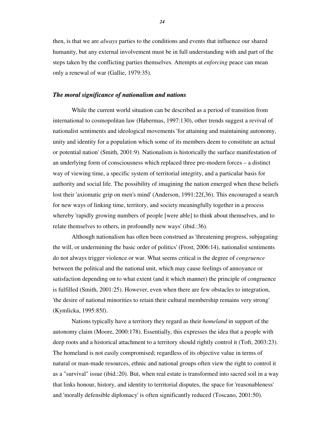then, is that we are *always* parties to the conditions and events that influence our shared humanity, but any external involvement must be in full understanding with and part of the steps taken by the conflicting parties themselves. Attempts at *enforcing* peace can mean only a renewal of war (Gallie, 1979:35).

#### *The moral significance of nationalism and nations*

While the current world situation can be described as a period of transition from international to cosmopolitan law (Habermas, 1997:130), other trends suggest a revival of nationalist sentiments and ideological movements 'for attaining and maintaining autonomy, unity and identity for a population which some of its members deem to constitute an actual or potential nation' (Smith, 2001:9). Nationalism is historically the surface manifestation of an underlying form of consciousness which replaced three pre-modern forces – a distinct way of viewing time, a specific system of territorial integrity, and a particular basis for authority and social life. The possibility of imagining the nation emerged when these beliefs lost their 'axiomatic grip on men's mind' (Anderson, 1991:22f,36). This encouraged a search for new ways of linking time, territory, and society meaningfully together in a process whereby 'rapidly growing numbers of people [were able] to think about themselves, and to relate themselves to others, in profoundly new ways' (ibid.:36).

Although nationalism has often been construed as 'threatening progress, subjugating the will, or undermining the basic order of politics' (Frost, 2006:14), nationalist sentiments do not always trigger violence or war. What seems critical is the degree of *congruence*  between the political and the national unit, which may cause feelings of annoyance or satisfaction depending on to what extent (and it which manner) the principle of congruence is fulfilled (Smith, 2001:25). However, even when there are few obstacles to integration, 'the desire of national minorities to retain their cultural membership remains very strong' (Kymlicka, 1995:85f).

Nations typically have a territory they regard as their *homeland* in support of the autonomy claim (Moore, 2000:178). Essentially, this expresses the idea that a people with deep roots and a historical attachment to a territory should rightly control it (Toft, 2003:23). The homeland is not easily compromised; regardless of its objective value in terms of natural or man-made resources, ethnic and national groups often view the right to control it as a "survival" issue (ibid.:20). But, when real estate is transformed into sacred soil in a way that links honour, history, and identity to territorial disputes, the space for 'reasonableness' and 'morally defensible diplomacy' is often significantly reduced (Toscano, 2001:50).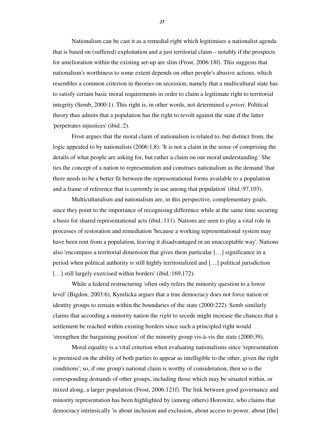Nationalism can be cast it as a remedial right which legitimises a nationalist agenda that is based on (suffered) exploitation and a just territorial claim – notably if the prospects for amelioration within the existing set-up are slim (Frost, 2006:18f). This suggests that nationalism's worthiness to some extent depends on other people's abusive actions, which resembles a common criterion in theories on secession, namely that a multicultural state has to satisfy certain basic moral requirements in order to claim a legitimate right to territorial integrity (Semb, 2000:1). This right is, in other words, not determined *a priori*. Political theory thus admits that a population has the right to revolt against the state if the latter 'perpetrates injustices' (ibid.:2).

Frost argues that the moral claim of nationalism is related to, but distinct from, the logic appealed to by nationalists (2006:1,8): 'It is not a claim in the sense of comprising the details of what people are asking for, but rather a claim on our moral understanding.' She ties the concept of a nation to representation and construes nationalism as the demand 'that there needs to be a better fit between the representational forms available to a population and a frame of reference that is currently in use among that population' (ibid.:97,103).

Multiculturalism and nationalism are, in this perspective, complementary goals, since they point to the importance of recognising difference while at the same time securing a basis for shared representational acts (ibid.:111). Nations are seen to play a vital role in processes of restoration and remediation 'because a working representational system may have been rent from a population, leaving it disadvantaged in an unacceptable way'. Nations also 'encompass a territorial dimension that gives them particular […] significance in a period when political authority is still highly territorialized and […] political jurisdiction [...] still largely exercised within borders' (ibid.:169,172).

While a federal restructuring 'often only refers the minority question to a lower level' (Bigdon, 2003:6), Kymlicka argues that a true democracy does not force nation or identity groups to remain within the boundaries of the state (2000:222). Semb similarly claims that according a minority nation the *right* to secede might increase the chances that a settlement be reached within existing borders since such a principled right would 'strengthen the bargaining position' of the minority group vis-à-vis the state (2000:39).

Moral equality is a vital criterion when evaluating nationalisms since 'representation is premised on the ability of both parties to appear as intelligible to the other, given the right conditions'; so, if one group's national claim is worthy of consideration, then so is the corresponding demands of other groups, including those which may be situated within, or mixed along, a larger population (Frost, 2006:121f). The link between good governance and minority representation has been highlighted by (among others) Horowitz, who claims that democracy intrinsically 'is about inclusion and exclusion, about access to power, about [the]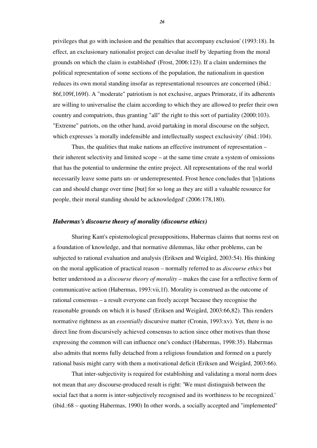privileges that go with inclusion and the penalties that accompany exclusion' (1993:18). In effect, an exclusionary nationalist project can devalue itself by 'departing from the moral grounds on which the claim is established' (Frost, 2006:123). If a claim undermines the political representation of some sections of the population, the nationalism in question reduces its own moral standing insofar as representational resources are concerned (ibid.: 86f,109f,169f). A "moderate" patriotism is not exclusive, argues Primoratz, if its adherents are willing to universalise the claim according to which they are allowed to prefer their own country and compatriots, thus granting "all" the right to this sort of partiality (2000:103). "Extreme" patriots, on the other hand, avoid partaking in moral discourse on the subject, which expresses 'a morally indefensible and intellectually suspect exclusivity' (ibid.:104).

Thus, the qualities that make nations an effective instrument of representation – their inherent selectivity and limited scope – at the same time create a system of omissions that has the potential to undermine the entire project. All representations of the real world necessarily leave some parts un- or underrepresented. Frost hence concludes that '[n]ations can and should change over time [but] for so long as they are still a valuable resource for people, their moral standing should be acknowledged' (2006:178,180).

## *Habermas's discourse theory of morality (discourse ethics)*

Sharing Kant's epistemological presuppositions, Habermas claims that norms rest on a foundation of knowledge, and that normative dilemmas, like other problems, can be subjected to rational evaluation and analysis (Eriksen and Weigård, 2003:54). His thinking on the moral application of practical reason – normally referred to as *discourse ethics* but better understood as a *discourse theory of morality* – makes the case for a reflective form of communicative action (Habermas, 1993:vii,1f). Morality is construed as the outcome of rational consensus – a result everyone can freely accept 'because they recognise the reasonable grounds on which it is based' (Eriksen and Weigård, 2003:66,82). This renders normative rightness as an *essentially* discursive matter (Cronin, 1993:xv). Yet, there is no direct line from discursively achieved consensus to action since other motives than those expressing the common will can influence one's conduct (Habermas, 1998:35). Habermas also admits that norms fully detached from a religious foundation and formed on a purely rational basis might carry with them a motivational deficit (Eriksen and Weigård, 2003:66).

That inter-subjectivity is required for establishing and validating a moral norm does not mean that *any* discourse-produced result is right: 'We must distinguish between the social fact that a norm is inter-subjectively recognised and its worthiness to be recognized.' (ibid.:68 – quoting Habermas, 1990) In other words, a socially accepted and "implemented"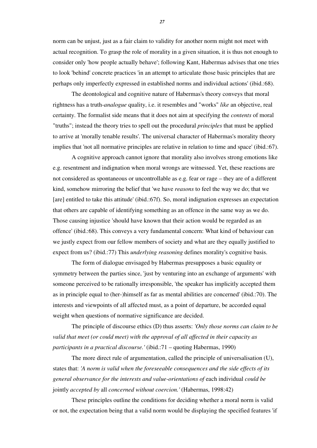norm can be unjust, just as a fair claim to validity for another norm might not meet with actual recognition. To grasp the role of morality in a given situation, it is thus not enough to consider only 'how people actually behave'; following Kant, Habermas advises that one tries to look 'behind' concrete practices 'in an attempt to articulate those basic principles that are perhaps only imperfectly expressed in established norms and individual actions' (ibid.:68).

The deontological and cognitive nature of Habermas's theory conveys that moral rightness has a truth-*analogue* quality, i.e. it resembles and "works" *like* an objective, real certainty. The formalist side means that it does not aim at specifying the *contents* of moral "truths"; instead the theory tries to spell out the procedural *principles* that must be applied to arrive at 'morally tenable results'. The universal character of Habermas's morality theory implies that 'not all normative principles are relative in relation to time and space' (ibid.:67).

A cognitive approach cannot ignore that morality also involves strong emotions like e.g. resentment and indignation when moral wrongs are witnessed. Yet, these reactions are not considered as spontaneous or uncontrollable as e.g. fear or rage – they are of a different kind, somehow mirroring the belief that 'we have *reasons* to feel the way we do; that we [are] entitled to take this attitude' (ibid.:67f). So, moral indignation expresses an expectation that others are capable of identifying something as an offence in the same way as we do. Those causing injustice 'should have known that their action would be regarded as an offence' (ibid.:68). This conveys a very fundamental concern: What kind of behaviour can we justly expect from our fellow members of society and what are they equally justified to expect from us? (ibid.:77) This *underlying reasoning* defines morality's cognitive basis.

The form of dialogue envisaged by Habermas presupposes a basic equality or symmetry between the parties since, 'just by venturing into an exchange of arguments' with someone perceived to be rationally irresponsible, 'the speaker has implicitly accepted them as in principle equal to (her-)himself as far as mental abilities are concerned' (ibid.:70). The interests and viewpoints of all affected must, as a point of departure, be accorded equal weight when questions of normative significance are decided.

The principle of discourse ethics (D) thus asserts: *'Only those norms can claim to be valid that meet (or could meet) with the approval of all affected in their capacity as participants in a practical discourse.'* (ibid.:71 – quoting Habermas, 1990)

The more direct rule of argumentation, called the principle of universalisation (U), states that: *'A norm is valid when the foreseeable consequences and the side effects of its general observance for the interests and value-orientations of* each individual *could be*  jointly *accepted by* all *concerned without coercion.'* (Habermas, 1998:42)

These principles outline the conditions for deciding whether a moral norm is valid or not, the expectation being that a valid norm would be displaying the specified features 'if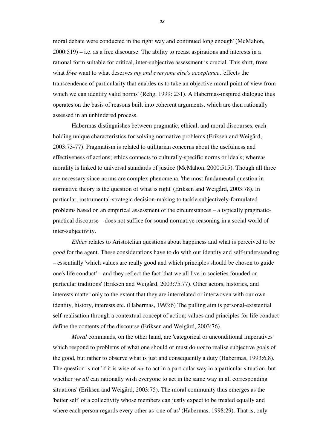moral debate were conducted in the right way and continued long enough' (McMahon,  $2000:519$  – i.e. as a free discourse. The ability to recast aspirations and interests in a rational form suitable for critical, inter-subjective assessment is crucial. This shift, from what *I/we* want to what deserves *my and everyone else's acceptance*, 'effects the transcendence of particularity that enables us to take an objective moral point of view from which we can identify valid norms' (Rehg, 1999: 231). A Habermas-inspired dialogue thus operates on the basis of reasons built into coherent arguments, which are then rationally assessed in an unhindered process.

Habermas distinguishes between pragmatic, ethical, and moral discourses, each holding unique characteristics for solving normative problems (Eriksen and Weigård, 2003:73-77). Pragmatism is related to utilitarian concerns about the usefulness and effectiveness of actions; ethics connects to culturally-specific norms or ideals; whereas morality is linked to universal standards of justice (McMahon, 2000:515). Though all three are necessary since norms are complex phenomena, 'the most fundamental question in normative theory is the question of what is right' (Eriksen and Weigård, 2003:78). In particular, instrumental-strategic decision-making to tackle subjectively-formulated problems based on an empirical assessment of the circumstances – a typically pragmaticpractical discourse – does not suffice for sound normative reasoning in a social world of inter-subjectivity.

*Ethics* relates to Aristotelian questions about happiness and what is perceived to be *good* for the agent. These considerations have to do with our identity and self-understanding – essentially 'which values are really good and which principles should be chosen to guide one's life conduct' – and they reflect the fact 'that we all live in societies founded on particular traditions' (Eriksen and Weigård, 2003:75,77). Other actors, histories, and interests matter only to the extent that they are interrelated or interwoven with our own identity, history, interests etc. (Habermas, 1993:6) The pulling aim is personal-existential self-realisation through a contextual concept of action; values and principles for life conduct define the contents of the discourse (Eriksen and Weigård, 2003:76).

*Moral* commands, on the other hand, are 'categorical or unconditional imperatives' which respond to problems of what one should or must do *not* to realise subjective goals of the good, but rather to observe what is just and consequently a duty (Habermas, 1993:6,8). The question is not 'if it is wise of *me* to act in a particular way in a particular situation, but whether *we all* can rationally wish everyone to act in the same way in all corresponding situations' (Eriksen and Weigård, 2003:75). The moral community thus emerges as the 'better self' of a collectivity whose members can justly expect to be treated equally and where each person regards every other as 'one of us' (Habermas, 1998:29). That is, only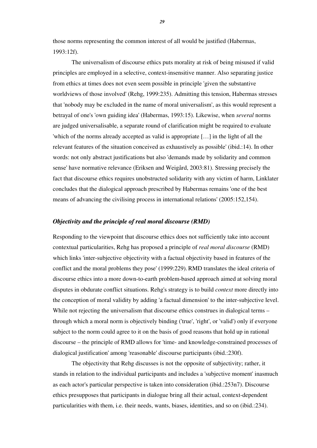those norms representing the common interest of all would be justified (Habermas, 1993:12f).

The universalism of discourse ethics puts morality at risk of being misused if valid principles are employed in a selective, context-insensitive manner. Also separating justice from ethics at times does not even seem possible in principle 'given the substantive worldviews of those involved' (Rehg, 1999:235). Admitting this tension, Habermas stresses that 'nobody may be excluded in the name of moral universalism', as this would represent a betrayal of one's 'own guiding idea' (Habermas, 1993:15). Likewise, when *several* norms are judged universalisable, a separate round of clarification might be required to evaluate 'which of the norms already accepted as valid is appropriate […] in the light of all the relevant features of the situation conceived as exhaustively as possible' (ibid.:14). In other words: not only abstract justifications but also 'demands made by solidarity and common sense' have normative relevance (Eriksen and Weigård, 2003:81). Stressing precisely the fact that discourse ethics requires unobstructed solidarity with any victim of harm, Linklater concludes that the dialogical approach prescribed by Habermas remains 'one of the best means of advancing the civilising process in international relations' (2005:152,154).

# *Objectivity and the principle of real moral discourse (RMD)*

Responding to the viewpoint that discourse ethics does not sufficiently take into account contextual particularities, Rehg has proposed a principle of *real moral discourse* (RMD) which links 'inter-subjective objectivity with a factual objectivity based in features of the conflict and the moral problems they pose' (1999:229). RMD translates the ideal criteria of discourse ethics into a more down-to-earth problem-based approach aimed at solving moral disputes in obdurate conflict situations. Rehg's strategy is to build *context* more directly into the conception of moral validity by adding 'a factual dimension' to the inter-subjective level. While not rejecting the universalism that discourse ethics construes in dialogical terms – through which a moral norm is objectively binding ('true', 'right', or 'valid') only if everyone subject to the norm could agree to it on the basis of good reasons that hold up in rational discourse – the principle of RMD allows for 'time- and knowledge-constrained processes of dialogical justification' among 'reasonable' discourse participants (ibid.:230f).

The objectivity that Rehg discusses is not the opposite of subjectivity; rather, it stands in relation to the individual participants and includes a 'subjective moment' inasmuch as each actor's particular perspective is taken into consideration (ibid.:253n7). Discourse ethics presupposes that participants in dialogue bring all their actual, context-dependent particularities with them, i.e. their needs, wants, biases, identities, and so on (ibid.:234).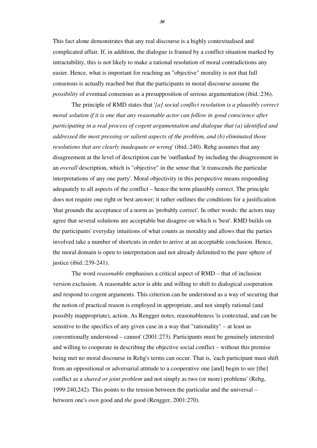This fact alone demonstrates that any real discourse is a highly contextualised and complicated affair. If, in addition, the dialogue is framed by a conflict situation marked by intractability, this is not likely to make a rational resolution of moral contradictions any easier. Hence, what is important for reaching an "objective" morality is not that full consensus is actually reached but that the participants in moral discourse assume the *possibility* of eventual consensus as a presupposition of serious argumentation (ibid.:236).

The principle of RMD states that '*[a] social conflict resolution is a plausibly correct moral solution if it is one that any reasonable actor can follow in good conscience after participating in a real process of cogent argumentation and dialogue that (a) identified and addressed the most pressing or salient aspects of the problem, and (b) eliminated those resolutions that are clearly inadequate or wrong*' (ibid.:240). Rehg assumes that any disagreement at the level of description can be 'outflanked' by including the disagreement in an *overall* description, which is "objective" in the sense that 'it transcends the particular interpretations of any one party'. Moral objectivity in this perspective means responding adequately to all aspects of the conflict – hence the term plausibly correct. The principle does not require one right or best answer; it rather outlines the conditions for a justification 'that grounds the acceptance of a norm as 'probably correct'. In other words: the actors may agree that several solutions are acceptable but disagree on which is 'best'. RMD builds on the participants' everyday intuitions of what counts as morality and allows that the parties involved take a number of shortcuts in order to arrive at an acceptable conclusion. Hence, the moral domain is open to interpretation and not already delimited to the pure sphere of justice (ibid.:239-241).

The word *reasonable* emphasises a critical aspect of RMD – that of inclusion version exclusion. A reasonable actor is able and willing to shift to dialogical cooperation and respond to cogent arguments. This criterion can be understood as a way of securing that the notion of practical reason is employed in appropriate, and not simply rational (and possibly inappropriate), action. As Rengger notes, reasonableness 'is contextual, and can be sensitive to the specifics of any given case in a way that "rationality" – at least as conventionally understood – cannot' (2001:273). Participants must be genuinely interested and willing to cooperate in describing the objective social conflict – without this premise being met no moral discourse in Rehg's terms can occur. That is, 'each participant must shift from an oppositional or adversarial attitude to a cooperative one [and] begin to see [the] conflict as a *shared or joint problem* and not simply as two (or more) problems' (Rehg, 1999:240,242). This points to the tension between the particular and the universal – between one's *own* good and *the* good (Rengger, 2001:270).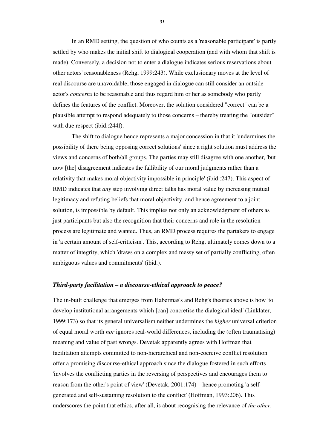In an RMD setting, the question of who counts as a 'reasonable participant' is partly settled by who makes the initial shift to dialogical cooperation (and with whom that shift is made). Conversely, a decision not to enter a dialogue indicates serious reservations about other actors' reasonableness (Rehg, 1999:243). While exclusionary moves at the level of real discourse are unavoidable, those engaged in dialogue can still consider an outside actor's *concerns* to be reasonable and thus regard him or her as somebody who partly defines the features of the conflict. Moreover, the solution considered "correct" can be a plausible attempt to respond adequately to those concerns – thereby treating the "outsider" with due respect (ibid.: 244f).

The shift to dialogue hence represents a major concession in that it 'undermines the possibility of there being opposing correct solutions' since a right solution must address the views and concerns of both/all groups. The parties may still disagree with one another, 'but now [the] disagreement indicates the fallibility of our moral judgments rather than a relativity that makes moral objectivity impossible in principle' (ibid.:247). This aspect of RMD indicates that *any* step involving direct talks has moral value by increasing mutual legitimacy and refuting beliefs that moral objectivity, and hence agreement to a joint solution, is impossible by default. This implies not only an acknowledgment of others as just participants but also the recognition that their concerns and role in the resolution process are legitimate and wanted. Thus, an RMD process requires the partakers to engage in 'a certain amount of self-criticism'. This, according to Rehg, ultimately comes down to a matter of integrity, which 'draws on a complex and messy set of partially conflicting, often ambiguous values and commitments' (ibid.).

## *Third-party facilitation – a discourse-ethical approach to peace?*

The in-built challenge that emerges from Habermas's and Rehg's theories above is how 'to develop institutional arrangements which [can] concretise the dialogical ideal' (Linklater, 1999:173) so that its general universalism neither undermines the *higher* universal criterion of equal moral worth *nor* ignores real-world differences, including the (often traumatising) meaning and value of past wrongs. Devetak apparently agrees with Hoffman that facilitation attempts committed to non-hierarchical and non-coercive conflict resolution offer a promising discourse-ethical approach since the dialogue fostered in such efforts 'involves the conflicting parties in the reversing of perspectives and encourages them to reason from the other's point of view' (Devetak, 2001:174) – hence promoting 'a selfgenerated and self-sustaining resolution to the conflict' (Hoffman, 1993:206). This underscores the point that ethics, after all, is about recognising the relevance of *the other*,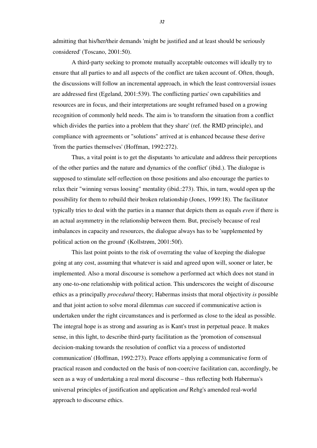admitting that his/her/their demands 'might be justified and at least should be seriously considered' (Toscano, 2001:50).

A third-party seeking to promote mutually acceptable outcomes will ideally try to ensure that all parties to and all aspects of the conflict are taken account of. Often, though, the discussions will follow an incremental approach, in which the least controversial issues are addressed first (Egeland, 2001:539). The conflicting parties' own capabilities and resources are in focus, and their interpretations are sought reframed based on a growing recognition of commonly held needs. The aim is 'to transform the situation from a conflict which divides the parties into a problem that they share' (ref. the RMD principle), and compliance with agreements or "solutions" arrived at is enhanced because these derive 'from the parties themselves' (Hoffman, 1992:272).

Thus, a vital point is to get the disputants 'to articulate and address their perceptions of the other parties and the nature and dynamics of the conflict' (ibid.). The dialogue is supposed to stimulate self-reflection on those positions and also encourage the parties to relax their "winning versus loosing" mentality (ibid.:273). This, in turn, would open up the possibility for them to rebuild their broken relationship (Jones, 1999:18). The facilitator typically tries to deal with the parties in a manner that depicts them as equals *even* if there is an actual asymmetry in the relationship between them. But, precisely because of real imbalances in capacity and resources, the dialogue always has to be 'supplemented by political action on the ground' (Kollstrøm, 2001:50f).

This last point points to the risk of overrating the value of keeping the dialogue going at any cost, assuming that whatever is said and agreed upon will, sooner or later, be implemented. Also a moral discourse is somehow a performed act which does not stand in any one-to-one relationship with political action. This underscores the weight of discourse ethics as a principally *procedural* theory; Habermas insists that moral objectivity *is* possible and that joint action to solve moral dilemmas *can* succeed if communicative action is undertaken under the right circumstances and is performed as close to the ideal as possible. The integral hope is as strong and assuring as is Kant's trust in perpetual peace. It makes sense, in this light, to describe third-party facilitation as the 'promotion of consensual decision-making towards the resolution of conflict via a process of undistorted communication' (Hoffman, 1992:273). Peace efforts applying a communicative form of practical reason and conducted on the basis of non-coercive facilitation can, accordingly, be seen as a way of undertaking a real moral discourse – thus reflecting both Habermas's universal principles of justification and application *and* Rehg's amended real-world approach to discourse ethics.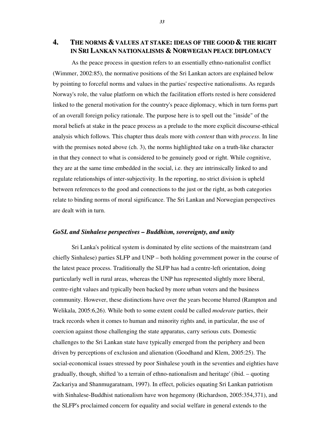**4. THE NORMS &VALUES AT STAKE: IDEAS OF THE GOOD & THE RIGHT IN SRI LANKAN NATIONALISMS & NORWEGIAN PEACE DIPLOMACY**

As the peace process in question refers to an essentially ethno-nationalist conflict (Wimmer, 2002:85), the normative positions of the Sri Lankan actors are explained below by pointing to forceful norms and values in the parties' respective nationalisms. As regards Norway's role, the value platform on which the facilitation efforts rested is here considered linked to the general motivation for the country's peace diplomacy, which in turn forms part of an overall foreign policy rationale. The purpose here is to spell out the "inside" of the moral beliefs at stake in the peace process as a prelude to the more explicit discourse-ethical analysis which follows. This chapter thus deals more with *content* than with *process*. In line with the premises noted above (ch. 3), the norms highlighted take on a truth-like character in that they connect to what is considered to be genuinely good or right. While cognitive, they are at the same time embedded in the social, i.e. they are intrinsically linked to and regulate relationships of inter-subjectivity. In the reporting, no strict division is upheld between references to the good and connections to the just or the right, as both categories relate to binding norms of moral significance. The Sri Lankan and Norwegian perspectives are dealt with in turn.

# *GoSL and Sinhalese perspectives – Buddhism, sovereignty, and unity*

Sri Lanka's political system is dominated by elite sections of the mainstream (and chiefly Sinhalese) parties SLFP and UNP – both holding government power in the course of the latest peace process. Traditionally the SLFP has had a centre-left orientation, doing particularly well in rural areas, whereas the UNP has represented slightly more liberal, centre-right values and typically been backed by more urban voters and the business community. However, these distinctions have over the years become blurred (Rampton and Welikala, 2005:6,26). While both to some extent could be called *moderate* parties, their track records when it comes to human and minority rights and, in particular, the use of coercion against those challenging the state apparatus, carry serious cuts. Domestic challenges to the Sri Lankan state have typically emerged from the periphery and been driven by perceptions of exclusion and alienation (Goodhand and Klem, 2005:25). The social-economical issues stressed by poor Sinhalese youth in the seventies and eighties have gradually, though, shifted 'to a terrain of ethno-nationalism and heritage' (ibid. – quoting Zackariya and Shanmugaratnam, 1997). In effect, policies equating Sri Lankan patriotism with Sinhalese-Buddhist nationalism have won hegemony (Richardson, 2005:354,371), and the SLFP's proclaimed concern for equality and social welfare in general extends to the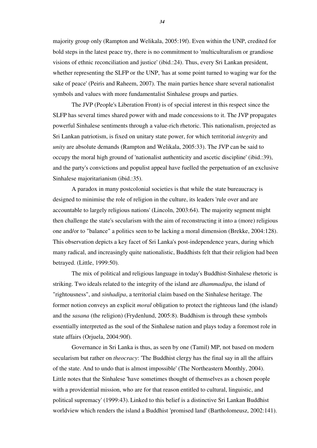majority group only (Rampton and Welikala, 2005:19f). Even within the UNP, credited for bold steps in the latest peace try, there is no commitment to 'multiculturalism or grandiose visions of ethnic reconciliation and justice' (ibid.:24). Thus, every Sri Lankan president, whether representing the SLFP or the UNP, 'has at some point turned to waging war for the sake of peace' (Peiris and Raheem, 2007). The main parties hence share several nationalist symbols and values with more fundamentalist Sinhalese groups and parties.

The JVP (People's Liberation Front) is of special interest in this respect since the SLFP has several times shared power with and made concessions to it. The JVP propagates powerful Sinhalese sentiments through a value-rich rhetoric. This nationalism, projected as Sri Lankan patriotism, is fixed on unitary state power, for which territorial *integrity* and *unity* are absolute demands (Rampton and Welikala, 2005:33). The JVP can be said to occupy the moral high ground of 'nationalist authenticity and ascetic discipline' (ibid.:39), and the party's convictions and populist appeal have fuelled the perpetuation of an exclusive Sinhalese majoritarianism (ibid.:35).

A paradox in many postcolonial societies is that while the state bureaucracy is designed to minimise the role of religion in the culture, its leaders 'rule over and are accountable to largely religious nations' (Lincoln, 2003:64). The majority segment might then challenge the state's secularism with the aim of reconstructing it into a (more) religious one and/or to "balance" a politics seen to be lacking a moral dimension (Brekke, 2004:128). This observation depicts a key facet of Sri Lanka's post-independence years, during which many radical, and increasingly quite nationalistic, Buddhists felt that their religion had been betrayed. (Little, 1999:50).

The mix of political and religious language in today's Buddhist-Sinhalese rhetoric is striking. Two ideals related to the integrity of the island are *dhammadipa*, the island of "rightousness", and *sinhadipa*, a territorial claim based on the Sinhalese heritage. The former notion conveys an explicit *moral* obligation to protect the righteous land (the island) and the *sasana* (the religion) (Frydenlund, 2005:8). Buddhism is through these symbols essentially interpreted as the soul of the Sinhalese nation and plays today a foremost role in state affairs (Orjuela, 2004:90f).

Governance in Sri Lanka is thus, as seen by one (Tamil) MP, not based on modern secularism but rather on *theocracy*: 'The Buddhist clergy has the final say in all the affairs of the state. And to undo that is almost impossible' (The Northeastern Monthly, 2004). Little notes that the Sinhalese 'have sometimes thought of themselves as a chosen people with a providential mission, who are for that reason entitled to cultural, linguistic, and political supremacy' (1999:43). Linked to this belief is a distinctive Sri Lankan Buddhist worldview which renders the island a Buddhist 'promised land' (Bartholomeusz, 2002:141).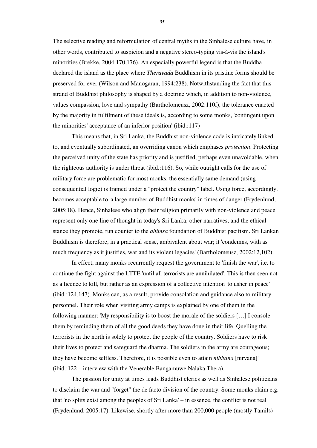The selective reading and reformulation of central myths in the Sinhalese culture have, in other words, contributed to suspicion and a negative stereo-typing vis-à-vis the island's minorities (Brekke, 2004:170,176). An especially powerful legend is that the Buddha declared the island as the place where *Theravada* Buddhism in its pristine forms should be preserved for ever (Wilson and Manogaran, 1994:238). Notwithstanding the fact that this strand of Buddhist philosophy is shaped by a doctrine which, in addition to non-violence, values compassion, love and sympathy (Bartholomeusz, 2002:110f), the tolerance enacted by the majority in fulfilment of these ideals is, according to some monks, 'contingent upon the minorities' acceptance of an inferior position' (ibid.:117)

This means that, in Sri Lanka, the Buddhist non-violence code is intricately linked to, and eventually subordinated, an overriding canon which emphases *protection*. Protecting the perceived unity of the state has priority and is justified, perhaps even unavoidable, when the righteous authority is under threat (ibid.:116). So, while outright calls for the use of military force are problematic for most monks, the essentially same demand (using consequential logic) is framed under a "protect the country" label. Using force, accordingly, becomes acceptable to 'a large number of Buddhist monks' in times of danger (Frydenlund, 2005:18). Hence, Sinhalese who align their religion primarily with non-violence and peace represent only one line of thought in today's Sri Lanka; other narratives, and the ethical stance they promote, run counter to the *ahimsa* foundation of Buddhist pacifism. Sri Lankan Buddhism is therefore, in a practical sense, ambivalent about war; it 'condemns, with as much frequency as it justifies, war and its violent legacies' (Bartholomeusz, 2002:12,102).

In effect, many monks recurrently request the government to 'finish the war', i.e. to continue the fight against the LTTE 'until all terrorists are annihilated'. This is then seen not as a licence to kill, but rather as an expression of a collective intention 'to usher in peace' (ibid.:124,147). Monks can, as a result, provide consolation and guidance also to military personnel. Their role when visiting army camps is explained by one of them in the following manner: 'My responsibility is to boost the morale of the soldiers […] I console them by reminding them of all the good deeds they have done in their life. Quelling the terrorists in the north is solely to protect the people of the country. Soldiers have to risk their lives to protect and safeguard the dharma. The soldiers in the army are courageous; they have become selfless. Therefore, it is possible even to attain *nibbana* [nirvana]' (ibid.:122 – interview with the Venerable Bangamuwe Nalaka Thera).

The passion for unity at times leads Buddhist clerics as well as Sinhalese politicians to disclaim the war and "forget" the de facto division of the country. Some monks claim e.g. that 'no splits exist among the peoples of Sri Lanka' – in essence, the conflict is not real (Frydenlund, 2005:17). Likewise, shortly after more than 200,000 people (mostly Tamils)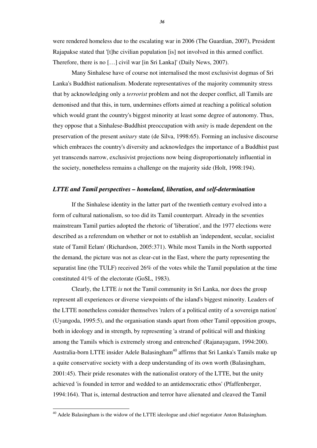were rendered homeless due to the escalating war in 2006 (The Guardian, 2007), President Rajapakse stated that '[t]he civilian population [is] not involved in this armed conflict. Therefore, there is no […] civil war [in Sri Lanka]' (Daily News, 2007).

Many Sinhalese have of course not internalised the most exclusivist dogmas of Sri Lanka's Buddhist nationalism. Moderate representatives of the majority community stress that by acknowledging only a *terrorist* problem and not the deeper conflict, all Tamils are demonised and that this, in turn, undermines efforts aimed at reaching a political solution which would grant the country's biggest minority at least some degree of autonomy. Thus, they oppose that a Sinhalese-Buddhist preoccupation with *unity* is made dependent on the preservation of the present *unitary* state (de Silva, 1998:65). Forming an inclusive discourse which embraces the country's diversity and acknowledges the importance of a Buddhist past yet transcends narrow, exclusivist projections now being disproportionately influential in the society, nonetheless remains a challenge on the majority side (Holt, 1998:194).

## *LTTE and Tamil perspectives – homeland, liberation, and self-determination*

If the Sinhalese identity in the latter part of the twentieth century evolved into a form of cultural nationalism, so too did its Tamil counterpart. Already in the seventies mainstream Tamil parties adopted the rhetoric of 'liberation', and the 1977 elections were described as a referendum on whether or not to establish an 'independent, secular, socialist state of Tamil Eelam' (Richardson, 2005:371). While most Tamils in the North supported the demand, the picture was not as clear-cut in the East, where the party representing the separatist line (the TULF) received 26% of the votes while the Tamil population at the time constituted 41% of the electorate (GoSL, 1983).

Clearly, the LTTE *is* not the Tamil community in Sri Lanka, nor does the group represent all experiences or diverse viewpoints of the island's biggest minority. Leaders of the LTTE nonetheless consider themselves 'rulers of a political entity of a sovereign nation' (Uyangoda, 1995:5), and the organisation stands apart from other Tamil opposition groups, both in ideology and in strength, by representing 'a strand of political will and thinking among the Tamils which is extremely strong and entrenched' (Rajanayagam, 1994:200). Australia-born LTTE insider Adele Balasingham<sup>40</sup> affirms that Sri Lanka's Tamils make up a quite conservative society with a deep understanding of its own worth (Balasingham, 2001:45). Their pride resonates with the nationalist oratory of the LTTE, but the unity achieved 'is founded in terror and wedded to an antidemocratic ethos' (Pfaffenberger, 1994:164). That is, internal destruction and terror have alienated and cleaved the Tamil

 $\overline{a}$ 

 $40$  Adele Balasingham is the widow of the LTTE ideologue and chief negotiator Anton Balasingham.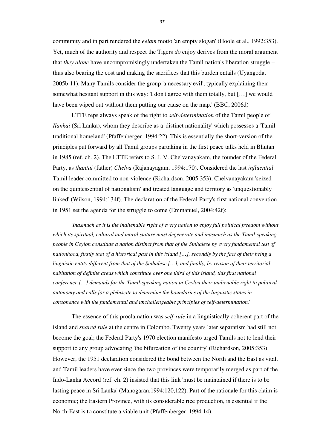community and in part rendered the *eelam* motto 'an empty slogan' (Hoole et al., 1992:353). Yet, much of the authority and respect the Tigers *do* enjoy derives from the moral argument that *they alone* have uncompromisingly undertaken the Tamil nation's liberation struggle – thus also bearing the cost and making the sacrifices that this burden entails (Uyangoda, 2005b:11). Many Tamils consider the group 'a necessary evil', typically explaining their somewhat hesitant support in this way: 'I don't agree with them totally, but […] we would have been wiped out without them putting our cause on the map.' (BBC, 2006d)

LTTE reps always speak of the right to *self-determination* of the Tamil people of *Ilankai* (Sri Lanka), whom they describe as a 'distinct nationality' which possesses a 'Tamil traditional homeland' (Pfaffenberger, 1994:22). This is essentially the short-version of the principles put forward by all Tamil groups partaking in the first peace talks held in Bhutan in 1985 (ref. ch. 2). The LTTE refers to S. J. V. Chelvanayakam, the founder of the Federal Party, as *thantai* (father) *Chelva* (Rajanayagam, 1994:170). Considered the last *influential* Tamil leader committed to non-violence (Richardson, 2005:353), Chelvanayakam 'seized on the quintessential of nationalism' and treated language and territory as 'unquestionably linked' (Wilson, 1994:134f). The declaration of the Federal Party's first national convention in 1951 set the agenda for the struggle to come (Emmanuel, 2004:42f):

'*Inasmuch as it is the inalienable right of every nation to enjoy full political freedom without which its spiritual, cultural and moral stature must degenerate and inasmuch as the Tamil-speaking people in Ceylon constitute a nation distinct from that of the Sinhalese by every fundamental test of nationhood, firstly that of a historical past in this island […], secondly by the fact of their being a linguistic entity different from that of the Sinhalese […], and finally, by reason of their territorial habitation of definite areas which constitute over one third of this island, this first national conference […] demands for the Tamil-speaking nation in Ceylon their inalienable right to political autonomy and calls for a plebiscite to determine the boundaries of the linguistic states in consonance with the fundamental and unchallengeable principles of self-determination.*'

The essence of this proclamation was *self-rule* in a linguistically coherent part of the island and *shared rule* at the centre in Colombo. Twenty years later separatism had still not become the goal; the Federal Party's 1970 election manifesto urged Tamils not to lend their support to any group advocating 'the bifurcation of the country' (Richardson, 2005:353). However, the 1951 declaration considered the bond between the North and the East as vital, and Tamil leaders have ever since the two provinces were temporarily merged as part of the Indo-Lanka Accord (ref. ch. 2) insisted that this link 'must be maintained if there is to be lasting peace in Sri Lanka' (Manogaran,1994:120,122). Part of the rationale for this claim is economic; the Eastern Province, with its considerable rice production, is essential if the North-East is to constitute a viable unit (Pfaffenberger, 1994:14).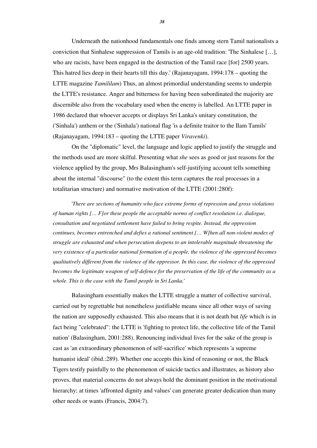Underneath the nationhood fundamentals one finds among stern Tamil nationalists a conviction that Sinhalese suppression of Tamils is an age-old tradition: 'The Sinhalese […], who are racists, have been engaged in the destruction of the Tamil race [for] 2500 years. This hatred lies deep in their hearts till this day.' (Rajanayagam, 1994:178 – quoting the LTTE magazine *Tamililam*) Thus, an almost primordial understanding seems to underpin the LTTE's resistance. Anger and bitterness for having been subordinated the majority are discernible also from the vocabulary used when the enemy is labelled. An LTTE paper in 1986 declared that whoever accepts or displays Sri Lanka's unitary constitution, the ('Sinhala') anthem or the ('Sinhala') national flag 'is a definite traitor to the Ilam Tamils' (Rajanayagam, 1994:183 – quoting the LTTE paper *Viravenki*).

On the "diplomatic" level, the language and logic applied to justify the struggle and the methods used are more skilful. Presenting what *she* sees as good or just reasons for the violence applied by the group, Mrs Balasingham's self-justifying account tells something about the internal "discourse" (to the extent this term captures the real processes in a totalitarian structure) and normative motivation of the LTTE (2001:280f):

'*There are sections of humanity who face extreme forms of repression and gross violations of human rights [… F]or these people the acceptable norms of conflict resolution i.e. dialogue, consultation and negotiated settlement have failed to bring respite. Instead, the oppression continues, becomes entrenched and defies a rational sentiment [… W]hen all non-violent modes of struggle are exhausted and when persecution deepens to an intolerable magnitude threatening the very existence of a particular national formation of a people, the violence of the oppressed becomes qualitatively different from the violence of the oppressor. In this case, the violence of the oppressed becomes the legitimate weapon of self-defence for the preservation of the life of the community as a whole. This is the case with the Tamil people in Sri Lanka.*'

Balasingham essentially makes the LTTE struggle a matter of collective survival, carried out by regrettable but nonetheless justifiable means since all other ways of saving the nation are supposedly exhausted. This also means that it is not death but *life* which is in fact being "celebrated": the LTTE is 'fighting to protect life, the collective life of the Tamil nation' (Balasingham, 2001:288). Renouncing individual lives for the sake of the group is cast as 'an extraordinary phenomenon of self-sacrifice' which represents 'a supreme humanist ideal' (ibid.:289). Whether one accepts this kind of reasoning or not, the Black Tigers testify painfully to the phenomenon of suicide tactics and illustrates, as history also proves, that material concerns do not always hold the dominant position in the motivational hierarchy; at times 'affronted dignity and values' can generate greater dedication than many other needs or wants (Francis, 2004:7).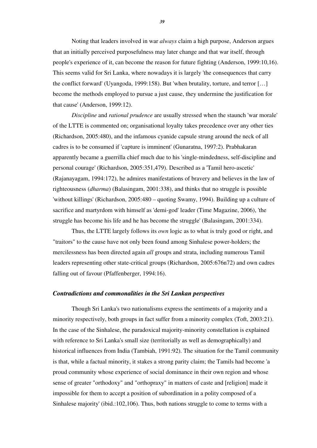Noting that leaders involved in war *always* claim a high purpose, Anderson argues that an initially perceived purposefulness may later change and that war itself, through people's experience of it, can become the reason for future fighting (Anderson, 1999:10,16). This seems valid for Sri Lanka, where nowadays it is largely 'the consequences that carry the conflict forward' (Uyangoda, 1999:158). But 'when brutality, torture, and terror […] become the methods employed to pursue a just cause, they undermine the justification for that cause' (Anderson, 1999:12).

*Discipline* and *rational prudence* are usually stressed when the staunch 'war morale' of the LTTE is commented on; organisational loyalty takes precedence over any other ties (Richardson, 2005:480), and the infamous cyanide capsule strung around the neck of all cadres is to be consumed if 'capture is imminent' (Gunaratna, 1997:2). Prabhakaran apparently became a guerrilla chief much due to his 'single-mindedness, self-discipline and personal courage' (Richardson, 2005:351,479). Described as a 'Tamil hero-ascetic' (Rajanayagam, 1994:172), he admires manifestations of bravery and believes in the law of righteousness (*dharma*) (Balasingam, 2001:338), and thinks that no struggle is possible 'without killings' (Richardson, 2005:480 – quoting Swamy, 1994). Building up a culture of sacrifice and martyrdom with himself as 'demi-god' leader (Time Magazine, 2006), 'the struggle has become his life and he has become the struggle' (Balasingam, 2001:334).

Thus, the LTTE largely follows its *own* logic as to what is truly good or right, and "traitors" to the cause have not only been found among Sinhalese power-holders; the mercilessness has been directed again *all* groups and strata, including numerous Tamil leaders representing other state-critical groups (Richardson, 2005:676n72) and own cadres falling out of favour (Pfaffenberger, 1994:16).

### *Contradictions and commonalities in the Sri Lankan perspectives*

Though Sri Lanka's two nationalisms express the sentiments of a majority and a minority respectively, both groups in fact suffer from a minority complex (Toft, 2003:21). In the case of the Sinhalese, the paradoxical majority-minority constellation is explained with reference to Sri Lanka's small size (territorially as well as demographically) and historical influences from India (Tambiah, 1991:92). The situation for the Tamil community is that, while a factual minority, it stakes a strong parity claim; the Tamils had become 'a proud community whose experience of social dominance in their own region and whose sense of greater "orthodoxy" and "orthopraxy" in matters of caste and [religion] made it impossible for them to accept a position of subordination in a polity composed of a Sinhalese majority' (ibid.:102,106). Thus, both nations struggle to come to terms with a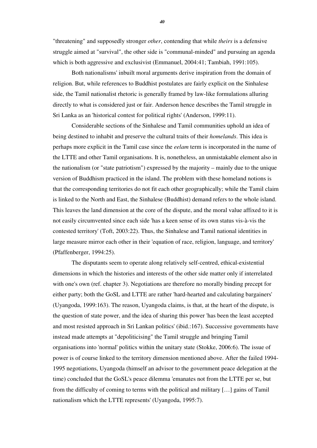"threatening" and supposedly stronger *other*, contending that while *theirs* is a defensive struggle aimed at "survival", the other side is "communal-minded" and pursuing an agenda which is both aggressive and exclusivist (Emmanuel, 2004:41; Tambiah, 1991:105).

Both nationalisms' inbuilt moral arguments derive inspiration from the domain of religion. But, while references to Buddhist postulates are fairly explicit on the Sinhalese side, the Tamil nationalist rhetoric is generally framed by law-like formulations alluring directly to what is considered just or fair. Anderson hence describes the Tamil struggle in Sri Lanka as an 'historical contest for political rights' (Anderson, 1999:11).

Considerable sections of the Sinhalese and Tamil communities uphold an idea of being destined to inhabit and preserve the cultural traits of their *homelands*. This idea is perhaps more explicit in the Tamil case since the *eelam* term is incorporated in the name of the LTTE and other Tamil organisations. It is, nonetheless, an unmistakable element also in the nationalism (or "state patriotism") expressed by the majority – mainly due to the unique version of Buddhism practiced in the island. The problem with these homeland notions is that the corresponding territories do not fit each other geographically; while the Tamil claim is linked to the North and East, the Sinhalese (Buddhist) demand refers to the whole island. This leaves the land dimension at the core of the dispute, and the moral value affixed to it is not easily circumvented since each side 'has a keen sense of its own status vis-à-vis the contested territory' (Toft, 2003:22). Thus, the Sinhalese and Tamil national identities in large measure mirror each other in their 'equation of race, religion, language, and territory' (Pfaffenberger, 1994:25).

The disputants seem to operate along relatively self-centred, ethical-existential dimensions in which the histories and interests of the other side matter only if interrelated with one's own (ref. chapter 3). Negotiations are therefore no morally binding precept for either party; both the GoSL and LTTE are rather 'hard-hearted and calculating bargainers' (Uyangoda, 1999:163). The reason, Uyangoda claims, is that, at the heart of the dispute, is the question of state power, and the idea of sharing this power 'has been the least accepted and most resisted approach in Sri Lankan politics' (ibid.:167). Successive governments have instead made attempts at "depoliticising" the Tamil struggle and bringing Tamil organisations into 'normal' politics within the unitary state (Stokke, 2006:6). The issue of power is of course linked to the territory dimension mentioned above. After the failed 1994- 1995 negotiations, Uyangoda (himself an advisor to the government peace delegation at the time) concluded that the GoSL's peace dilemma 'emanates not from the LTTE per se, but from the difficulty of coming to terms with the political and military […] gains of Tamil nationalism which the LTTE represents' (Uyangoda, 1995:7).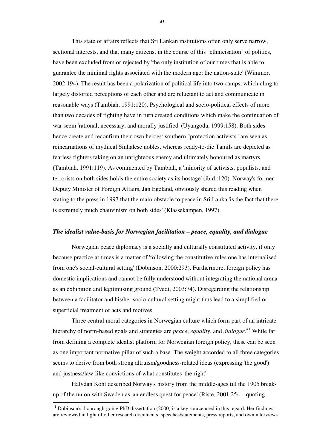This state of affairs reflects that Sri Lankan institutions often only serve narrow, sectional interests, and that many citizens, in the course of this "ethnicisation" of politics, have been excluded from or rejected by 'the only institution of our times that is able to guarantee the minimal rights associated with the modern age: the nation-state' (Wimmer, 2002:194). The result has been a polarization of political life into two camps, which cling to largely distorted perceptions of each other and are reluctant to act and communicate in reasonable ways (Tambiah, 1991:120). Psychological and socio-political effects of more than two decades of fighting have in turn created conditions which make the continuation of war seem 'rational, necessary, and morally justified' (Uyangoda, 1999:158). Both sides hence create and reconfirm their own heroes: southern "protection activists" are seen as reincarnations of mythical Sinhalese nobles, whereas ready-to-die Tamils are depicted as fearless fighters taking on an unrighteous enemy and ultimately honoured as martyrs (Tambiah, 1991:119). As commented by Tambiah, a 'minority of activists, populists, and terrorists on both sides holds the entire society as its hostage' (ibid.:120). Norway's former Deputy Minister of Foreign Affairs, Jan Egeland, obviously shared this reading when stating to the press in 1997 that the main obstacle to peace in Sri Lanka 'is the fact that there is extremely much chauvinism on both sides' (Klassekampen, 1997).

## *The idealist value-basis for Norwegian facilitation – peace, equality, and dialogue*

Norwegian peace diplomacy is a socially and culturally constituted activity, if only because practice at times is a matter of 'following the constitutive rules one has internalised from one's social-cultural setting' (Dobinson, 2000:293). Furthermore, foreign policy has domestic implications and cannot be fully understood without integrating the national arena as an exhibition and legitimising ground (Tvedt, 2003:74). Disregarding the relationship between a facilitator and his/her socio-cultural setting might thus lead to a simplified or superficial treatment of acts and motives.

Three central moral categories in Norwegian culture which form part of an intricate hierarchy of norm-based goals and strategies are *peace*, *equality*, and *dialogue*. <sup>41</sup> While far from defining a complete idealist platform for Norwegian foreign policy, these can be seen as one important normative pillar of such a base. The weight accorded to all three categories seems to derive from both strong altruism/goodness-related ideas (expressing 'the good') and justness/law-like convictions of what constitutes 'the right'.

Halvdan Koht described Norway's history from the middle-ages till the 1905 breakup of the union with Sweden as 'an endless quest for peace' (Riste, 2001:254 – quoting

 $\overline{a}$ 

 $41$  Dobinson's thourough-going PhD dissertation (2000) is a key source used in this regard. Her findings are reviewed in light of other research documents, speeches/statements, press reports, and own interviews.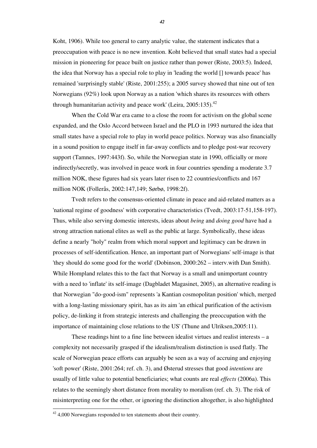Koht, 1906). While too general to carry analytic value, the statement indicates that a preoccupation with peace is no new invention. Koht believed that small states had a special mission in pioneering for peace built on justice rather than power (Riste, 2003:5). Indeed, the idea that Norway has a special role to play in 'leading the world [] towards peace' has remained 'surprisingly stable' (Riste, 2001:255); a 2005 survey showed that nine out of ten Norwegians (92%) look upon Norway as a nation 'which shares its resources with others through humanitarian activity and peace work' (Leira,  $2005:135$ ).<sup>42</sup>

When the Cold War era came to a close the room for activism on the global scene expanded, and the Oslo Accord between Israel and the PLO in 1993 nurtured the idea that small states have a special role to play in world peace politics. Norway was also financially in a sound position to engage itself in far-away conflicts and to pledge post-war recovery support (Tamnes, 1997:443f). So, while the Norwegian state in 1990, officially or more indirectly/secretly, was involved in peace work in four countries spending a moderate 3.7 million NOK, these figures had six years later risen to 22 countries/conflicts and 167 million NOK (Follerås, 2002:147,149; Sørbø, 1998:2f).

Tvedt refers to the consensus-oriented climate in peace and aid-related matters as a 'national regime of goodness' with corporative characteristics (Tvedt, 2003:17-51,158-197). Thus, while also serving domestic interests, ideas about *being* and *doing good* have had a strong attraction national elites as well as the public at large. Symbolically, these ideas define a nearly "holy" realm from which moral support and legitimacy can be drawn in processes of self-identification. Hence, an important part of Norwegians' self-image is that 'they should do some good for the world' (Dobinson, 2000:262 – interv.with Dan Smith). While Hompland relates this to the fact that Norway is a small and unimportant country with a need to 'inflate' its self-image (Dagbladet Magasinet, 2005), an alternative reading is that Norwegian "do-good-ism" represents 'a Kantian cosmopolitan position' which, merged with a long-lasting missionary spirit, has as its aim 'an ethical purification of the activism policy, de-linking it from strategic interests and challenging the preoccupation with the importance of maintaining close relations to the US' (Thune and Ulriksen,2005:11).

These readings hint to a fine line between idealist virtues and realist interests – a complexity not necessarily grasped if the idealism/realism distinction is used flatly. The scale of Norwegian peace efforts can arguably be seen as a way of accruing and enjoying 'soft power' (Riste, 2001:264; ref. ch. 3), and Østerud stresses that good *intentions* are usually of little value to potential beneficiaries; what counts are real *effects* (2006a). This relates to the seemingly short distance from morality to moralism (ref. ch. 3). The risk of misinterpreting one for the other, or ignoring the distinction altogether, is also highlighted

 $\overline{a}$ 

 $42$  4,000 Norwegians responded to ten statements about their country.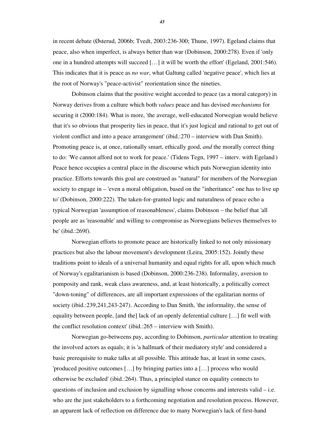in recent debate (Østerud, 2006b; Tvedt, 2003:236-300; Thune, 1997). Egeland claims that peace, also when imperfect, is always better than war (Dobinson, 2000:278). Even if 'only one in a hundred attempts will succeed […] it will be worth the effort' (Egeland, 2001:546). This indicates that it is peace as *no war*, what Galtung called 'negative peace', which lies at the root of Norway's "peace-activist" reorientation since the nineties.

Dobinson claims that the positive weight accorded to peace (as a moral category) in Norway derives from a culture which both *values* peace and has devised *mechanisms* for securing it (2000:184). What is more, 'the average, well-educated Norwegian would believe that it's so obvious that prosperity lies in peace, that it's just logical and rational to get out of violent conflict and into a peace arrangement' (ibid.:270 – interview with Dan Smith). Promoting peace is, at once, rationally smart, ethically good, *and* the morally correct thing to do: 'We cannot afford not to work for peace.' (Tidens Tegn, 1997 – interv. with Egeland ) Peace hence occupies a central place in the discourse which puts Norwegian identity into practice. Efforts towards this goal are construed as "natural" for members of the Norwegian society to engage in – 'even a moral obligation, based on the "inheritance" one has to live up to' (Dobinson, 2000:222). The taken-for-granted logic and naturalness of peace echo a typical Norwegian 'assumption of reasonableness', claims Dobinson – the belief that 'all people are as 'reasonable' and willing to compromise as Norwegians believes themselves to be' (ibid.:269f).

Norwegian efforts to promote peace are historically linked to not only missionary practices but also the labour movement's development (Leira, 2005:152). Jointly these traditions point to ideals of a universal humanity and equal rights for all, upon which much of Norway's egalitarianism is based (Dobinson, 2000:236-238). Informality, aversion to pomposity and rank, weak class awareness, and, at least historically, a politically correct "down-toning" of differences, are all important expressions of the egalitarian norms of society (ibid.:239,241,243-247). According to Dan Smith, 'the informality, the sense of equality between people, [and the] lack of an openly deferential culture […] fit well with the conflict resolution context' (ibid.:265 – interview with Smith).

Norwegian go-betweens pay, according to Dobinson, *particular* attention to treating the involved actors as equals; it is 'a hallmark of their mediatory style' and considered a basic prerequisite to make talks at all possible. This attitude has, at least in some cases, 'produced positive outcomes […] by bringing parties into a […] process who would otherwise be excluded' (ibid.:264). Thus, a principled stance on equality connects to questions of inclusion and exclusion by signalling whose concerns and interests valid  $-$  i.e. who are the just stakeholders to a forthcoming negotiation and resolution process. However, an apparent lack of reflection on difference due to many Norwegian's lack of first-hand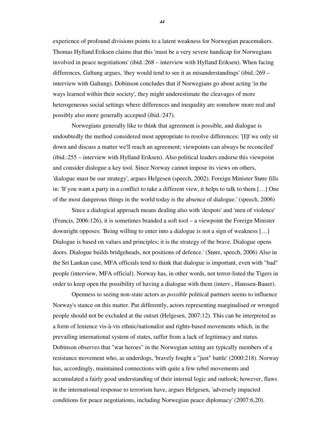experience of profound divisions points to a latent weakness for Norwegian peacemakers. Thomas Hylland Eriksen claims that this 'must be a very severe handicap for Norwegians involved in peace negotiations' (ibid.:268 – interview with Hylland Eriksen). When facing differences, Galtung argues, 'they would tend to see it as misunderstandings' (ibid.:269 – interview with Galtung). Dobinson concludes that if Norwegians go about acting 'in the ways learned within their society', they might underestimate the cleavages of more heterogeneous social settings where differences and inequality are somehow more real and possibly also more generally accepted (ibid.:247).

Norwegians generally like to think that agreement is possible, and dialogue is undoubtedly the method considered most appropriate to resolve differences: '[I]f we only sit down and discuss a matter we'll reach an agreement; viewpoints can always be reconciled' (ibid.:255 – interview with Hylland Eriksen). Also political leaders endorse this viewpoint and consider dialogue a key tool. Since Norway cannot impose its views on others, 'dialogue must be our strategy', argues Helgesen (speech, 2002). Foreign Minister Støre fills in: 'If you want a party in a conflict to take a different view, it helps to talk to them […] One of the most dangerous things in the world today is the absence of dialogue.' (speech, 2006)

Since a dialogical approach means dealing also with 'despots' and 'men of violence' (Francis, 2006:126), it is sometimes branded a soft tool – a viewpoint the Foreign Minister downright opposes: 'Being willing to enter into a dialogue is not a sign of weakness […] Dialogue is based on values and principles; it is the strategy of the brave. Dialogue opens doors. Dialogue builds bridgeheads, not positions of defence.' (Støre, speech, 2006) Also in the Sri Lankan case, MFA officials tend to think that dialogue is important, even with "bad" people (interview, MFA official). Norway has, in other words, not terror-listed the Tigers in order to keep open the possibility of having a dialogue with them (interv., Hanssen-Bauer).

Openness to seeing non-state actors as *possible* political partners seems to influence Norway's stance on this matter. Put differently, actors representing marginalised or wronged people should not be excluded at the outset (Helgesen, 2007:12). This can be interpreted as a form of lenience vis-à-vis ethnic/nationalist and rights-based movements which, in the prevailing international system of states, suffer from a lack of legitimacy and status. Dobinson observes that "war heroes" in the Norwegian setting are typically members of a resistance movement who, as underdogs, 'bravely fought a "just" battle' (2000:218). Norway has, accordingly, maintained connections with quite a few rebel movements and accumulated a fairly good understanding of their internal logic and outlook; however, flaws in the international response to terrorism have, argues Helgesen, 'adversely impacted conditions for peace negotiations, including Norwegian peace diplomacy' (2007:6,20).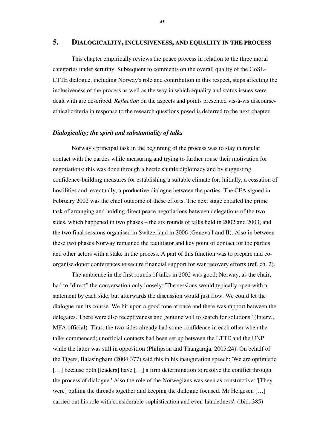# **5. DIALOGICALITY, INCLUSIVENESS, AND EQUALITY IN THE PROCESS**

This chapter empirically reviews the peace process in relation to the three moral categories under scrutiny. Subsequent to comments on the overall quality of the GoSL-LTTE dialogue, including Norway's role and contribution in this respect, steps affecting the inclusiveness of the process as well as the way in which equality and status issues were dealt with are described. *Reflection* on the aspects and points presented vis-à-vis discourseethical criteria in response to the research questions posed is deferred to the next chapter.

### *Dialogicality; the spirit and substantiality of talks*

Norway's principal task in the beginning of the process was to stay in regular contact with the parties while measuring and trying to further rouse their motivation for negotiations; this was done through a hectic shuttle diplomacy and by suggesting confidence-building measures for establishing a suitable climate for, initially, a cessation of hostilities and, eventually, a productive dialogue between the parties. The CFA signed in February 2002 was the chief outcome of these efforts. The next stage entailed the prime task of arranging and holding direct peace negotiations between delegations of the two sides, which happened in two phases – the six rounds of talks held in 2002 and 2003, and the two final sessions organised in Switzerland in 2006 (Geneva I and II). Also in between these two phases Norway remained the facilitator and key point of contact for the parties and other actors with a stake in the process. A part of this function was to prepare and coorganise donor conferences to secure financial support for war recovery efforts (ref. ch. 2).

The ambience in the first rounds of talks in 2002 was good; Norway, as the chair, had to "direct" the conversation only loosely: 'The sessions would typically open with a statement by each side, but afterwards the discussion would just flow. We could let the dialogue run its course. We hit upon a good tone at once and there was rapport between the delegates. There were also receptiveness and genuine will to search for solutions.' (Interv., MFA official). Thus, the two sides already had some confidence in each other when the talks commenced; unofficial contacts had been set up between the LTTE and the UNP while the latter was still in opposition (Philipson and Thangaraja, 2005:24). On behalf of the Tigers, Balasingham (2004:377) said this in his inauguration speech: 'We are optimistic [...] because both [leaders] have [...] a firm determination to resolve the conflict through the process of dialogue.' Also the role of the Norwegians was seen as constructive: '[They were] pulling the threads together and keeping the dialogue focused. Mr Helgesen […] carried out his role with considerable sophistication and even-handedness'. (ibid.:385)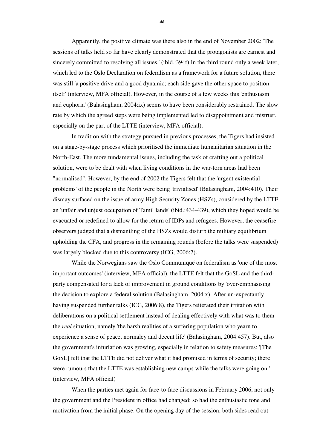Apparently, the positive climate was there also in the end of November 2002: 'The sessions of talks held so far have clearly demonstrated that the protagonists are earnest and sincerely committed to resolving all issues.' (ibid.:394f) In the third round only a week later, which led to the Oslo Declaration on federalism as a framework for a future solution, there was still 'a positive drive and a good dynamic; each side gave the other space to position itself' (interview, MFA official). However, in the course of a few weeks this 'enthusiasm and euphoria' (Balasingham, 2004:ix) seems to have been considerably restrained. The slow rate by which the agreed steps were being implemented led to disappointment and mistrust, especially on the part of the LTTE (interview, MFA official).

In tradition with the strategy pursued in previous processes, the Tigers had insisted on a stage-by-stage process which prioritised the immediate humanitarian situation in the North-East. The more fundamental issues, including the task of crafting out a political solution, were to be dealt with when living conditions in the war-torn areas had been "normalised". However, by the end of 2002 the Tigers felt that the 'urgent existential problems' of the people in the North were being 'trivialised' (Balasingham, 2004:410). Their dismay surfaced on the issue of army High Security Zones (HSZs), considered by the LTTE an 'unfair and unjust occupation of Tamil lands' (ibid.:434-439), which they hoped would be evacuated or redefined to allow for the return of IDPs and refugees. However, the ceasefire observers judged that a dismantling of the HSZs would disturb the military equilibrium upholding the CFA, and progress in the remaining rounds (before the talks were suspended) was largely blocked due to this controversy (ICG, 2006:7).

While the Norwegians saw the Oslo Communiqué on federalism as 'one of the most important outcomes' (interview, MFA official), the LTTE felt that the GoSL and the thirdparty compensated for a lack of improvement in ground conditions by 'over-emphasising' the decision to explore a federal solution (Balasingham, 2004:x). After un-expectantly having suspended further talks (ICG, 2006:8), the Tigers reiterated their irritation with deliberations on a political settlement instead of dealing effectively with what was to them the *real* situation, namely 'the harsh realities of a suffering population who yearn to experience a sense of peace, normalcy and decent life' (Balasingham, 2004:457). But, also the government's infuriation was growing, especially in relation to safety measures: '[The GoSL] felt that the LTTE did not deliver what it had promised in terms of security; there were rumours that the LTTE was establishing new camps while the talks were going on.' (interview, MFA official)

When the parties met again for face-to-face discussions in February 2006, not only the government and the President in office had changed; so had the enthusiastic tone and motivation from the initial phase. On the opening day of the session, both sides read out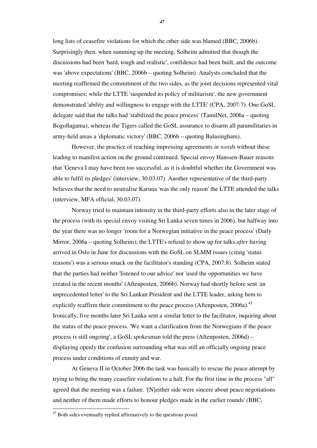long lists of ceasefire violations for which the other side was blamed (BBC, 2006b). Surprisingly then, when summing up the meeting, Solheim admitted that though the discussions had been 'hard, tough and realistic', confidence had been built, and the outcome was 'above expectations' (BBC, 2006b – quoting Solheim). Analysts concluded that the meeting reaffirmed the commitment of the two sides, as the joint decisions represented vital compromises; while the LTTE 'suspended its policy of militarism', the new government demonstrated 'ability and willingness to engage with the LTTE' (CPA, 2007:7). One GoSL delegate said that the talks had 'stabilized the peace process' (TamilNet, 2006a – quoting Bogollagama), whereas the Tigers called the GoSL assurance to disarm all paramilitaries in army-held areas a 'diplomatic victory' (BBC, 2006b – quoting Balasingham).

However, the practice of reaching impressing agreements *in word*s without these leading to manifest action on the ground continued. Special envoy Hanssen-Bauer reasons that 'Geneva I may have been too successful, as it is doubtful whether the Government was able to fulfil its pledges' (interview, 30.03.07). Another representative of the third-party believes that the need to neutralise Karuna 'was the only reason' the LTTE attended the talks (interview, MFA official, 30.03.07).

Norway tried to maintain intensity in the third-party efforts also in the later stage of the process (with its special envoy visiting Sri Lanka seven times in 2006), but halfway into the year there was no longer 'room for a Norwegian initiative in the peace process' (Daily Mirror, 2006a – quoting Solheim); the LTTE's refusal to show up for talks *after* having arrived in Oslo in June for discussions with the GoSL on SLMM issues (citing 'status reasons') was a serious smack on the facilitator's standing (CPA, 2007:8). Solheim stated that the parties had neither 'listened to our advice' nor 'used the opportunities we have created in the recent months' (Aftenposten, 2006b). Norway had shortly before sent 'an unprecedented letter' to the Sri Lankan President and the LTTE leader, asking hem to explicitly reaffirm their commitment to the peace process (Aftenposten, 2006a). $43$ Ironically, five months later Sri Lanka sent a similar letter to the facilitator, inquiring about the status of the peace process. 'We want a clarification from the Norwegians if the peace process is still ongoing', a GoSL spokesman told the press (Aftenposten, 2006d) – displaying openly the confusion surrounding what was still an officially ongoing peace process under conditions of enmity and war.

At Geneva II in October 2006 the task was basically to rescue the peace attempt by trying to bring the many ceasefire violations to a halt. For the first time in the process "all" agreed that the meeting was a failure. '[N]either side were sincere about peace negotiations and neither of them made efforts to honour pledges made in the earlier rounds' (BBC,

 $\overline{a}$ 

<sup>&</sup>lt;sup>43</sup> Both sides eventually replied affirmatively to the questions posed.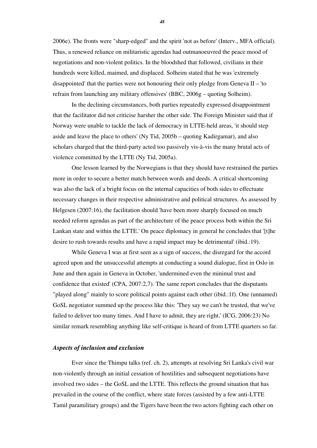2006e). The fronts were "sharp-edged" and the spirit 'not as before' (Interv., MFA official). Thus, a renewed reliance on militaristic agendas had outmanoeuvred the peace mood of negotiations and non-violent politics. In the bloodshed that followed, civilians in their hundreds were killed, maimed, and displaced. Solheim stated that he was 'extremely disappointed' that the parties were not honouring their only pledge from Geneva  $II$  – 'to refrain from launching any military offensives' (BBC, 2006g – quoting Solheim).

In the declining circumstances, both parties repeatedly expressed disappointment that the facilitator did not criticise harsher the other side. The Foreign Minister said that if Norway were unable to tackle the lack of democracy in LTTE-held areas, 'it should step aside and leave the place to others' (Ny Tid, 2005b – quoting Kadirgamar), and also scholars charged that the third-party acted too passively vis-à-vis the many brutal acts of violence committed by the LTTE (Ny Tid, 2005a).

One lesson learned by the Norwegians is that they should have restrained the parties more in order to secure a better match between words and deeds. A critical shortcoming was also the lack of a bright focus on the internal capacities of both sides to effectuate necessary changes in their respective administrative and political structures. As assessed by Helgesen (2007:16), the facilitation should 'have been more sharply focused on much needed reform agendas as part of the architecture of the peace process both within the Sri Lankan state and within the LTTE.' On peace diplomacy in general he concludes that '[t]he desire to rush towards results and have a rapid impact may be detrimental' (ibid.:19).

While Geneva I was at first seen as a sign of success, the disregard for the accord agreed upon and the unsuccessful attempts at conducting a sound dialogue, first in Oslo in June and then again in Geneva in October, 'undermined even the minimal trust and confidence that existed' (CPA, 2007:2,7). The same report concludes that the disputants "played along" mainly to score political points against each other (ibid.:1f). One (unnamed) GoSL negotiator summed up the process like this: 'They say we can't be trusted, that we've failed to deliver too many times. And I have to admit, they are right.' (ICG, 2006:23) No similar remark resembling anything like self-critique is heard of from LTTE quarters so far.

# *Aspects of inclusion and exclusion*

Ever since the Thimpu talks (ref. ch. 2), attempts at resolving Sri Lanka's civil war non-violently through an initial cessation of hostilities and subsequent negotiations have involved two sides – the GoSL and the LTTE. This reflects the ground situation that has prevailed in the course of the conflict, where state forces (assisted by a few anti-LTTE Tamil paramilitary groups) and the Tigers have been the two actors fighting each other on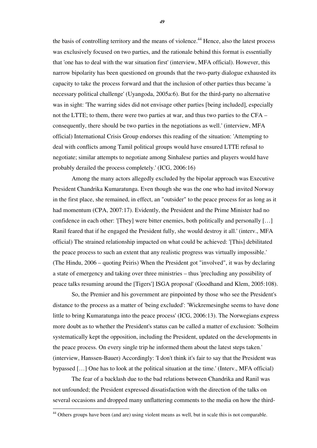the basis of controlling territory and the means of violence.<sup>44</sup> Hence, also the latest process was exclusively focused on two parties, and the rationale behind this format is essentially that 'one has to deal with the war situation first' (interview, MFA official). However, this narrow bipolarity has been questioned on grounds that the two-party dialogue exhausted its capacity to take the process forward and that the inclusion of other parties thus became 'a necessary political challenge' (Uyangoda, 2005a:6). But for the third-party no alternative was in sight: 'The warring sides did not envisage other parties [being included], especially not the LTTE; to them, there were two parties at war, and thus two parties to the CFA – consequently, there should be two parties in the negotiations as well.' (interview, MFA official) International Crisis Group endorses this reading of the situation: 'Attempting to deal with conflicts among Tamil political groups would have ensured LTTE refusal to negotiate; similar attempts to negotiate among Sinhalese parties and players would have probably derailed the process completely.' (ICG, 2006:16)

Among the many actors allegedly excluded by the bipolar approach was Executive President Chandrika Kumaratunga. Even though she was the one who had invited Norway in the first place, she remained, in effect, an "outsider" to the peace process for as long as it had momentum (CPA, 2007:17). Evidently, the President and the Prime Minister had no confidence in each other: '[They] were bitter enemies, both politically and personally […] Ranil feared that if he engaged the President fully, she would destroy it all.' (interv., MFA official) The strained relationship impacted on what could be achieved: '[This] debilitated the peace process to such an extent that any realistic progress was virtually impossible.' (The Hindu, 2006 – quoting Peiris) When the President got "involved", it was by declaring a state of emergency and taking over three ministries – thus 'precluding any possibility of peace talks resuming around the [Tigers'] ISGA proposal' (Goodhand and Klem, 2005:108).

So, the Premier and his government are pinpointed by those who see the President's distance to the process as a matter of 'being excluded': 'Wickremesinghe seems to have done little to bring Kumaratunga into the peace process' (ICG, 2006:13). The Norwegians express more doubt as to whether the President's status can be called a matter of exclusion: 'Solheim systematically kept the opposition, including the President, updated on the developments in the peace process. On every single trip he informed them about the latest steps taken.' (interview, Hanssen-Bauer) Accordingly: 'I don't think it's fair to say that the President was bypassed […] One has to look at the political situation at the time.' (Interv., MFA official)

The fear of a backlash due to the bad relations between Chandrika and Ranil was not unfounded; the President expressed dissatisfaction with the direction of the talks on several occasions and dropped many unflattering comments to the media on how the third-

 $\overline{a}$ 

<sup>&</sup>lt;sup>44</sup> Others groups have been (and are) using violent means as well, but in scale this is not comparable.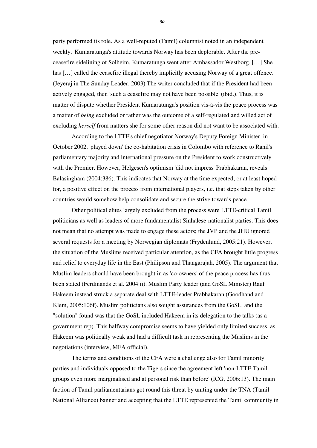party performed its role. As a well-reputed (Tamil) columnist noted in an independent weekly, 'Kumaratunga's attitude towards Norway has been deplorable. After the preceasefire sidelining of Solheim, Kumaratunga went after Ambassador Westborg. […] She has [...] called the ceasefire illegal thereby implicitly accusing Norway of a great offence.' (Jeyeraj in The Sunday Leader, 2003) The writer concluded that if the President had been actively engaged, then 'such a ceasefire may not have been possible' (ibid.). Thus, it is matter of dispute whether President Kumaratunga's position vis-à-vis the peace process was a matter of *being* excluded or rather was the outcome of a self-regulated and willed act of excluding *herself* from matters she for some other reason did not want to be associated with.

According to the LTTE's chief negotiator Norway's Deputy Foreign Minister, in October 2002, 'played down' the co-habitation crisis in Colombo with reference to Ranil's parliamentary majority and international pressure on the President to work constructively with the Premier. However, Helgesen's optimism 'did not impress' Prabhakaran, reveals Balasingham (2004:386). This indicates that Norway at the time expected, or at least hoped for, a positive effect on the process from international players, i.e. that steps taken by other countries would somehow help consolidate and secure the strive towards peace.

Other political elites largely excluded from the process were LTTE-critical Tamil politicians as well as leaders of more fundamentalist Sinhalese-nationalist parties. This does not mean that no attempt was made to engage these actors; the JVP and the JHU ignored several requests for a meeting by Norwegian diplomats (Frydenlund, 2005:21). However, the situation of the Muslims received particular attention, as the CFA brought little progress and relief to everyday life in the East (Philipson and Thangarajah, 2005). The argument that Muslim leaders should have been brought in as 'co-owners' of the peace process has thus been stated (Ferdinands et al. 2004:ii). Muslim Party leader (and GoSL Minister) Rauf Hakeem instead struck a separate deal with LTTE-leader Prabhakaran (Goodhand and Klem, 2005:106f). Muslim politicians also sought assurances from the GoSL, and the "solution" found was that the GoSL included Hakeem in its delegation to the talks (as a government rep). This halfway compromise seems to have yielded only limited success, as Hakeem was politically weak and had a difficult task in representing the Muslims in the negotiations (interview, MFA official).

The terms and conditions of the CFA were a challenge also for Tamil minority parties and individuals opposed to the Tigers since the agreement left 'non-LTTE Tamil groups even more marginalised and at personal risk than before' (ICG, 2006:13). The main faction of Tamil parliamentarians got round this threat by uniting under the TNA (Tamil National Alliance) banner and accepting that the LTTE represented the Tamil community in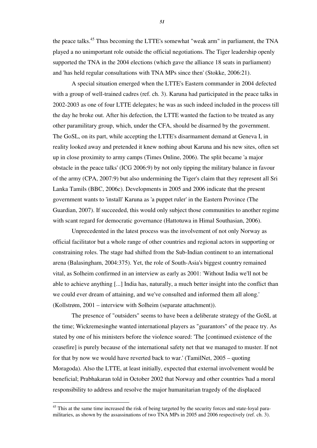the peace talks.<sup>45</sup> Thus becoming the LTTE's somewhat "weak arm" in parliament, the TNA played a no unimportant role outside the official negotiations. The Tiger leadership openly supported the TNA in the 2004 elections (which gave the alliance 18 seats in parliament) and 'has held regular consultations with TNA MPs since then' (Stokke, 2006:21).

A special situation emerged when the LTTE's Eastern commander in 2004 defected with a group of well-trained cadres (ref. ch. 3). Karuna had participated in the peace talks in 2002-2003 as one of four LTTE delegates; he was as such indeed included in the process till the day he broke out. After his defection, the LTTE wanted the faction to be treated as any other paramilitary group, which, under the CFA, should be disarmed by the government. The GoSL, on its part, while accepting the LTTE's disarmament demand at Geneva I, in reality looked away and pretended it knew nothing about Karuna and his new sites, often set up in close proximity to army camps (Times Online, 2006). The split became 'a major obstacle in the peace talks' (ICG 2006:9) by not only tipping the military balance in favour of the army (CPA, 2007:9) but also undermining the Tiger's claim that they represent all Sri Lanka Tamils (BBC, 2006c). Developments in 2005 and 2006 indicate that the present government wants to 'install' Karuna as 'a puppet ruler' in the Eastern Province (The Guardian, 2007). If succeeded, this would only subject those communities to another regime with scant regard for democratic governance (Hattotuwa in Himal Southasian, 2006).

Unprecedented in the latest process was the involvement of not only Norway as official facilitator but a whole range of other countries and regional actors in supporting or constraining roles. The stage had shifted from the Sub-Indian continent to an international arena (Balasingham, 2004:375). Yet, the role of South-Asia's biggest country remained vital, as Solheim confirmed in an interview as early as 2001: 'Without India we'll not be able to achieve anything [...] India has, naturally, a much better insight into the conflict than we could ever dream of attaining, and we've consulted and informed them all along.' (Kollstrøm, 2001 – interview with Solheim (separate attachment)).

The presence of "outsiders" seems to have been a deliberate strategy of the GoSL at the time; Wickremesinghe wanted international players as "guarantors" of the peace try. As stated by one of his ministers before the violence soared: 'The [continued existence of the ceasefire] is purely because of the international safety net that we managed to muster. If not for that by now we would have reverted back to war.' (TamilNet, 2005 – quoting Moragoda). Also the LTTE, at least initially, expected that external involvement would be beneficial; Prabhakaran told in October 2002 that Norway and other countries 'had a moral responsibility to address and resolve the major humanitarian tragedy of the displaced

 $\overline{a}$ 

<sup>&</sup>lt;sup>45</sup> This at the same time increased the risk of being targeted by the security forces and state-loyal paramilitaries, as shown by the assassinations of two TNA MPs in 2005 and 2006 respectively (ref. ch. 3).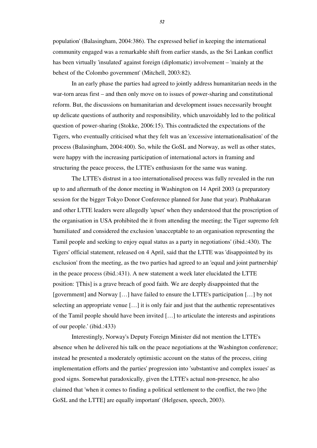population' (Balasingham, 2004:386). The expressed belief in keeping the international community engaged was a remarkable shift from earlier stands, as the Sri Lankan conflict has been virtually 'insulated' against foreign (diplomatic) involvement – 'mainly at the behest of the Colombo government' (Mitchell, 2003:82).

In an early phase the parties had agreed to jointly address humanitarian needs in the war-torn areas first – and then only move on to issues of power-sharing and constitutional reform. But, the discussions on humanitarian and development issues necessarily brought up delicate questions of authority and responsibility, which unavoidably led to the political question of power-sharing (Stokke, 2006:15). This contradicted the expectations of the Tigers, who eventually criticised what they felt was an 'excessive internationalisation' of the process (Balasingham, 2004:400). So, while the GoSL and Norway, as well as other states, were happy with the increasing participation of international actors in framing and structuring the peace process, the LTTE's enthusiasm for the same was waning.

The LTTE's distrust in a too internationalised process was fully revealed in the run up to and aftermath of the donor meeting in Washington on 14 April 2003 (a preparatory session for the bigger Tokyo Donor Conference planned for June that year). Prabhakaran and other LTTE leaders were allegedly 'upset' when they understood that the proscription of the organisation in USA prohibited the it from attending the meeting; the Tiger supremo felt 'humiliated' and considered the exclusion 'unacceptable to an organisation representing the Tamil people and seeking to enjoy equal status as a party in negotiations' (ibid.:430). The Tigers' official statement, released on 4 April, said that the LTTE was 'disappointed by its exclusion' from the meeting, as the two parties had agreed to an 'equal and joint partnership' in the peace process (ibid.:431). A new statement a week later elucidated the LTTE position: '[This] is a grave breach of good faith. We are deeply disappointed that the [government] and Norway […] have failed to ensure the LTTE's participation […] by not selecting an appropriate venue […] it is only fair and just that the authentic representatives of the Tamil people should have been invited […] to articulate the interests and aspirations of our people.' (ibid.:433)

Interestingly, Norway's Deputy Foreign Minister did not mention the LTTE's absence when he delivered his talk on the peace negotiations at the Washington conference; instead he presented a moderately optimistic account on the status of the process, citing implementation efforts and the parties' progression into 'substantive and complex issues' as good signs. Somewhat paradoxically, given the LTTE's actual non-presence, he also claimed that 'when it comes to finding a political settlement to the conflict, the two [the GoSL and the LTTE] are equally important' (Helgesen, speech, 2003).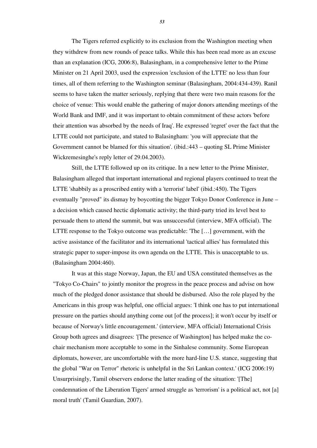The Tigers referred explicitly to its exclusion from the Washington meeting when they withdrew from new rounds of peace talks. While this has been read more as an excuse than an explanation (ICG, 2006:8), Balasingham, in a comprehensive letter to the Prime Minister on 21 April 2003, used the expression 'exclusion of the LTTE' no less than four times, all of them referring to the Washington seminar (Balasingham, 2004:434-439). Ranil seems to have taken the matter seriously, replying that there were two main reasons for the choice of venue: This would enable the gathering of major donors attending meetings of the World Bank and IMF, and it was important to obtain commitment of these actors 'before their attention was absorbed by the needs of Iraq'. He expressed 'regret' over the fact that the LTTE could not participate, and stated to Balasingham: 'you will appreciate that the Government cannot be blamed for this situation'. (ibid.:443 – quoting SL Prime Minister Wickremesinghe's reply letter of 29.04.2003).

Still, the LTTE followed up on its critique. In a new letter to the Prime Minister, Balasingham alleged that important international and regional players continued to treat the LTTE 'shabbily as a proscribed entity with a 'terrorist' label' (ibid.:450). The Tigers eventually "proved" its dismay by boycotting the bigger Tokyo Donor Conference in June – a decision which caused hectic diplomatic activity; the third-party tried its level best to persuade them to attend the summit, but was unsuccessful (interview, MFA official). The LTTE response to the Tokyo outcome was predictable: 'The […] government, with the active assistance of the facilitator and its international 'tactical allies' has formulated this strategic paper to super-impose its own agenda on the LTTE. This is unacceptable to us. (Balasingham 2004:460).

It was at this stage Norway, Japan, the EU and USA constituted themselves as the "Tokyo Co-Chairs" to jointly monitor the progress in the peace process and advise on how much of the pledged donor assistance that should be disbursed. Also the role played by the Americans in this group was helpful, one official argues: 'I think one has to put international pressure on the parties should anything come out [of the process]; it won't occur by itself or because of Norway's little encouragement.' (interview, MFA official) International Crisis Group both agrees and disagrees: '[The presence of Washington] has helped make the cochair mechanism more acceptable to some in the Sinhalese community. Some European diplomats, however, are uncomfortable with the more hard-line U.S. stance, suggesting that the global "War on Terror" rhetoric is unhelpful in the Sri Lankan context.' (ICG 2006:19) Unsurprisingly, Tamil observers endorse the latter reading of the situation: '[The] condemnation of the Liberation Tigers' armed struggle as 'terrorism' is a political act, not [a] moral truth' (Tamil Guardian, 2007).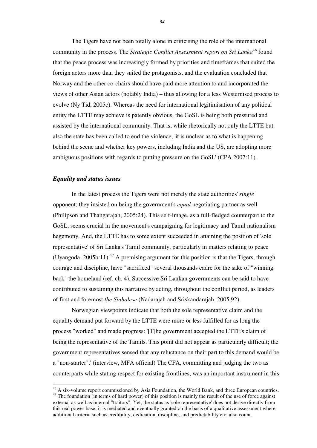The Tigers have not been totally alone in criticising the role of the international community in the process. The *Strategic Conflict Assessment report on Sri Lanka*<sup>46</sup> found that the peace process was increasingly formed by priorities and timeframes that suited the foreign actors more than they suited the protagonists, and the evaluation concluded that Norway and the other co-chairs should have paid more attention to and incorporated the views of other Asian actors (notably India) – thus allowing for a less Westernised process to evolve (Ny Tid, 2005c). Whereas the need for international legitimisation of any political entity the LTTE may achieve is patently obvious, the GoSL is being both pressured and assisted by the international community. That is, while rhetorically not only the LTTE but also the state has been called to end the violence, 'it is unclear as to what is happening behind the scene and whether key powers, including India and the US, are adopting more ambiguous positions with regards to putting pressure on the GoSL' (CPA 2007:11).

# *Equality and status issues*

 $\overline{a}$ 

In the latest process the Tigers were not merely the state authorities' *single* opponent; they insisted on being the government's *equal* negotiating partner as well (Philipson and Thangarajah, 2005:24). This self-image, as a full-fledged counterpart to the GoSL, seems crucial in the movement's campaigning for legitimacy and Tamil nationalism hegemony. And, the LTTE has to some extent succeeded in attaining the position of 'sole representative' of Sri Lanka's Tamil community, particularly in matters relating to peace (Uyangoda, 2005b:11).<sup>47</sup> A premising argument for this position is that the Tigers, through courage and discipline, have "sacrificed" several thousands cadre for the sake of "winning back" the homeland (ref. ch. 4). Successive Sri Lankan governments can be said to have contributed to sustaining this narrative by acting, throughout the conflict period, as leaders of first and foremost *the Sinhalese* (Nadarajah and Sriskandarajah, 2005:92).

Norwegian viewpoints indicate that both the sole representative claim and the equality demand put forward by the LTTE were more or less fulfilled for as long the process "worked" and made progress: '[T]he government accepted the LTTE's claim of being the representative of the Tamils. This point did not appear as particularly difficult; the government representatives sensed that any reluctance on their part to this demand would be a "non-starter".' (interview, MFA official) The CFA, committing and judging the two as counterparts while stating respect for existing frontlines, was an important instrument in this

<sup>&</sup>lt;sup>46</sup> A six-volume report commissioned by Asia Foundation, the World Bank, and three European countries.  $47$  The foundation (in terms of hard power) of this position is mainly the result of the use of force against external as well as internal "traitors". Yet, the status as 'sole representative' does not derive directly from this real power base; it is mediated and eventually granted on the basis of a qualitative assessment where additional criteria such as credibility, dedication, discipline, and predictability etc. also count.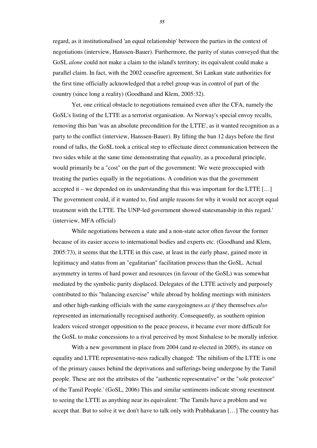regard, as it institutionalised 'an equal relationship' between the parties in the context of negotiations (interview, Hanssen-Bauer). Furthermore, the parity of status conveyed that the GoSL *alone* could not make a claim to the island's territory; its equivalent could make a parallel claim. In fact, with the 2002 ceasefire agreement, Sri Lankan state authorities for the first time officially acknowledged that a rebel group was in control of part of the country (since long a reality) (Goodhand and Klem, 2005:32).

Yet, one critical obstacle to negotiations remained even after the CFA, namely the GoSL's listing of the LTTE as a terrorist organisation. As Norway's special envoy recalls, removing this ban 'was an absolute precondition for the LTTE', as it wanted recognition as a party to the conflict (interview, Hanssen-Bauer). By lifting the ban 12 days before the first round of talks, the GoSL took a critical step to effectuate direct communication between the two sides while at the same time demonstrating that *equality*, as a procedural principle, would primarily be a "cost" on the part of the government: 'We were preoccupied with treating the parties equally in the negotiations. A condition was that the government accepted it – we depended on its understanding that this was important for the LTTE […] The government could, if it wanted to, find ample reasons for why it would not accept equal treatment with the LTTE. The UNP-led government showed statesmanship in this regard.' (interview, MFA official)

While negotiations between a state and a non-state actor often favour the former because of its easier access to international bodies and experts etc. (Goodhand and Klem, 2005:73), it seems that the LTTE in this case, at least in the early phase, gained more in legitimacy and status from an "egalitarian" facilitation process than the GoSL. Actual asymmetry in terms of hard power and resources (in favour of the GoSL) was somewhat mediated by the symbolic parity displaced. Delegates of the LTTE actively and purposely contributed to this "balancing exercise" while abroad by holding meetings with ministers and other high-ranking officials with the same easygoingness *as if* they themselves *also*  represented an internationally recognised authority. Consequently, as southern opinion leaders voiced stronger opposition to the peace process, it became ever more difficult for the GoSL to make concessions to a rival perceived by most Sinhalese to be morally inferior.

With a new government in place from 2004 (and re-elected in 2005), its stance on equality and LTTE representative-ness radically changed: 'The nihilism of the LTTE is one of the primary causes behind the deprivations and sufferings being undergone by the Tamil people. These are not the attributes of the "authentic representative" or the "sole protector" of the Tamil People.' (GoSL, 2006) This and similar sentiments indicate strong resentment to seeing the LTTE as anything near its equivalent: 'The Tamils have a problem and we accept that. But to solve it we don't have to talk only with Prabhakaran […] The country has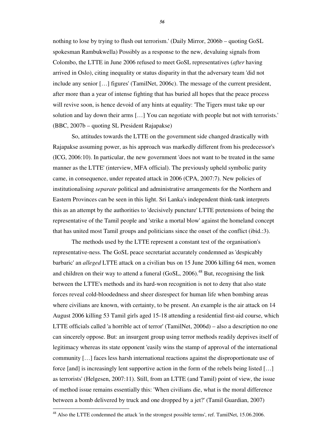nothing to lose by trying to flush out terrorism.' (Daily Mirror, 2006b – quoting GoSL spokesman Rambukwella) Possibly as a response to the new, devaluing signals from Colombo, the LTTE in June 2006 refused to meet GoSL representatives (*after* having arrived in Oslo), citing inequality or status disparity in that the adversary team 'did not include any senior […] figures' (TamilNet, 2006c). The message of the current president, after more than a year of intense fighting that has buried all hopes that the peace process will revive soon, is hence devoid of any hints at equality: 'The Tigers must take up our solution and lay down their arms […] You can negotiate with people but not with terrorists.' (BBC, 2007b – quoting SL President Rajapakse)

So, attitudes towards the LTTE on the government side changed drastically with Rajapakse assuming power, as his approach was markedly different from his predecessor's (ICG, 2006:10). In particular, the new government 'does not want to be treated in the same manner as the LTTE' (interview, MFA official). The previously upheld symbolic parity came, in consequence, under repeated attack in 2006 (CPA, 2007:7). New policies of institutionalising *separate* political and administrative arrangements for the Northern and Eastern Provinces can be seen in this light. Sri Lanka's independent think-tank interprets this as an attempt by the authorities to 'decisively puncture' LTTE pretensions of being the representative of the Tamil people and 'strike a mortal blow' against the homeland concept that has united most Tamil groups and politicians since the onset of the conflict (ibid.:3).

The methods used by the LTTE represent a constant test of the organisation's representative-ness. The GoSL peace secretariat accurately condemned as 'despicably barbaric' an *alleged* LTTE attack on a civilian bus on 15 June 2006 killing 64 men, women and children on their way to attend a funeral  $(GoSL, 2006)$ <sup>48</sup> But, recognising the link between the LTTE's methods and its hard-won recognition is not to deny that also state forces reveal cold-bloodedness and sheer disrespect for human life when bombing areas where civilians are known, with certainty, to be present. An example is the air attack on 14 August 2006 killing 53 Tamil girls aged 15-18 attending a residential first-aid course, which LTTE officials called 'a horrible act of terror' (TamilNet, 2006d) – also a description no one can sincerely oppose. But: an insurgent group using terror methods readily deprives itself of legitimacy whereas its state opponent 'easily wins the stamp of approval of the international community […] faces less harsh international reactions against the disproportionate use of force [and] is increasingly lent supportive action in the form of the rebels being listed […] as terrorists' (Helgesen, 2007:11). Still, from an LTTE (and Tamil) point of view, the issue of method issue remains essentially this: 'When civilians die, what is the moral difference between a bomb delivered by truck and one dropped by a jet?' (Tamil Guardian, 2007)

 $\overline{a}$ 

 $48$  Also the LTTE condemned the attack 'in the strongest possible terms', ref. TamilNet, 15.06.2006.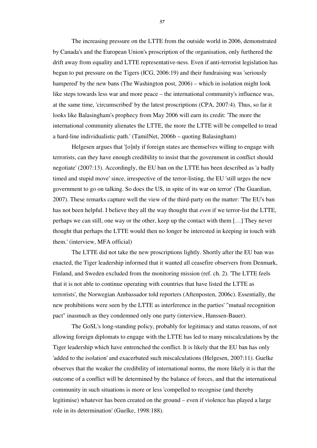The increasing pressure on the LTTE from the outside world in 2006, demonstrated by Canada's and the European Union's proscription of the organisation, only furthered the drift away from equality and LTTE representative-ness. Even if anti-terrorist legislation has begun to put pressure on the Tigers (ICG, 2006:19) and their fundraising was 'seriously hampered' by the new bans (The Washington post, 2006) – which in isolation might look like steps towards less war and more peace – the international community's influence was, at the same time, 'circumscribed' by the latest proscriptions (CPA, 2007:4). Thus, so far it looks like Balasingham's prophecy from May 2006 will earn its credit: 'The more the international community alienates the LTTE, the more the LTTE will be compelled to tread a hard-line individualistic path.' (TamilNet, 2006b – quoting Balasingham)

Helgesen argues that '[o]nly if foreign states are themselves willing to engage with terrorists, can they have enough credibility to insist that the government in conflict should negotiate' (2007:13). Accordingly, the EU ban on the LTTE has been described as 'a badly timed and stupid move' since, irrespective of the terror-listing, the EU 'still urges the new government to go on talking. So does the US, in spite of its war on terror' (The Guardian, 2007). These remarks capture well the view of the third-party on the matter: 'The EU's ban has not been helpful. I believe they all the way thought that *even* if we terror-list the LTTE, perhaps we can still, one way or the other, keep up the contact with them […] They never thought that perhaps the LTTE would then no longer be interested in keeping in touch with them.' (interview, MFA official)

The LTTE did not take the new proscriptions lightly. Shortly after the EU ban was enacted, the Tiger leadership informed that it wanted all ceasefire observers from Denmark, Finland, and Sweden excluded from the monitoring mission (ref. ch. 2). 'The LTTE feels that it is not able to continue operating with countries that have listed the LTTE as terrorists', the Norwegian Ambassador told reporters (Aftenposten, 2006c). Essentially, the new prohibitions were seen by the LTTE as interference in the parties' "mutual recognition pact" inasmuch as they condemned only one party (interview, Hanssen-Bauer).

The GoSL's long-standing policy, probably for legitimacy and status reasons, of not allowing foreign diplomats to engage with the LTTE has led to many miscalculations by the Tiger leadership which have entrenched the conflict. It is likely that the EU ban has only 'added to the isolation' and exacerbated such miscalculations (Helgesen, 2007:11). Guelke observes that the weaker the credibility of international norms, the more likely it is that the outcome of a conflict will be determined by the balance of forces, and that the international community in such situations is more or less 'compelled to recognise (and thereby legitimise) whatever has been created on the ground – even if violence has played a large role in its determination' (Guelke, 1998:188).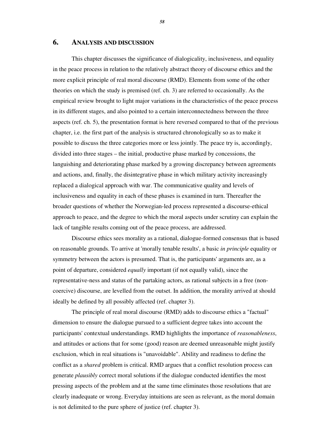# **6. ANALYSIS AND DISCUSSION**

This chapter discusses the significance of dialogicality, inclusiveness, and equality in the peace process in relation to the relatively abstract theory of discourse ethics and the more explicit principle of real moral discourse (RMD). Elements from some of the other theories on which the study is premised (ref. ch. 3) are referred to occasionally. As the empirical review brought to light major variations in the characteristics of the peace process in its different stages, and also pointed to a certain interconnectedness between the three aspects (ref. ch. 5), the presentation format is here reversed compared to that of the previous chapter, i.e. the first part of the analysis is structured chronologically so as to make it possible to discuss the three categories more or less jointly. The peace try is, accordingly, divided into three stages – the initial, productive phase marked by concessions, the languishing and deteriorating phase marked by a growing discrepancy between agreements and actions, and, finally, the disintegrative phase in which military activity increasingly replaced a dialogical approach with war. The communicative quality and levels of inclusiveness and equality in each of these phases is examined in turn. Thereafter the broader questions of whether the Norwegian-led process represented a discourse-ethical approach to peace, and the degree to which the moral aspects under scrutiny can explain the lack of tangible results coming out of the peace process, are addressed.

Discourse ethics sees morality as a rational, dialogue-formed consensus that is based on reasonable grounds. To arrive at 'morally tenable results', a basic *in principle* equality or symmetry between the actors is presumed. That is, the participants' arguments are, as a point of departure, considered *equally* important (if not equally valid), since the representative-ness and status of the partaking actors, as rational subjects in a free (noncoercive) discourse, are levelled from the outset. In addition, the morality arrived at should ideally be defined by all possibly affected (ref. chapter 3).

The principle of real moral discourse (RMD) adds to discourse ethics a "factual" dimension to ensure the dialogue pursued to a sufficient degree takes into account the participants' contextual understandings. RMD highlights the importance of *reasonableness*, and attitudes or actions that for some (good) reason are deemed unreasonable might justify exclusion, which in real situations is "unavoidable". Ability and readiness to define the conflict as a *shared* problem is critical. RMD argues that a conflict resolution process can generate *plausibly* correct moral solutions if the dialogue conducted identifies the most pressing aspects of the problem and at the same time eliminates those resolutions that are clearly inadequate or wrong. Everyday intuitions are seen as relevant, as the moral domain is not delimited to the pure sphere of justice (ref. chapter 3).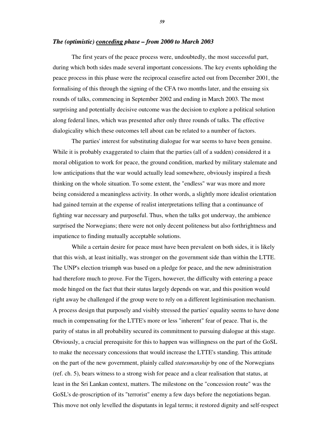### *The (optimistic) conceding phase – from 2000 to March 2003*

 The first years of the peace process were, undoubtedly, the most successful part, during which both sides made several important concessions. The key events upholding the peace process in this phase were the reciprocal ceasefire acted out from December 2001, the formalising of this through the signing of the CFA two months later, and the ensuing six rounds of talks, commencing in September 2002 and ending in March 2003. The most surprising and potentially decisive outcome was the decision to explore a political solution along federal lines, which was presented after only three rounds of talks. The effective dialogicality which these outcomes tell about can be related to a number of factors.

The parties' interest for substituting dialogue for war seems to have been genuine. While it is probably exaggerated to claim that the parties (all of a sudden) considered it a moral obligation to work for peace, the ground condition, marked by military stalemate and low anticipations that the war would actually lead somewhere, obviously inspired a fresh thinking on the whole situation. To some extent, the "endless" war was more and more being considered a meaningless activity. In other words, a slightly more idealist orientation had gained terrain at the expense of realist interpretations telling that a continuance of fighting war necessary and purposeful. Thus, when the talks got underway, the ambience surprised the Norwegians; there were not only decent politeness but also forthrightness and impatience to finding mutually acceptable solutions.

While a certain desire for peace must have been prevalent on both sides, it is likely that this wish, at least initially, was stronger on the government side than within the LTTE. The UNP's election triumph was based on a pledge for peace, and the new administration had therefore much to prove. For the Tigers, however, the difficulty with entering a peace mode hinged on the fact that their status largely depends on war, and this position would right away be challenged if the group were to rely on a different legitimisation mechanism. A process design that purposely and visibly stressed the parties' equality seems to have done much in compensating for the LTTE's more or less "inherent" fear of peace. That is, the parity of status in all probability secured its commitment to pursuing dialogue at this stage. Obviously, a crucial prerequisite for this to happen was willingness on the part of the GoSL to make the necessary concessions that would increase the LTTE's standing. This attitude on the part of the new government, plainly called *statesmanship* by one of the Norwegians (ref. ch. 5), bears witness to a strong wish for peace and a clear realisation that status, at least in the Sri Lankan context, matters. The milestone on the "concession route" was the GoSL's de-proscription of its "terrorist" enemy a few days before the negotiations began. This move not only levelled the disputants in legal terms; it restored dignity and self-respect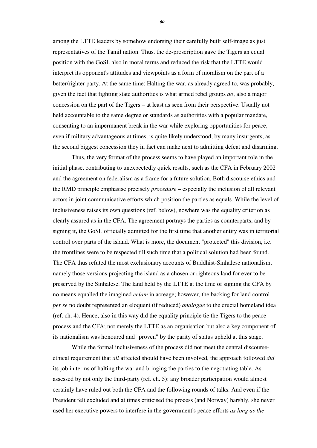among the LTTE leaders by somehow endorsing their carefully built self-image as just representatives of the Tamil nation. Thus, the de-proscription gave the Tigers an equal position with the GoSL also in moral terms and reduced the risk that the LTTE would interpret its opponent's attitudes and viewpoints as a form of moralism on the part of a better/righter party. At the same time: Halting the war, as already agreed to, was probably, given the fact that fighting state authorities is what armed rebel groups *do*, also a major concession on the part of the Tigers – at least as seen from their perspective. Usually not held accountable to the same degree or standards as authorities with a popular mandate, consenting to an impermanent break in the war while exploring opportunities for peace, even if military advantageous at times, is quite likely understood, by many insurgents, as the second biggest concession they in fact can make next to admitting defeat and disarming.

Thus, the very format of the process seems to have played an important role in the initial phase, contributing to unexpectedly quick results, such as the CFA in February 2002 and the agreement on federalism as a frame for a future solution. Both discourse ethics and the RMD principle emphasise precisely *procedure* – especially the inclusion of all relevant actors in joint communicative efforts which position the parties as equals. While the level of inclusiveness raises its own questions (ref. below), nowhere was the equality criterion as clearly assured as in the CFA. The agreement portrays the parties as counterparts, and by signing it, the GoSL officially admitted for the first time that another entity was in territorial control over parts of the island. What is more, the document "protected" this division, i.e. the frontlines were to be respected till such time that a political solution had been found. The CFA thus refuted the most exclusionary accounts of Buddhist-Sinhalese nationalism, namely those versions projecting the island as a chosen or righteous land for ever to be preserved by the Sinhalese. The land held by the LTTE at the time of signing the CFA by no means equalled the imagined *eelam* in acreage; however, the backing for land control *per se* no doubt represented an eloquent (if reduced) *analogue* to the crucial homeland idea (ref. ch. 4). Hence, also in this way did the equality principle tie the Tigers to the peace process and the CFA; not merely the LTTE as an organisation but also a key component of its nationalism was honoured and "proven" by the parity of status upheld at this stage.

While the formal inclusiveness of the process did not meet the central discourseethical requirement that *all* affected should have been involved, the approach followed *did*  its job in terms of halting the war and bringing the parties to the negotiating table. As assessed by not only the third-party (ref. ch. 5): any broader participation would almost certainly have ruled out both the CFA and the following rounds of talks. And even if the President felt excluded and at times criticised the process (and Norway) harshly, she never used her executive powers to interfere in the government's peace efforts *as long as the*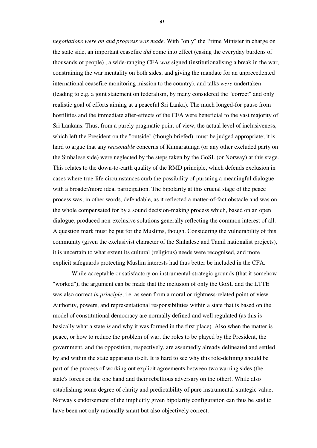*negotiations were on and progress was made.* With "only" the Prime Minister in charge on the state side, an important ceasefire *did* come into effect (easing the everyday burdens of thousands of people) , a wide-ranging CFA *was* signed (institutionalising a break in the war, constraining the war mentality on both sides, and giving the mandate for an unprecedented international ceasefire monitoring mission to the country), and talks *were* undertaken (leading to e.g. a joint statement on federalism, by many considered the "correct" and only realistic goal of efforts aiming at a peaceful Sri Lanka). The much longed-for pause from hostilities and the immediate after-effects of the CFA were beneficial to the vast majority of Sri Lankans. Thus, from a purely pragmatic point of view, the actual level of inclusiveness, which left the President on the "outside" (though briefed), must be judged appropriate; it is hard to argue that any *reasonable* concerns of Kumaratunga (or any other excluded party on the Sinhalese side) were neglected by the steps taken by the GoSL (or Norway) at this stage. This relates to the down-to-earth quality of the RMD principle, which defends exclusion in cases where true-life circumstances curb the possibility of pursuing a meaningful dialogue with a broader/more ideal participation. The bipolarity at this crucial stage of the peace process was, in other words, defendable, as it reflected a matter-of-fact obstacle and was on the whole compensated for by a sound decision-making process which, based on an open dialogue, produced non-exclusive solutions generally reflecting the common interest of all. A question mark must be put for the Muslims, though. Considering the vulnerability of this community (given the exclusivist character of the Sinhalese and Tamil nationalist projects), it is uncertain to what extent its cultural (religious) needs were recognised, and more explicit safeguards protecting Muslim interests had thus better be included in the CFA.

While acceptable or satisfactory on instrumental-strategic grounds (that it somehow "worked"), the argument can be made that the inclusion of only the GoSL and the LTTE was also correct *in principle*, i.e. as seen from a moral or rightness-related point of view. Authority, powers, and representational responsibilities within a state that is based on the model of constitutional democracy are normally defined and well regulated (as this is basically what a state *is* and why it was formed in the first place). Also when the matter is peace, or how to reduce the problem of war, the roles to be played by the President, the government, and the opposition, respectively, are assumedly already delineated and settled by and within the state apparatus itself. It is hard to see why this role-defining should be part of the process of working out explicit agreements between two warring sides (the state's forces on the one hand and their rebellious adversary on the other). While also establishing some degree of clarity and predictability of pure instrumental-strategic value, Norway's endorsement of the implicitly given bipolarity configuration can thus be said to have been not only rationally smart but also objectively correct.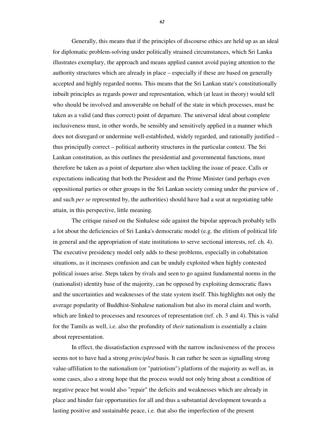Generally, this means that if the principles of discourse ethics are held up as an ideal for diplomatic problem-solving under politically strained circumstances, which Sri Lanka illustrates exemplary, the approach and means applied cannot avoid paying attention to the authority structures which are already in place – especially if these are based on generally accepted and highly regarded norms. This means that the Sri Lankan state's constitutionally inbuilt principles as regards power and representation, which (at least in theory) would tell who should be involved and answerable on behalf of the state in which processes, must be taken as a valid (and thus correct) point of departure. The universal ideal about complete inclusiveness must, in other words, be sensibly and sensitively applied in a manner which does not disregard or undermine well-established, widely regarded, and rationally justified – thus principally correct – political authority structures in the particular context. The Sri Lankan constitution, as this outlines the presidential and governmental functions, must therefore be taken as a point of departure also when tackling the issue of peace. Calls or expectations indicating that both the President and the Prime Minister (and perhaps even oppositional parties or other groups in the Sri Lankan society coming under the purview of , and such *per se* represented by, the authorities) should have had a seat at negotiating table attain, in this perspective, little meaning.

The critique raised on the Sinhalese side against the bipolar approach probably tells a lot about the deficiencies of Sri Lanka's democratic model (e.g. the elitism of political life in general and the appropriation of state institutions to serve sectional interests, ref. ch. 4). The executive presidency model only adds to these problems, especially in cohabitation situations, as it increases confusion and can be unduly exploited when highly contested political issues arise. Steps taken by rivals and seen to go against fundamental norms in the (nationalist) identity base of the majority, can be opposed by exploiting democratic flaws and the uncertainties and weaknesses of the state system itself. This highlights not only the average popularity of Buddhist-Sinhalese nationalism but also its moral claim and worth, which are linked to processes and resources of representation (ref. ch. 3 and 4). This is valid for the Tamils as well, i.e. also the profundity of *their* nationalism is essentially a claim about representation.

In effect, the dissatisfaction expressed with the narrow inclusiveness of the process seems not to have had a strong *principled* basis. It can rather be seen as signalling strong value-affiliation to the nationalism (or "patriotism") platform of the majority as well as, in some cases, also a strong hope that the process would not only bring about a condition of negative peace but would also "repair" the deficits and weaknesses which are already in place and hinder fair opportunities for all and thus a substantial development towards a lasting positive and sustainable peace, i.e. that also the imperfection of the present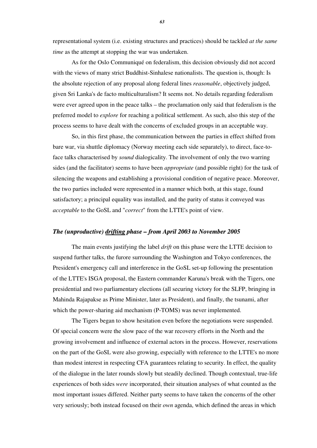representational system (i.e. existing structures and practices) should be tackled *at the same time* as the attempt at stopping the war was undertaken.

As for the Oslo Communiqué on federalism, this decision obviously did not accord with the views of many strict Buddhist-Sinhalese nationalists. The question is, though: Is the absolute rejection of any proposal along federal lines *reasonable*, objectively judged, given Sri Lanka's de facto multiculturalism? It seems not. No details regarding federalism were ever agreed upon in the peace talks – the proclamation only said that federalism is the preferred model to *explore* for reaching a political settlement. As such, also this step of the process seems to have dealt with the concerns of excluded groups in an acceptable way.

So, in this first phase, the communication between the parties in effect shifted from bare war, via shuttle diplomacy (Norway meeting each side separately), to direct, face-toface talks characterised by *sound* dialogicality. The involvement of only the two warring sides (and the facilitator) seems to have been *appropriate* (and possible right) for the task of silencing the weapons and establishing a provisional condition of negative peace. Moreover, the two parties included were represented in a manner which both, at this stage, found satisfactory; a principal equality was installed, and the parity of status it conveyed was *acceptable* to the GoSL and "*correct*" from the LTTE's point of view.

## *The (unproductive) drifting phase – from April 2003 to November 2005*

 The main events justifying the label *drift* on this phase were the LTTE decision to suspend further talks, the furore surrounding the Washington and Tokyo conferences, the President's emergency call and interference in the GoSL set-up following the presentation of the LTTE's ISGA proposal, the Eastern commander Karuna's break with the Tigers, one presidential and two parliamentary elections (all securing victory for the SLFP, bringing in Mahinda Rajapakse as Prime Minister, later as President), and finally, the tsunami, after which the power-sharing aid mechanism (P-TOMS) was never implemented.

 The Tigers began to show hesitation even before the negotiations were suspended. Of special concern were the slow pace of the war recovery efforts in the North and the growing involvement and influence of external actors in the process. However, reservations on the part of the GoSL were also growing, especially with reference to the LTTE's no more than modest interest in respecting CFA guarantees relating to security. In effect, the quality of the dialogue in the later rounds slowly but steadily declined. Though contextual, true-life experiences of both sides *were* incorporated, their situation analyses of what counted as the most important issues differed. Neither party seems to have taken the concerns of the other very seriously; both instead focused on their *own* agenda, which defined the areas in which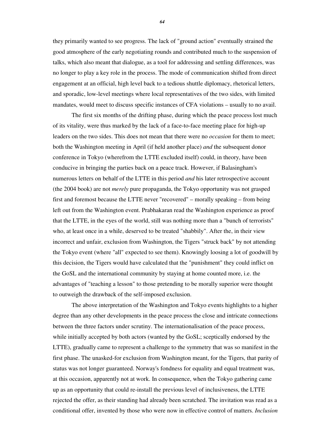they primarily wanted to see progress. The lack of "ground action" eventually strained the good atmosphere of the early negotiating rounds and contributed much to the suspension of talks, which also meant that dialogue, as a tool for addressing and settling differences, was no longer to play a key role in the process. The mode of communication shifted from direct engagement at an official, high level back to a tedious shuttle diplomacy, rhetorical letters, and sporadic, low-level meetings where local representatives of the two sides, with limited mandates, would meet to discuss specific instances of CFA violations – usually to no avail.

The first six months of the drifting phase, during which the peace process lost much of its vitality, were thus marked by the lack of a face-to-face meeting place for high-up leaders on the two sides. This does not mean that there were no *occasion* for them to meet; both the Washington meeting in April (if held another place) *and* the subsequent donor conference in Tokyo (wherefrom the LTTE excluded itself) could, in theory, have been conducive in bringing the parties back on a peace track. However, if Balasingham's numerous letters on behalf of the LTTE in this period *and* his later retrospective account (the 2004 book) are not *merely* pure propaganda, the Tokyo opportunity was not grasped first and foremost because the LTTE never "recovered" – morally speaking – from being left out from the Washington event. Prabhakaran read the Washington experience as proof that the LTTE, in the eyes of the world, still was nothing more than a "bunch of terrorists" who, at least once in a while, deserved to be treated "shabbily". After the, in their view incorrect and unfair, exclusion from Washington, the Tigers "struck back" by not attending the Tokyo event (where "all" expected to see them). Knowingly loosing a lot of goodwill by this decision, the Tigers would have calculated that the "punishment" they could inflict on the GoSL and the international community by staying at home counted more, i.e. the advantages of "teaching a lesson" to those pretending to be morally superior were thought to outweigh the drawback of the self-imposed exclusion.

The above interpretation of the Washington and Tokyo events highlights to a higher degree than any other developments in the peace process the close and intricate connections between the three factors under scrutiny. The internationalisation of the peace process, while initially accepted by both actors (wanted by the GoSL; sceptically endorsed by the LTTE), gradually came to represent a challenge to the symmetry that was so manifest in the first phase. The unasked-for exclusion from Washington meant, for the Tigers, that parity of status was not longer guaranteed. Norway's fondness for equality and equal treatment was, at this occasion, apparently not at work. In consequence, when the Tokyo gathering came up as an opportunity that could re-install the previous level of inclusiveness, the LTTE rejected the offer, as their standing had already been scratched. The invitation was read as a conditional offer, invented by those who were now in effective control of matters. *Inclusion*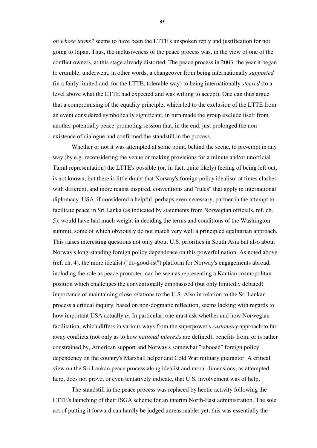*on whose terms?* seems to have been the LTTE's unspoken reply and justification for not going to Japan. Thus, the inclusiveness of the peace process was, in the view of one of the conflict owners, at this stage already distorted. The peace process in 2003, the year it began to crumble, underwent, in other words, a changeover from being internationally *supported* (in a fairly limited and, for the LTTE, tolerable way) to being internationally *steered* (to a level above what the LTTE had expected and was willing to accept). One can thus argue that a compromising of the equality principle, which led to the exclusion of the LTTE from an event considered symbolically significant, in turn made the group exclude itself from another potentially peace-promoting session that, in the end, just prolonged the nonexistence of dialogue and confirmed the standstill in the process.

Whether or not it was attempted at some point, behind the scene, to pre-empt in any way (by e.g. reconsidering the venue or making provisions for a minute and/or unofficial Tamil representation) the LTTE's possible (or, in fact, quite likely) feeling of being left out, is not known, but there is little doubt that Norway's foreign policy idealism at times clashes with different, and more realist inspired, conventions and "rules" that apply in international diplomacy. USA, if considered a helpful, perhaps even necessary, partner in the attempt to facilitate peace in Sri Lanka (as indicated by statements from Norwegian officials, ref. ch. 5), would have had much weight in deciding the terms and conditions of the Washington summit, some of which obviously do not match very well a principled egalitarian approach. This raises interesting questions not only about U.S. priorities in South Asia but also about Norway's long-standing foreign policy dependence on this powerful nation. As noted above (ref. ch. 4), the more idealist ("do-good-ist") platform for Norway's engagements abroad, including the role as peace promoter, can be seen as representing a Kantian cosmopolitan position which challenges the conventionally emphasised (but only limitedly debated) importance of maintaining close relations to the U.S. Also in relation to the Sri Lankan process a critical inquiry, based on non-dogmatic reflection, seems lacking with regards to how important USA actually *is*. In particular, one must ask whether and how Norwegian facilitation, which differs in various ways from the superpower's *customary* approach to faraway conflicts (not only as to how *national interests* are defined), benefits from, or is rather constrained by, American support and Norway's somewhat "tabooed" foreign policy dependency on the country's Marshall helper and Cold War military guarantor. A critical view on the Sri Lankan peace process along idealist and moral dimensions, as attempted here, does not prove, or even tentatively indicate, that U.S. involvement was of help.

The standstill in the peace process was replaced by hectic activity following the LTTE's launching of their ISGA scheme for an interim North-East administration. The sole act of putting it forward can hardly be judged unreasonable; yet, this was essentially the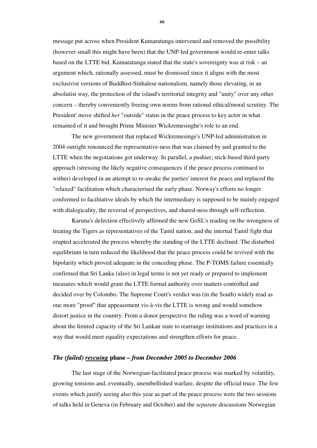message put across when President Kumaratunga intervened and removed the possibility (however small this might have been) that the UNP-led government would re-enter talks based on the LTTE bid. Kumaratunga stated that the state's sovereignty was at risk – an argument which, rationally assessed, must be dismissed since it aligns with the most exclusivist versions of Buddhist-Sinhalese nationalism, namely those elevating, in an absolutist way, the protection of the island's territorial integrity and "unity" over any other concern – thereby conveniently freeing own norms from rational ethical/moral scrutiny. The President' move shifted *her* "outside" status in the peace process to key actor in what remained of it and brought Prime Minister Wickremesinghe's role to an end.

The new government that replaced Wickremesinge's UNP-led administration in 2004 outright renounced the representative-ness that was claimed by and granted to the LTTE when the negotiations got underway. In parallel, a pushier, stick-based third-party approach (stressing the likely negative consequences if the peace process continued to wither) developed in an attempt to re-awake the parties' interest for peace and replaced the "relaxed" facilitation which characterised the early phase. Norway's efforts no longer conformed to facilitative ideals by which the intermediary is supposed to be mainly engaged with dialogicality, the reversal of perspectives, and shared-ness through self-reflection.

Karuna's defection effectively affirmed the new GoSL's reading on the wrongness of treating the Tigers as representatives of the Tamil nation, and the internal Tamil fight that erupted accelerated the process whereby the standing of the LTTE declined. The disturbed equilibrium in turn reduced the likelihood that the peace process could be revived with the bipolarity which proved adequate in the conceding phase. The P-TOMS failure essentially confirmed that Sri Lanka (also) in legal terms is not yet ready or prepared to implement measures which would grant the LTTE formal authority over matters controlled and decided over by Colombo. The Supreme Court's verdict was (in the South) widely read as one more "proof" that appeasement vis-à-vis the LTTE is wrong and would somehow distort justice in the country. From a donor perspective the ruling was a word of warning about the limited capacity of the Sri Lankan state to rearrange institutions and practices in a way that would meet equality expectations and strengthen efforts for peace.

## *The (failed) rescuing* **phase** *– from December 2005 to December 2006*

 The last stage of the Norwegian-facilitated peace process was marked by volatility, growing tensions and, eventually, unembellished warfare, despite the official truce. The few events which justify seeing also this year as part of the peace process were the two sessions of talks held in Geneva (in February and October) and the *separate* discussions Norwegian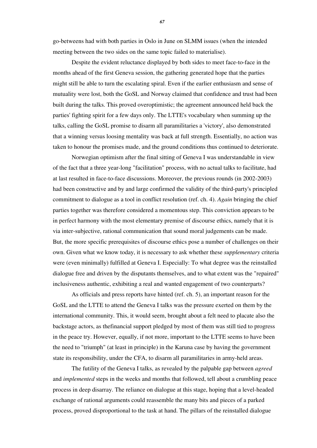go-betweens had with both parties in Oslo in June on SLMM issues (when the intended meeting between the two sides on the same topic failed to materialise).

Despite the evident reluctance displayed by both sides to meet face-to-face in the months ahead of the first Geneva session, the gathering generated hope that the parties might still be able to turn the escalating spiral. Even if the earlier enthusiasm and sense of mutuality were lost, both the GoSL and Norway claimed that confidence and trust had been built during the talks. This proved overoptimistic; the agreement announced held back the parties' fighting spirit for a few days only. The LTTE's vocabulary when summing up the talks, calling the GoSL promise to disarm all paramilitaries a 'victory', also demonstrated that a winning versus loosing mentality was back at full strength. Essentially, no action was taken to honour the promises made, and the ground conditions thus continued to deteriorate.

 Norwegian optimism after the final sitting of Geneva I was understandable in view of the fact that a three year-long "facilitation" process, with no actual talks to facilitate, had at last resulted in face-to-face discussions. Moreover, the previous rounds (in 2002-2003) had been constructive and by and large confirmed the validity of the third-party's principled commitment to dialogue as a tool in conflict resolution (ref. ch. 4). *Again* bringing the chief parties together was therefore considered a momentous step. This conviction appears to be in perfect harmony with the most elementary premise of discourse ethics, namely that it is via inter-subjective, rational communication that sound moral judgements can be made. But, the more specific prerequisites of discourse ethics pose a number of challenges on their own. Given what we know today, it is necessary to ask whether these *supplementary* criteria were (even minimally) fulfilled at Geneva I. Especially: To what degree was the reinstalled dialogue free and driven by the disputants themselves, and to what extent was the "repaired" inclusiveness authentic, exhibiting a real and wanted engagement of two counterparts?

 As officials and press reports have hinted (ref. ch. 5), an important reason for the GoSL and the LTTE to attend the Geneva I talks was the pressure exerted on them by the international community. This, it would seem, brought about a felt need to placate also the backstage actors, as thefinancial support pledged by most of them was still tied to progress in the peace try. However, equally, if not more, important to the LTTE seems to have been the need to "triumph" (at least in principle) in the Karuna case by having the government state its responsibility, under the CFA, to disarm all paramilitaries in army-held areas.

The futility of the Geneva I talks, as revealed by the palpable gap between *agreed* and *implemented* steps in the weeks and months that followed, tell about a crumbling peace process in deep disarray. The reliance on dialogue at this stage, hoping that a level-headed exchange of rational arguments could reassemble the many bits and pieces of a parked process, proved disproportional to the task at hand. The pillars of the reinstalled dialogue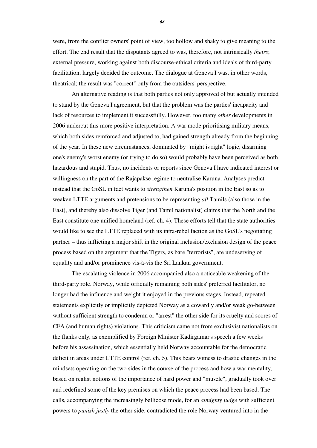were, from the conflict owners' point of view, too hollow and shaky to give meaning to the effort. The end result that the disputants agreed to was, therefore, not intrinsically *theirs*; external pressure, working against both discourse-ethical criteria and ideals of third-party facilitation, largely decided the outcome. The dialogue at Geneva I was, in other words, theatrical; the result was "correct" only from the outsiders' perspective.

An alternative reading is that both parties not only approved of but actually intended to stand by the Geneva I agreement, but that the problem was the parties' incapacity and lack of resources to implement it successfully. However, too many *other* developments in 2006 undercut this more positive interpretation. A war mode prioritising military means, which both sides reinforced and adjusted to, had gained strength already from the beginning of the year. In these new circumstances, dominated by "might is right" logic, disarming one's enemy's worst enemy (or trying to do so) would probably have been perceived as both hazardous and stupid. Thus, no incidents or reports since Geneva I have indicated interest or willingness on the part of the Rajapakse regime to neutralise Karuna. Analyses predict instead that the GoSL in fact wants to *strengthen* Karuna's position in the East so as to weaken LTTE arguments and pretensions to be representing *all* Tamils (also those in the East), and thereby also dissolve Tiger (and Tamil nationalist) claims that the North and the East constitute one unified homeland (ref. ch. 4). These efforts tell that the state authorities would like to see the LTTE replaced with its intra-rebel faction as the GoSL's negotiating partner – thus inflicting a major shift in the original inclusion/exclusion design of the peace process based on the argument that the Tigers, as bare "terrorists", are undeserving of equality and and/or prominence vis-à-vis the Sri Lankan government.

The escalating violence in 2006 accompanied also a noticeable weakening of the third-party role. Norway, while officially remaining both sides' preferred facilitator, no longer had the influence and weight it enjoyed in the previous stages. Instead, repeated statements explicitly or implicitly depicted Norway as a cowardly and/or weak go-between without sufficient strength to condemn or "arrest" the other side for its cruelty and scores of CFA (and human rights) violations. This criticism came not from exclusivist nationalists on the flanks only, as exemplified by Foreign Minister Kadirgamar's speech a few weeks before his assassination, which essentially held Norway accountable for the democratic deficit in areas under LTTE control (ref. ch. 5). This bears witness to drastic changes in the mindsets operating on the two sides in the course of the process and how a war mentality, based on realist notions of the importance of hard power and "muscle", gradually took over and redefined some of the key premises on which the peace process had been based. The calls, accompanying the increasingly bellicose mode, for an *almighty judge* with sufficient powers to *punish justly* the other side, contradicted the role Norway ventured into in the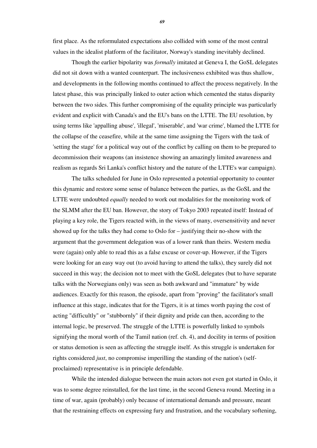first place. As the reformulated expectations also collided with some of the most central values in the idealist platform of the facilitator, Norway's standing inevitably declined.

 Though the earlier bipolarity was *formally* imitated at Geneva I, the GoSL delegates did not sit down with a wanted counterpart. The inclusiveness exhibited was thus shallow, and developments in the following months continued to affect the process negatively. In the latest phase, this was principally linked to outer action which cemented the status disparity between the two sides. This further compromising of the equality principle was particularly evident and explicit with Canada's and the EU's bans on the LTTE. The EU resolution, by using terms like 'appalling abuse', 'illegal', 'miserable', and 'war crime', blamed the LTTE for the collapse of the ceasefire, while at the same time assigning the Tigers with the task of 'setting the stage' for a political way out of the conflict by calling on them to be prepared to decommission their weapons (an insistence showing an amazingly limited awareness and realism as regards Sri Lanka's conflict history and the nature of the LTTE's war campaign).

The talks scheduled for June in Oslo represented a potential opportunity to counter this dynamic and restore some sense of balance between the parties, as the GoSL and the LTTE were undoubted *equally* needed to work out modalities for the monitoring work of the SLMM after the EU ban. However, the story of Tokyo 2003 repeated itself: Instead of playing a key role, the Tigers reacted with, in the views of many, oversensitivity and never showed up for the talks they had come to Oslo for – justifying their no-show with the argument that the government delegation was of a lower rank than theirs. Western media were (again) only able to read this as a false excuse or cover-up. However, if the Tigers were looking for an easy way out (to avoid having to attend the talks), they surely did not succeed in this way; the decision not to meet with the GoSL delegates (but to have separate talks with the Norwegians only) was seen as both awkward and "immature" by wide audiences. Exactly for this reason, the episode, apart from "proving" the facilitator's small influence at this stage, indicates that for the Tigers, it is at times worth paying the cost of acting "difficultly" or "stubbornly" if their dignity and pride can then, according to the internal logic, be preserved. The struggle of the LTTE is powerfully linked to symbols signifying the moral worth of the Tamil nation (ref. ch. 4), and docility in terms of position or status demotion is seen as affecting the struggle itself. As this struggle is undertaken for rights considered *just*, no compromise imperilling the standing of the nation's (selfproclaimed) representative is in principle defendable.

While the intended dialogue between the main actors not even got started in Oslo, it was to some degree reinstalled, for the last time, in the second Geneva round. Meeting in a time of war, again (probably) only because of international demands and pressure, meant that the restraining effects on expressing fury and frustration, and the vocabulary softening,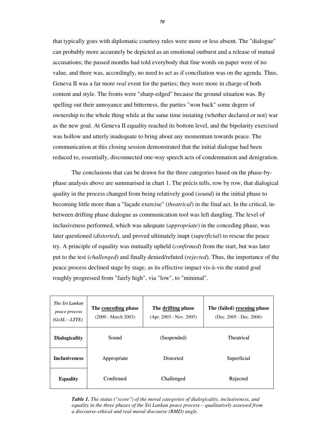that typically goes with diplomatic courtesy rules were more or less absent. The "dialogue" can probably more accurately be depicted as an emotional outburst and a release of mutual accusations; the passed months had told everybody that fine words on paper were of no value, and there was, accordingly, no need to act as if conciliation was on the agenda. Thus, Geneva II was a far more *real* event for the parties; they were more in charge of both content and style. The fronts were "sharp-edged" because the ground situation was. By spelling out their annoyance and bitterness, the parties "won back" some degree of ownership to the whole thing while at the same time instating (whether declared or not) war as the new goal. At Geneva II equality reached its bottom level, and the bipolarity exercised was hollow and utterly inadequate to bring about any momentum towards peace. The communication at this closing session demonstrated that the initial dialogue had been reduced to, essentially, disconnected one-way speech acts of condemnation and denigration.

The conclusions that can be drawn for the three categories based on the phase-byphase analysis above are summarised in chart 1. The précis tells, row by row, that dialogical quality in the process changed from being relatively good (*sound*) in the initial phase to becoming little more than a "façade exercise" (*theatrical*) in the final act. In the critical, inbetween drifting phase dialogue as communication tool was left dangling. The level of inclusiveness performed, which was adequate (*appropriate*) in the conceding phase, was later questioned (*distorted*), and proved ultimately inapt (*superficial*) to rescue the peace try. A principle of equality was mutually upheld (*confirmed*) from the start, but was later put to the test (*challenged*) and finally denied/refuted (*rejected*). Thus, the importance of the peace process declined stage by stage, as its effective impact vis-à-vis the stated goal roughly progressed from "fairly high", via "low", to "minimal".

| The Sri Lankan<br>peace process<br>$(GoSL-LTTE)$ | The conceding phase<br>$(2000 - March 2003)$ | The drifting phase<br>$(Apr. 2003 - Nov. 2005)$ | The (failed) rescuing phase<br>(Dec. $2005 - Dec. 2006$ ) |
|--------------------------------------------------|----------------------------------------------|-------------------------------------------------|-----------------------------------------------------------|
| <b>Dialogicality</b>                             | Sound                                        | (Suspended)                                     | Theatrical                                                |
| <b>Inclusiveness</b>                             | Appropriate                                  | <b>Distorted</b>                                | Superficial                                               |
| <b>Equality</b>                                  | Confirmed                                    | Challenged                                      | Rejected                                                  |

*Table 1. The status ("score") of the moral categories of dialogicality, inclusiveness, and equality in the three phases of the Sri Lankan peace process – qualitatively assessed from a discourse-ethical and real moral discourse (RMD) angle.*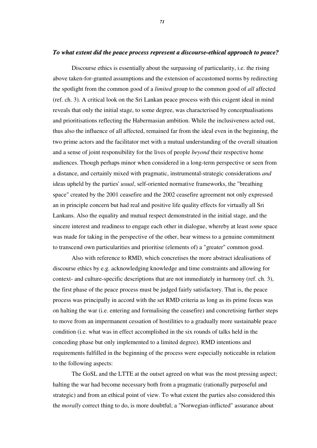### *To what extent did the peace process represent a discourse-ethical approach to peace?*

Discourse ethics is essentially about the surpassing of particularity, i.e. the rising above taken-for-granted assumptions and the extension of accustomed norms by redirecting the spotlight from the common good of a *limited* group to the common good of *all* affected (ref. ch. 3). A critical look on the Sri Lankan peace process with this exigent ideal in mind reveals that only the initial stage, to some degree, was characterised by conceptualisations and prioritisations reflecting the Habermasian ambition. While the inclusiveness acted out, thus also the influence of all affected, remained far from the ideal even in the beginning, the two prime actors and the facilitator met with a mutual understanding of the overall situation and a sense of joint responsibility for the lives of people *beyond* their respective home audiences. Though perhaps minor when considered in a long-term perspective or seen from a distance, and certainly mixed with pragmatic, instrumental-strategic considerations *and* ideas upheld by the parties' *usual*, self-oriented normative frameworks, the "breathing space" created by the 2001 ceasefire and the 2002 ceasefire agreement not only expressed an in principle concern but had real and positive life quality effects for virtually all Sri Lankans. Also the equality and mutual respect demonstrated in the initial stage, and the sincere interest and readiness to engage each other in dialogue, whereby at least *some* space was made for taking in the perspective of the other, bear witness to a genuine commitment to transcend own particularities and prioritise (elements of) a "greater" common good.

Also with reference to RMD, which concretises the more abstract idealisations of discourse ethics by e.g. acknowledging knowledge and time constraints and allowing for context- and culture-specific descriptions that are not immediately in harmony (ref. ch. 3), the first phase of the peace process must be judged fairly satisfactory. That is, the peace process was principally in accord with the set RMD criteria as long as its prime focus was on halting the war (i.e. entering and formalising the ceasefire) and concretising further steps to move from an impermanent cessation of hostilities to a gradually more sustainable peace condition (i.e. what was in effect accomplished in the six rounds of talks held in the conceding phase but only implemented to a limited degree). RMD intentions and requirements fulfilled in the beginning of the process were especially noticeable in relation to the following aspects:

The GoSL and the LTTE at the outset agreed on what was the most pressing aspect; halting the war had become necessary both from a pragmatic (rationally purposeful and strategic) and from an ethical point of view. To what extent the parties also considered this the *morally* correct thing to do, is more doubtful; a "Norwegian-inflicted" assurance about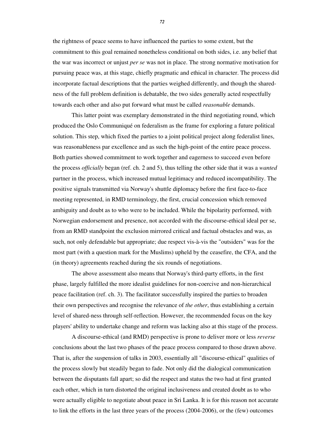the rightness of peace seems to have influenced the parties to some extent, but the commitment to this goal remained nonetheless conditional on both sides, i.e. any belief that the war was incorrect or unjust *per se* was not in place. The strong normative motivation for pursuing peace was, at this stage, chiefly pragmatic and ethical in character. The process did incorporate factual descriptions that the parties weighed differently, and though the sharedness of the full problem definition is debatable, the two sides generally acted respectfully towards each other and also put forward what must be called *reasonable* demands.

This latter point was exemplary demonstrated in the third negotiating round, which produced the Oslo Communiqué on federalism as the frame for exploring a future political solution. This step, which fixed the parties to a joint political project along federalist lines, was reasonableness par excellence and as such the high-point of the entire peace process. Both parties showed commitment to work together and eagerness to succeed even before the process *officially* began (ref. ch. 2 and 5), thus telling the other side that it was a *wanted* partner in the process, which increased mutual legitimacy and reduced incompatibility. The positive signals transmitted via Norway's shuttle diplomacy before the first face-to-face meeting represented, in RMD terminology, the first, crucial concession which removed ambiguity and doubt as to who were to be included. While the bipolarity performed, with Norwegian endorsement and presence, not accorded with the discourse-ethical ideal per se, from an RMD standpoint the exclusion mirrored critical and factual obstacles and was, as such, not only defendable but appropriate; due respect vis-à-vis the "outsiders" was for the most part (with a question mark for the Muslims) upheld by the ceasefire, the CFA, and the (in theory) agreements reached during the six rounds of negotiations.

The above assessment also means that Norway's third-party efforts, in the first phase, largely fulfilled the more idealist guidelines for non-coercive and non-hierarchical peace facilitation (ref. ch. 3). The facilitator successfully inspired the parties to broaden their own perspectives and recognise the relevance of *the other*, thus establishing a certain level of shared-ness through self-reflection. However, the recommended focus on the key players' ability to undertake change and reform was lacking also at this stage of the process.

A discourse-ethical (and RMD) perspective is prone to deliver more or less *reverse*  conclusions about the last two phases of the peace process compared to those drawn above. That is, after the suspension of talks in 2003, essentially all "discourse-ethical" qualities of the process slowly but steadily began to fade. Not only did the dialogical communication between the disputants fall apart; so did the respect and status the two had at first granted each other, which in turn distorted the original inclusiveness and created doubt as to who were actually eligible to negotiate about peace in Sri Lanka. It is for this reason not accurate to link the efforts in the last three years of the process (2004-2006), or the (few) outcomes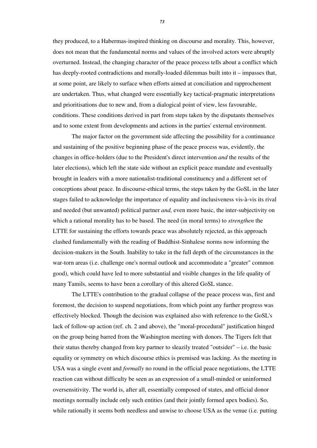they produced, to a Habermas-inspired thinking on discourse and morality. This, however, does not mean that the fundamental norms and values of the involved actors were abruptly overturned. Instead, the changing character of the peace process tells about a conflict which has deeply-rooted contradictions and morally-loaded dilemmas built into it – impasses that, at some point, are likely to surface when efforts aimed at conciliation and rapprochement are undertaken. Thus, what changed were essentially key tactical-pragmatic interpretations and prioritisations due to new and, from a dialogical point of view, less favourable, conditions. These conditions derived in part from steps taken by the disputants themselves and to some extent from developments and actions in the parties' external environment.

The major factor on the government side affecting the possibility for a continuance and sustaining of the positive beginning phase of the peace process was, evidently, the changes in office-holders (due to the President's direct intervention *and* the results of the later elections), which left the state side without an explicit peace mandate and eventually brought in leaders with a more nationalist-traditional constituency and a different set of conceptions about peace. In discourse-ethical terms, the steps taken by the GoSL in the later stages failed to acknowledge the importance of equality and inclusiveness vis-à-vis its rival and needed (but unwanted) political partner *and,* even more basic, the inter-subjectivity on which a rational morality has to be based. The need (in moral terms) to *strengthen* the LTTE for sustaining the efforts towards peace was absolutely rejected, as this approach clashed fundamentally with the reading of Buddhist-Sinhalese norms now informing the decision-makers in the South. Inability to take in the full depth of the circumstances in the war-torn areas (i.e. challenge one's normal outlook and accommodate a "greater" common good), which could have led to more substantial and visible changes in the life quality of many Tamils, seems to have been a corollary of this altered GoSL stance.

The LTTE's contribution to the gradual collapse of the peace process was, first and foremost, the decision to suspend negotiations, from which point any further progress was effectively blocked. Though the decision was explained also with reference to the GoSL's lack of follow-up action (ref. ch. 2 and above), the "moral-procedural" justification hinged on the group being barred from the Washington meeting with donors. The Tigers felt that their status thereby changed from key partner to sleazily treated "outsider" – i.e. the basic equality or symmetry on which discourse ethics is premised was lacking. As the meeting in USA was a single event and *formally* no round in the official peace negotiations, the LTTE reaction can without difficulty be seen as an expression of a small-minded or uninformed oversensitivity. The world is, after all, essentially composed of states, and official donor meetings normally include only such entities (and their jointly formed apex bodies). So, while rationally it seems both needless and unwise to choose USA as the venue (i.e. putting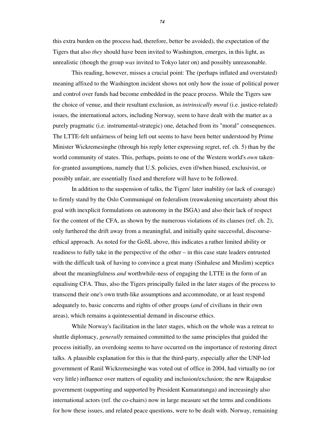this extra burden on the process had, therefore, better be avoided), the expectation of the Tigers that also *they* should have been invited to Washington, emerges, in this light, as unrealistic (though the group *was* invited to Tokyo later on) and possibly unreasonable.

This reading, however, misses a crucial point: The (perhaps inflated and overstated) meaning affixed to the Washington incident shows not only how the issue of political power and control over funds had become embedded in the peace process. While the Tigers saw the choice of venue, and their resultant exclusion, as *intrinsically moral* (i.e. justice-related) issues, the international actors, including Norway, seem to have dealt with the matter as a purely pragmatic (i.e. instrumental-strategic) one, detached from its "moral" consequences. The LTTE-felt unfairness of being left out seems to have been better understood by Prime Minister Wickremesinghe (through his reply letter expressing regret, ref. ch. 5) than by the world community of states. This, perhaps, points to one of the Western world's *own* takenfor-granted assumptions, namely that U.S. policies, even if/when biased, exclusivist, or possibly unfair, are essentially fixed and therefore will have to be followed.

In addition to the suspension of talks, the Tigers' later inability (or lack of courage) to firmly stand by the Oslo Communiqué on federalism (reawakening uncertainty about this goal with inexplicit formulations on autonomy in the ISGA) and also their lack of respect for the content of the CFA, as shown by the numerous violations of its clauses (ref. ch. 2), only furthered the drift away from a meaningful, and initially quite successful, discourseethical approach. As noted for the GoSL above, this indicates a rather limited ability or readiness to fully take in the perspective of the other – in this case state leaders entrusted with the difficult task of having to convince a great many (Sinhalese and Muslim) sceptics about the meaningfulness *and* worthwhile-ness of engaging the LTTE in the form of an equalising CFA. Thus, also the Tigers principally failed in the later stages of the process to transcend their one's own truth-like assumptions and accommodate, or at least respond adequately to, basic concerns and rights of other groups (*and* of civilians in their own areas), which remains a quintessential demand in discourse ethics.

While Norway's facilitation in the later stages, which on the whole was a retreat to shuttle diplomacy, *generally* remained committed to the same principles that guided the process initially, an overdoing seems to have occurred on the importance of restoring direct talks. A plausible explanation for this is that the third-party, especially after the UNP-led government of Ranil Wickremesinghe was voted out of office in 2004, had virtually no (or very little) influence over matters of equality and inclusion/exclusion; the new Rajapakse government (supporting and supported by President Kumaratunga) and increasingly also international actors (ref. the co-chairs) now in large measure set the terms and conditions for how these issues, and related peace questions, were to be dealt with. Norway, remaining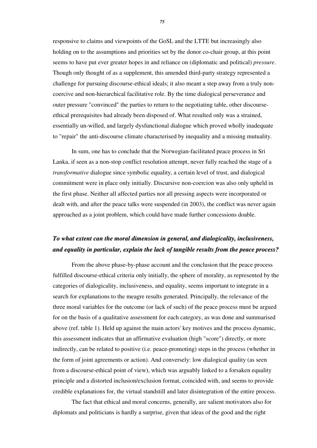responsive to claims and viewpoints of the GoSL and the LTTE but increasingly also holding on to the assumptions and priorities set by the donor co-chair group, at this point seems to have put ever greater hopes in and reliance on (diplomatic and political) *pressure*. Though only thought of as a supplement, this amended third-party strategy represented a challenge for pursuing discourse-ethical ideals; it also meant a step away from a truly noncoercive and non-hierarchical facilitative role. By the time dialogical perseverance and outer pressure "convinced" the parties to return to the negotiating table, other discourseethical prerequisites had already been disposed of. What resulted only was a strained, essentially un-willed, and largely dysfunctional dialogue which proved wholly inadequate to "repair" the anti-discourse climate characterised by inequality and a missing mutuality.

In sum, one has to conclude that the Norwegian-facilitated peace process in Sri Lanka, if seen as a non-stop conflict resolution attempt, never fully reached the stage of a *transformative* dialogue since symbolic equality, a certain level of trust, and dialogical commitment were in place only initially. Discursive non-coercion was also only upheld in the first phase. Neither all affected parties nor all pressing aspects were incorporated or dealt with, and after the peace talks were suspended (in 2003), the conflict was never again approached as a joint problem, which could have made further concessions doable.

# *To what extent can the moral dimension in general, and dialogicality, inclusiveness, and equality in particular, explain the lack of tangible results from the peace process?*

From the above phase-by-phase account and the conclusion that the peace process fulfilled discourse-ethical criteria only initially, the sphere of morality, as represented by the categories of dialogicality, inclusiveness, and equality, seems important to integrate in a search for explanations to the meagre results generated. Principally, the relevance of the three moral variables for the outcome (or lack of such) of the peace process must be argued for on the basis of a qualitative assessment for each category, as was done and summarised above (ref. table 1). Held up against the main actors' key motives and the process dynamic, this assessment indicates that an affirmative evaluation (high "score") directly, or more indirectly, can be related to positive (i.e. peace-promoting) steps in the process (whether in the form of joint agreements or action). And conversely: low dialogical quality (as seen from a discourse-ethical point of view), which was arguably linked to a forsaken equality principle and a distorted inclusion/exclusion format, coincided with, and seems to provide credible explanations for, the virtual standstill and later disintegration of the entire process.

The fact that ethical and moral concerns, generally, are salient motivators also for diplomats and politicians is hardly a surprise, given that ideas of the good and the right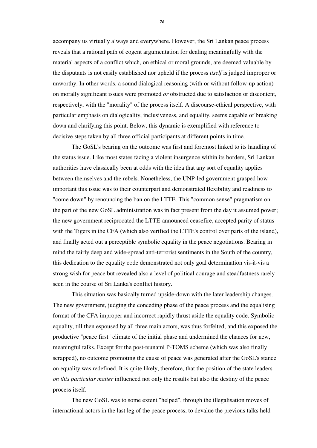accompany us virtually always and everywhere. However, the Sri Lankan peace process reveals that a rational path of cogent argumentation for dealing meaningfully with the material aspects of a conflict which, on ethical or moral grounds, are deemed valuable by the disputants is not easily established nor upheld if the process *itself* is judged improper or unworthy. In other words, a sound dialogical reasoning (with or without follow-up action) on morally significant issues were promoted *or* obstructed due to satisfaction or discontent, respectively, with the "morality" of the process itself. A discourse-ethical perspective, with particular emphasis on dialogicality, inclusiveness, and equality, seems capable of breaking down and clarifying this point. Below, this dynamic is exemplified with reference to decisive steps taken by all three official participants at different points in time.

The GoSL's bearing on the outcome was first and foremost linked to its handling of the status issue. Like most states facing a violent insurgence within its borders, Sri Lankan authorities have classically been at odds with the idea that any sort of equality applies between themselves and the rebels. Nonetheless, the UNP-led government grasped how important this issue was to their counterpart and demonstrated flexibility and readiness to "come down" by renouncing the ban on the LTTE. This "common sense" pragmatism on the part of the new GoSL administration was in fact present from the day it assumed power; the new government reciprocated the LTTE-announced ceasefire, accepted parity of status with the Tigers in the CFA (which also verified the LTTE's control over parts of the island), and finally acted out a perceptible symbolic equality in the peace negotiations. Bearing in mind the fairly deep and wide-spread anti-terrorist sentiments in the South of the country, this dedication to the equality code demonstrated not only goal determination vis-à-vis a strong wish for peace but revealed also a level of political courage and steadfastness rarely seen in the course of Sri Lanka's conflict history.

This situation was basically turned upside-down with the later leadership changes. The new government, judging the conceding phase of the peace process and the equalising format of the CFA improper and incorrect rapidly thrust aside the equality code. Symbolic equality, till then espoused by all three main actors, was thus forfeited, and this exposed the productive "peace first" climate of the initial phase and undermined the chances for new, meaningful talks. Except for the post-tsunami P-TOMS scheme (which was also finally scrapped), no outcome promoting the cause of peace was generated after the GoSL's stance on equality was redefined. It is quite likely, therefore, that the position of the state leaders *on this particular matter* influenced not only the results but also the destiny of the peace process itself.

The new GoSL was to some extent "helped", through the illegalisation moves of international actors in the last leg of the peace process, to devalue the previous talks held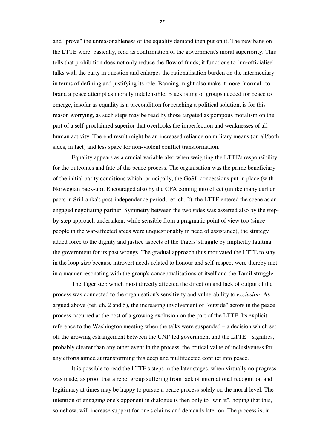and "prove" the unreasonableness of the equality demand then put on it. The new bans on the LTTE were, basically, read as confirmation of the government's moral superiority. This tells that prohibition does not only reduce the flow of funds; it functions to "un-officialise" talks with the party in question and enlarges the rationalisation burden on the intermediary in terms of defining and justifying its role. Banning might also make it more "normal" to brand a peace attempt as morally indefensible. Blacklisting of groups needed for peace to emerge, insofar as equality is a precondition for reaching a political solution, is for this reason worrying, as such steps may be read by those targeted as pompous moralism on the part of a self-proclaimed superior that overlooks the imperfection and weaknesses of all human activity. The end result might be an increased reliance on military means (on all/both sides, in fact) and less space for non-violent conflict transformation.

Equality appears as a crucial variable also when weighing the LTTE's responsibility for the outcomes and fate of the peace process. The organisation was the prime beneficiary of the initial parity conditions which, principally, the GoSL concessions put in place (with Norwegian back-up). Encouraged also by the CFA coming into effect (unlike many earlier pacts in Sri Lanka's post-independence period, ref. ch. 2), the LTTE entered the scene as an engaged negotiating partner. Symmetry between the two sides was asserted also by the stepby-step approach undertaken; while sensible from a pragmatic point of view too (since people in the war-affected areas were unquestionably in need of assistance), the strategy added force to the dignity and justice aspects of the Tigers' struggle by implicitly faulting the government for its past wrongs. The gradual approach thus motivated the LTTE to stay in the loop *also* because introvert needs related to honour and self-respect were thereby met in a manner resonating with the group's conceptualisations of itself and the Tamil struggle.

The Tiger step which most directly affected the direction and lack of output of the process was connected to the organisation's sensitivity and vulnerability to *exclusion*. As argued above (ref. ch. 2 and 5), the increasing involvement of "outside" actors in the peace process occurred at the cost of a growing exclusion on the part of the LTTE. Its explicit reference to the Washington meeting when the talks were suspended – a decision which set off the growing estrangement between the UNP-led government and the LTTE – signifies, probably clearer than any other event in the process, the critical value of inclusiveness for any efforts aimed at transforming this deep and multifaceted conflict into peace.

 It is possible to read the LTTE's steps in the later stages, when virtually no progress was made, as proof that a rebel group suffering from lack of international recognition and legitimacy at times may be happy to pursue a peace process solely on the moral level. The intention of engaging one's opponent in dialogue is then only to "win it", hoping that this, somehow, will increase support for one's claims and demands later on. The process is, in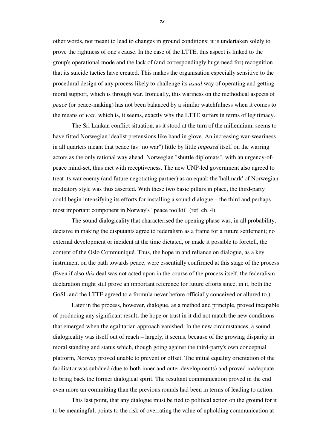other words, not meant to lead to changes in ground conditions; it is undertaken solely to prove the rightness of one's cause. In the case of the LTTE, this aspect is linked to the group's operational mode and the lack of (and correspondingly huge need for) recognition that its suicide tactics have created. This makes the organisation especially sensitive to the procedural design of any process likely to challenge its *usual* way of operating and getting moral support, which is through war. Ironically, this wariness on the methodical aspects of *peace* (or peace-making) has not been balanced by a similar watchfulness when it comes to the means of *war*, which is, it seems, exactly why the LTTE suffers in terms of legitimacy.

The Sri Lankan conflict situation, as it stood at the turn of the millennium, seems to have fitted Norwegian idealist pretensions like hand in glove. An increasing war-weariness in all quarters meant that peace (as "no war") little by little *imposed* itself on the warring actors as the only rational way ahead. Norwegian "shuttle diplomats", with an urgency-ofpeace mind-set, thus met with receptiveness. The new UNP-led government also agreed to treat its war enemy (and future negotiating partner) as an equal; the 'hallmark' of Norwegian mediatory style was thus asserted. With these two basic pillars in place, the third-party could begin intensifying its efforts for installing a sound dialogue – the third and perhaps most important component in Norway's "peace toolkit" (ref. ch. 4).

The sound dialogicality that characterised the opening phase was, in all probability, decisive in making the disputants agree to federalism as a frame for a future settlement; no external development or incident at the time dictated, or made it possible to foretell, the content of the Oslo Communiqué. Thus, the hope in and reliance on dialogue, as a key instrument on the path towards peace, were essentially confirmed at this stage of the process (Even if also *this* deal was not acted upon in the course of the process itself, the federalism declaration might still prove an important reference for future efforts since, in it, both the GoSL and the LTTE agreed to a formula never before officially conceived or allured to.)

Later in the process, however, dialogue, as a method and principle, proved incapable of producing any significant result; the hope or trust in it did not match the new conditions that emerged when the egalitarian approach vanished. In the new circumstances, a sound dialogicality was itself out of reach – largely, it seems, because of the growing disparity in moral standing and status which, though going against the third-party's own conceptual platform, Norway proved unable to prevent or offset. The initial equality orientation of the facilitator was subdued (due to both inner and outer developments) and proved inadequate to bring back the former dialogical spirit. The resultant communication proved in the end even more un-committing than the previous rounds had been in terms of leading to action.

This last point, that any dialogue must be tied to political action on the ground for it to be meaningful, points to the risk of overrating the value of upholding communication at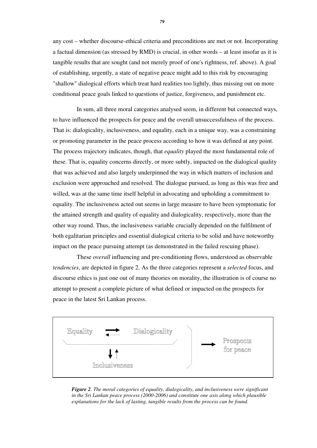any cost – whether discourse-ethical criteria and preconditions are met or not. Incorporating a factual dimension (as stressed by RMD) is crucial, in other words – at least insofar as it is tangible results that are sought (and not merely proof of one's rightness, ref. above). A goal of establishing, urgently, a state of negative peace might add to this risk by encouraging "shallow" dialogical efforts which treat hard realities too lightly, thus missing out on more conditional peace goals linked to questions of justice, forgiveness, and punishment etc.

In sum, all three moral categories analysed seem, in different but connected ways, to have influenced the prospects for peace and the overall unsuccessfulness of the process. That is: dialogicality, inclusiveness, and equality, each in a unique way, was a constraining or promoting parameter in the peace process according to how it was defined at any point. The process trajectory indicates, though, that *equality* played the most fundamental role of these. That is, equality concerns directly, or more subtly, impacted on the dialogical quality that was achieved and also largely underpinned the way in which matters of inclusion and exclusion were approached and resolved. The dialogue pursued, as long as this was free and willed, was at the same time itself helpful in advocating and upholding a commitment to equality. The inclusiveness acted out seems in large measure to have been symptomatic for the attained strength and quality of equality and dialogicality, respectively, more than the other way round. Thus, the inclusiveness variable crucially depended on the fulfilment of both egalitarian principles and essential dialogical criteria to be solid and have noteworthy impact on the peace pursuing attempt (as demonstrated in the failed rescuing phase).

These *overall* influencing and pre-conditioning flows, understood as observable *tendencies*, are depicted in figure 2. As the three categories represent a *selected* focus, and discourse ethics is just one out of many theories on morality, the illustration is of course no attempt to present a complete picture of what defined or impacted on the prospects for peace in the latest Sri Lankan process.



*Figure 2. The moral categories of equality, dialogicality, and inclusiveness were significant in the Sri Lankan peace process (2000-2006) and constitute one axis along which plausible explanations for the lack of lasting, tangible results from the process can be found.*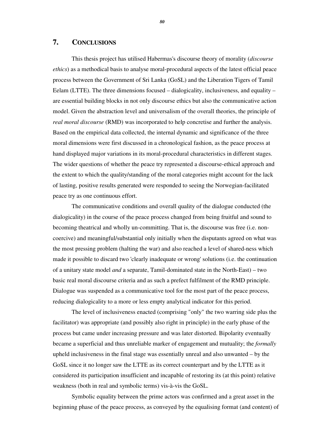## **7. CONCLUSIONS**

This thesis project has utilised Habermas's discourse theory of morality (*discourse ethics*) as a methodical basis to analyse moral-procedural aspects of the latest official peace process between the Government of Sri Lanka (GoSL) and the Liberation Tigers of Tamil Eelam (LTTE). The three dimensions focused  $-$  dialogicality, inclusiveness, and equality  $$ are essential building blocks in not only discourse ethics but also the communicative action model. Given the abstraction level and universalism of the overall theories, the principle of *real moral discourse* (RMD) was incorporated to help concretise and further the analysis. Based on the empirical data collected, the internal dynamic and significance of the three moral dimensions were first discussed in a chronological fashion, as the peace process at hand displayed major variations in its moral-procedural characteristics in different stages. The wider questions of whether the peace try represented a discourse-ethical approach and the extent to which the quality/standing of the moral categories might account for the lack of lasting, positive results generated were responded to seeing the Norwegian-facilitated peace try as one continuous effort.

The communicative conditions and overall quality of the dialogue conducted (the dialogicality) in the course of the peace process changed from being fruitful and sound to becoming theatrical and wholly un-committing. That is, the discourse was free (i.e. noncoercive) and meaningful/substantial only initially when the disputants agreed on what was the most pressing problem (halting the war) and also reached a level of shared-ness which made it possible to discard two 'clearly inadequate or wrong' solutions (i.e. the continuation of a unitary state model *and* a separate, Tamil-dominated state in the North-East) – two basic real moral discourse criteria and as such a prefect fulfilment of the RMD principle. Dialogue was suspended as a communicative tool for the most part of the peace process, reducing dialogicality to a more or less empty analytical indicator for this period.

The level of inclusiveness enacted (comprising "only" the two warring side plus the facilitator) was appropriate (and possibly also right in principle) in the early phase of the process but came under increasing pressure and was later distorted. Bipolarity eventually became a superficial and thus unreliable marker of engagement and mutuality; the *formally*  upheld inclusiveness in the final stage was essentially unreal and also unwanted – by the GoSL since it no longer saw the LTTE as its correct counterpart and by the LTTE as it considered its participation insufficient and incapable of restoring its (at this point) relative weakness (both in real and symbolic terms) vis-à-vis the GoSL.

Symbolic equality between the prime actors was confirmed and a great asset in the beginning phase of the peace process, as conveyed by the equalising format (and content) of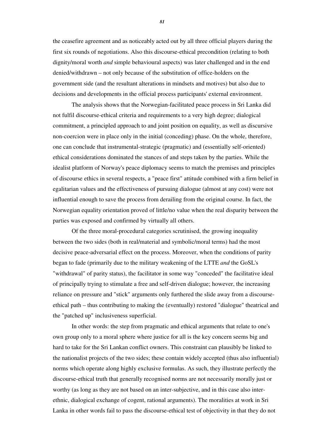the ceasefire agreement and as noticeably acted out by all three official players during the first six rounds of negotiations. Also this discourse-ethical precondition (relating to both dignity/moral worth *and* simple behavioural aspects) was later challenged and in the end denied/withdrawn – not only because of the substitution of office-holders on the government side (and the resultant alterations in mindsets and motives) but also due to decisions and developments in the official process participants' external environment.

The analysis shows that the Norwegian-facilitated peace process in Sri Lanka did not fulfil discourse-ethical criteria and requirements to a very high degree; dialogical commitment, a principled approach to and joint position on equality, as well as discursive non-coercion were in place only in the initial (conceding) phase. On the whole, therefore, one can conclude that instrumental-strategic (pragmatic) and (essentially self-oriented) ethical considerations dominated the stances of and steps taken by the parties. While the idealist platform of Norway's peace diplomacy seems to match the premises and principles of discourse ethics in several respects, a "peace first" attitude combined with a firm belief in egalitarian values and the effectiveness of pursuing dialogue (almost at any cost) were not influential enough to save the process from derailing from the original course. In fact, the Norwegian equality orientation proved of little/no value when the real disparity between the parties was exposed and confirmed by virtually all others.

Of the three moral-procedural categories scrutinised, the growing inequality between the two sides (both in real/material and symbolic/moral terms) had the most decisive peace-adversarial effect on the process. Moreover, when the conditions of parity began to fade (primarily due to the military weakening of the LTTE *and* the GoSL's "withdrawal" of parity status), the facilitator in some way "conceded" the facilitative ideal of principally trying to stimulate a free and self-driven dialogue; however, the increasing reliance on pressure and "stick" arguments only furthered the slide away from a discourseethical path – thus contributing to making the (eventually) restored "dialogue" theatrical and the "patched up" inclusiveness superficial.

In other words: the step from pragmatic and ethical arguments that relate to one's own group only to a moral sphere where justice for all is the key concern seems big and hard to take for the Sri Lankan conflict owners. This constraint can plausibly be linked to the nationalist projects of the two sides; these contain widely accepted (thus also influential) norms which operate along highly exclusive formulas. As such, they illustrate perfectly the discourse-ethical truth that generally recognised norms are not necessarily morally just or worthy (as long as they are not based on an inter-subjective, and in this case also interethnic, dialogical exchange of cogent, rational arguments). The moralities at work in Sri Lanka in other words fail to pass the discourse-ethical test of objectivity in that they do not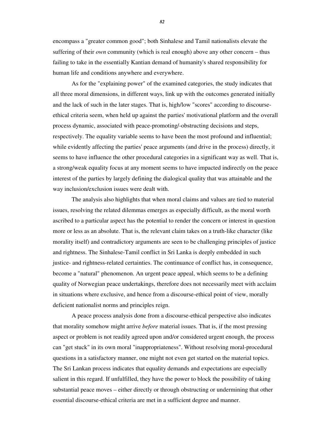encompass a "greater common good"; both Sinhalese and Tamil nationalists elevate the suffering of their *own* community (which is real enough) above any other concern – thus failing to take in the essentially Kantian demand of humanity's shared responsibility for human life and conditions anywhere and everywhere.

As for the "explaining power" of the examined categories, the study indicates that all three moral dimensions, in different ways, link up with the outcomes generated initially and the lack of such in the later stages. That is, high/low "scores" according to discourseethical criteria seem, when held up against the parties' motivational platform and the overall process dynamic, associated with peace-promoting/-obstructing decisions and steps, respectively. The equality variable seems to have been the most profound and influential; while evidently affecting the parties' peace arguments (and drive in the process) directly, it seems to have influence the other procedural categories in a significant way as well. That is, a strong/weak equality focus at any moment seems to have impacted indirectly on the peace interest of the parties by largely defining the dialogical quality that was attainable and the way inclusion/exclusion issues were dealt with.

The analysis also highlights that when moral claims and values are tied to material issues, resolving the related dilemmas emerges as especially difficult, as the moral worth ascribed to a particular aspect has the potential to render the concern or interest in question more or less as an absolute. That is, the relevant claim takes on a truth-like character (like morality itself) and contradictory arguments are seen to be challenging principles of justice and rightness. The Sinhalese-Tamil conflict in Sri Lanka is deeply embedded in such justice- and rightness-related certainties. The continuance of conflict has, in consequence, become a "natural" phenomenon. An urgent peace appeal, which seems to be a defining quality of Norwegian peace undertakings, therefore does not necessarily meet with acclaim in situations where exclusive, and hence from a discourse-ethical point of view, morally deficient nationalist norms and principles reign.

A peace process analysis done from a discourse-ethical perspective also indicates that morality somehow might arrive *before* material issues. That is, if the most pressing aspect or problem is not readily agreed upon and/or considered urgent enough, the process can "get stuck" in its own moral "inappropriateness". Without resolving moral-procedural questions in a satisfactory manner, one might not even get started on the material topics. The Sri Lankan process indicates that equality demands and expectations are especially salient in this regard. If unfulfilled, they have the power to block the possibility of taking substantial peace moves – either directly or through obstructing or undermining that other essential discourse-ethical criteria are met in a sufficient degree and manner.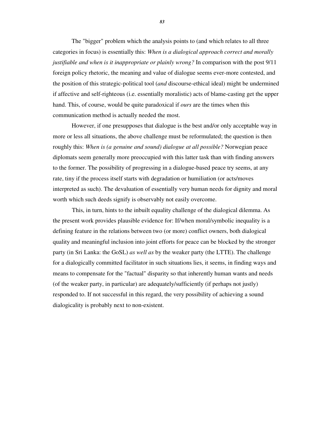The "bigger" problem which the analysis points to (and which relates to all three categories in focus) is essentially this: *When is a dialogical approach correct and morally justifiable and when is it inappropriate or plainly wrong?* In comparison with the post 9/11 foreign policy rhetoric, the meaning and value of dialogue seems ever-more contested, and the position of this strategic-political tool (*and* discourse-ethical ideal) might be undermined if affective and self-righteous (i.e. essentially moralistic) acts of blame-casting get the upper hand. This, of course, would be quite paradoxical if *ours* are the times when this communication method is actually needed the most.

However, if one presupposes that dialogue is the best and/or only acceptable way in more or less all situations, the above challenge must be reformulated; the question is then roughly this: *When is (a genuine and sound) dialogue at all possible?* Norwegian peace diplomats seem generally more preoccupied with this latter task than with finding answers to the former. The possibility of progressing in a dialogue-based peace try seems, at any rate, tiny if the process itself starts with degradation or humiliation (or acts/moves interpreted as such). The devaluation of essentially very human needs for dignity and moral worth which such deeds signify is observably not easily overcome.

 This, in turn, hints to the inbuilt equality challenge of the dialogical dilemma. As the present work provides plausible evidence for: If/when moral/symbolic inequality is a defining feature in the relations between two (or more) conflict owners, both dialogical quality and meaningful inclusion into joint efforts for peace can be blocked by the stronger party (in Sri Lanka: the GoSL) *as well as* by the weaker party (the LTTE). The challenge for a dialogically committed facilitator in such situations lies, it seems, in finding ways and means to compensate for the "factual" disparity so that inherently human wants and needs (of the weaker party, in particular) are adequately/sufficiently (if perhaps not justly) responded to. If not successful in this regard, the very possibility of achieving a sound dialogicality is probably next to non-existent.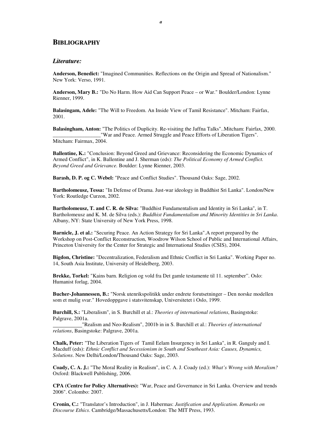### **BIBLIOGRAPHY**

### *Literature:*

**Anderson, Benedict:** "Imagined Communities. Reflections on the Origin and Spread of Nationalism." New York: Verso, 1991.

**Anderson, Mary B.:** "Do No Harm. How Aid Can Support Peace – or War." Boulder/London: Lynne Rienner, 1999.

**Balasingam, Adele:** "The Will to Freedom. An Inside View of Tamil Resistance". Mitcham: Fairfax, 2001.

**Balasingham, Anton:** "The Politics of Duplicity. Re-visiting the Jaffna Talks"..Mitcham: Fairfax, 2000. **\_\_\_\_\_\_\_\_\_\_\_\_\_\_\_\_\_\_**"War and Peace. Armed Struggle and Peace Efforts of Liberation Tigers". Mitcham: Fairmax, 2004.

**Ballentine, K.:** "Conclusion: Beyond Greed and Grievance: Reconsidering the Economic Dynamics of Armed Conflict", in K. Ballentine and J. Sherman (eds): *The Political Economy of Armed Conflict. Beyond Greed and Grievance.* Boulder: Lynne Rienner, 2003.

**Barash, D. P. og C. Webel:** "Peace and Conflict Studies". Thousand Oaks: Sage, 2002.

**Bartholomeusz, Tessa:** "In Defense of Drama. Just-war ideology in Buddhist Sri Lanka". London/New York: Routledge Curzon, 2002.

**Bartholomeusz, T. and C. R. de Silva:** "Buddhist Fundamentalism and Identity in Sri Lanka", in T. Bartholomeusz and K. M. de Silva (eds.): *Buddhist Fundamentalism and Minority Identities in Sri Lanka*. Albany, NY: State University of New York Press, 1998.

**Barnicle, J. et al.:** "Securing Peace. An Action Strategy for Sri Lanka".A report prepared by the Workshop on Post-Conflict Reconstruction, Woodrow Wilson School of Public and International Affairs, Princeton University for the Center for Strategic and International Studies (CSIS), 2004.

**Bigdon, Christine:** "Decentralization, Federalism and Ethnic Conflict in Sri Lanka". Working Paper no. 14, South Asia Institute, University of Heidelberg, 2003.

**Brekke, Torkel:** "Kains barn. Religion og vold fra Det gamle testamente til 11. september". Oslo: Humanist forlag, 2004.

**Bucher-Johannessen, B.:** "Norsk utenrikspolitikk under endrete forutsetninger – Den norske modellen som et mulig svar." Hovedoppgave i statsvitenskap, Universitetet i Oslo, 1999.

**Burchill, S.:** "Liberalism", in S. Burchill et al.: *Theories of international relations*, Basingstoke: Palgrave, 2001a.

 "Realism and Neo-Realism", 2001b in in S. Burchill et al.: *Theories of international relations*, Basingstoke: Palgrave, 2001a.

**Chalk, Peter:** "The Liberation Tigers of Tamil Eelam Insurgency in Sri Lanka", in R. Ganguly and I. Macduff (eds): *Ethnic Conflict and Secessionism in South and Southeast Asia: Causes, Dynamics, Solutions*. New Delhi/London/Thousand Oaks: Sage, 2003.

**Coady, C. A. J.:** "The Moral Reality in Realism", in C. A. J. Coady (ed.): *What's Wrong with Moralism?* Oxford: Blackwell Publishing, 2006.

**CPA (Centre for Policy Alternatives):** "War, Peace and Governance in Sri Lanka. Overview and trends 2006". Colombo: 2007.

**Cronin, C.:** "Translator's Introduction", in J. Habermas: *Justification and Application. Remarks on Discourse Ethics*. Cambridge/Massachusetts/London: The MIT Press, 1993.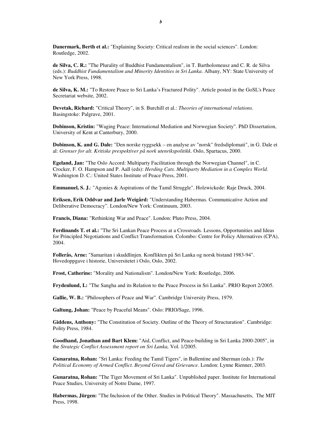**Danermark, Berth et al.:** "Explaining Society: Critical realism in the social sciences". London: Routledge, 2002.

**de Silva, C. R.:** "The Plurality of Buddhist Fundamentalism", in T. Bartholomeusz and C. R. de Silva (eds.): *Buddhist Fundamentalism and Minority Identities in Sri Lanka*. Albany, NY: State University of New York Press, 1998.

**de Silva, K. M.:** "To Restore Peace to Sri Lanka's Fractured Polity". Article posted in the GoSL's Peace Secretariat website, 2002.

**Devetak, Richard:** "Critical Theory", in S. Burchill et al.: *Theories of international relations*. Basingstoke: Palgrave, 2001.

**Dobinson, Kristin:** "Waging Peace: International Mediation and Norwegian Society". PhD Dissertation, University of Kent at Canterbury, 2000.

**Dobinson, K. and G. Dale:** "Den norske ryggsekk – en analyse av "norsk" fredsdiplomati", in G. Dale et al: *Grenser for alt. Kritiske prespektiver på nork utenrikspolitikk*. Oslo, Spartacus, 2000.

**Egeland, Jan:** "The Oslo Accord: Multiparty Facilitation through the Norwegian Channel", in C. Crocker, F. O. Hampson and P. Aall (eds): *Herding Cats. Multiparty Mediation in a Complex World*. Washington D. C.: United States Institute of Peace Press, 2001.

**Emmanuel, S. J.**: "Agonies & Aspirations of the Tamil Struggle". Holzwickede: Raje Druck, 2004.

**Eriksen, Erik Oddvar and Jarle Weigård:** "Understanding Habermas. Communicative Action and Deliberative Democracy". London/New York: Continuum, 2003.

**Francis, Diana:** "Rethinking War and Peace". London: Pluto Press, 2004.

**Ferdinands T. et al.:** "The Sri Lankan Peace Process at a Crossroads. Lessons, Opportunities and Ideas for Principled Negotiations and Conflict Transformation. Colombo: Centre for Policy Alternatives (CPA), 2004.

**Follerås, Arne:** "Samaritan i skuddlinjen. Konflikten på Sri Lanka og norsk bistand 1983-94". Hovedoppgave i historie, Universitetet i Oslo, Oslo, 2002.

**Frost, Catherine:** "Morality and Nationalism". London/New York: Routledge, 2006.

**Frydenlund, I.:** "The Sangha and its Relation to the Peace Process in Sri Lanka". PRIO Report 2/2005.

**Gallie, W. B.:** "Philosophers of Peace and War". Cambridge University Press, 1979.

**Galtung, Johan:** "Peace by Peaceful Means". Oslo: PRIO/Sage, 1996.

**Giddens, Anthony:** "The Constitution of Society. Outline of the Theory of Structuration". Cambridge: Polity Press, 1984.

**Goodhand, Jonathan and Bart Klem:** "Aid, Conflict, and Peace-building in Sri Lanka 2000-2005", in the *Strategic Conflict Assessment report on Sri Lanka,* Vol. 1/2005.

**Gunaratna, Rohan:** "Sri Lanka: Feeding the Tamil Tigers", in Ballentine and Sherman (eds.): *The Political Economy of Armed Conflict. Beyond Greed and Grievance*. London: Lynne Rienner, 2003.

**Gunaratna, Rohan:** "The Tiger Movement of Sri Lanka". Unpublished paper. Institute for International Peace Studies, University of Notre Dame, 1997.

**Habermas, Jürgen:** "The Inclusion of the Other. Studies in Political Theory". Massachusetts, The MIT Press, 1998.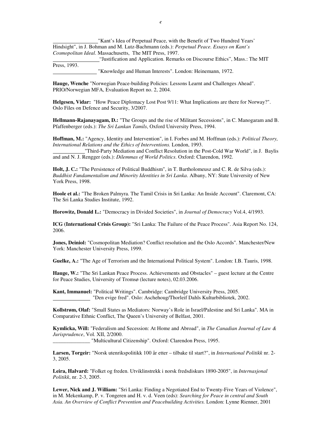"Kant's Idea of Perpetual Peace, with the Benefit of Two Hundred Years' Hindsight", in J. Bohman and M. Lutz-Bachmann (eds.): *Perpetual Peace. Essays on Kant's Cosmopolitan Ideal*. Massachusetts, The MIT Press, 1997.

 "Justification and Application. Remarks on Discourse Ethics", Mass.: The MIT Press, 1993.

"Knowledge and Human Interests". London: Heinemann, 1972.

**Hauge, Wenche** "Norwegian Peace-building Policies: Lessons Learnt and Challenges Ahead". PRIO/Norwegian MFA, Evaluation Report no. 2, 2004.

**Helgesen, Vidar:** "How Peace Diplomacy Lost Post 9/11: What Implications are there for Norway?". Oslo Files on Defence and Security, 3/2007.

**Hellmann-Rajanayagam, D.:** "The Groups and the rise of Militant Secessions", in C. Manogaram and B. Pfaffenberger (eds.): *The Sri Lankan Tamils*, Oxford University Press, 1994.

**Hoffman, M.:** "Agency, Identity and Intervention", in I. Forbes and M. Hoffman (eds.): *Political Theory, International Relations and the Ethics of Interventions.* London, 1993.

 "Third-Party Mediation and Conflict Resolution in the Post-Cold War World", in J. Baylis and and N. J. Rengger (eds.): *Dilemmas of World Politics*. Oxford: Clarendon, 1992.

**Holt, J. C.:** "The Persistence of Political Buddhism", in T. Bartholomeusz and C. R. de Silva (eds.): *Buddhist Fundamentalism and Minority Identities in Sri Lanka*. Albany, NY: State University of New York Press, 1998.

**Hoole et al.:** "The Broken Palmyra. The Tamil Crisis in Sri Lanka: An Inside Account". Claremont, CA: The Sri Lanka Studies Institute, 1992.

**Horowitz, Donald L.:** "Democracy in Divided Societies", in *Journal of Democracy* Vol.4, 4/1993.

**ICG (International Crisis Group):** "Sri Lanka: The Failure of the Peace Process". Asia Report No. 124, 2006.

**Jones, Deiniol:** "Cosmopolitan Mediation? Conflict resolution and the Oslo Accords". Manchester/New York: Manchester University Press, 1999.

**Guelke, A.:** "The Age of Terrorism and the International Political System". London: I.B. Tauris, 1998.

**Hauge, W.:** "The Sri Lankan Peace Process. Achievements and Obstacles" – guest lecture at the Centre for Peace Studies, University of Tromsø (lecture notes), 02.03.2006.

**Kant, Immanuel:** "Political Writings". Cambridge: Cambridge University Press, 2005. "Den evige fred". Oslo: Aschehoug/Thorleif Dahls Kulturbibliotek, 2002.

**Kollstrøm, Olaf:** "Small States as Mediators: Norway's Role in Israel/Palestine and Sri Lanka". MA in Comparative Ethnic Conflict, The Queen's University of Belfast, 2001.

**Kymlicka, Will:** "Federalism and Secession: At Home and Abroad", in *The Canadian Journal of Law & Jurisprudence*, Vol. XII, 2/2000.

\_\_\_\_\_\_\_\_\_\_\_\_\_\_ "Multicultural Citizenship". Oxford: Clarendon Press, 1995.

**Larsen, Torgeir:** "Norsk utenrikspolitikk 100 år etter – tilbake til start?", in *International Politikk* nr. 2- 3, 2005.

**Leira, Halvard:** "Folket og freden. Utviklinstrekk i norsk fredsdiskurs 1890-2005", in *Internasjonal Politikk*, nr. 2-3, 2005.

**Lewer, Nick and J. William:** "Sri Lanka: Finding a Negotiated End to Twenty-Five Years of Violence", in M. Mekenkamp, P. v. Tongeren and H. v. d. Veen (eds): *Searching for Peace in central and South Asia. An Overview of Conflict Prevention and Peacebuilding Activities.* London: Lynne Rienner, 2001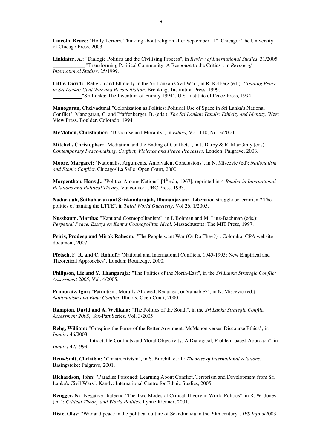**Lincoln, Bruce:** "Holly Terrors. Thinking about religion after September 11". Chicago: The University of Chicago Press, 2003.

**Linklater, A.:** "Dialogic Politics and the Civilising Process", in *Review of International Studies*, 31/2005. \_\_\_\_\_\_\_\_\_\_\_\_ "Transforming Political Community: A Response to the Critics", in *Review of International Studies*, 25/1999.

**Little, David:** "Religion and Ethnicity in the Sri Lankan Civil War", in R. Rotberg (ed.): *Creating Peace in Sri Lanka: Civil War and Reconciliation*. Brookings Institution Press, 1999. "Sri Lanka: The Invention of Enmity 1994". U.S. Institute of Peace Press, 1994.

**Manogaran, Chelvadurai** "Colonization as Politics: Political Use of Space in Sri Lanka's National Conflict", Manogaran, C. and Pfaffenberger, B. (eds.). *The Sri Lankan Tamils: Ethicity and Identity,* West View Press, Boulder, Colorado, 1994

**McMahon, Christopher:** "Discourse and Morality", in *Ethics*, Vol. 110, No. 3/2000.

**Mitchell, Christopher:** "Mediation and the Ending of Conflicts", in J. Darby & R. MacGinty (eds): *Contemporary Peace-making. Conflict, Violence and Peace Processes*. London: Palgrave, 2003.

**Moore, Margaret:** "Nationalist Arguments, Ambivalent Conclusions", in N. Miscevic (ed): *Nationalism and Ethnic Conflict*. Chicago/ La Salle: Open Court, 2000.

**Morgenthau, Hans J.:** "Politics Among Nations" [4<sup>th</sup> edn, 1967], reprinted in *A Reader in International Relations and Political Theory,* Vancouver: UBC Press, 1993.

**Nadarajah, Suthaharan and Sriskandarajah, Dhananjayan:** "Liberation struggle or terrorism? The politics of naming the LTTE", in *Third World Quarterly*, Vol 26. 1/2005.

**Nussbaum, Martha:** "Kant and Cosmopolitanism", in J. Bohman and M. Lutz-Bachman (eds.): *Perpetual Peace. Essays on Kant's Cosmopolitan Ideal*. Massachusetts: The MIT Press, 1997.

**Peiris, Pradeep and Mirak Raheem:** "The People want War (Or Do They?)". Colombo: CPA website document, 2007.

**Pfetsch, F. R. and C. Rohloff:** "National and International Conflicts, 1945-1995: New Empirical and Theoretical Approaches". London: Routledge, 2000.

**Philipson, Liz and Y. Thangaraja:** "The Politics of the North-East", in the *Sri Lanka Strategic Conflict Assessment 2005*, Vol. 4/2005.

**Primoratz, Igor:** "Patriotism: Morally Allowed, Required, or Valuable?", in N. Miscevic (ed.): *Nationalism and Etnic Conflict*. Illinois: Open Court, 2000.

**Rampton, David and A. Welikala:** "The Politics of the South", in the *Sri Lanka Strategic Conflict Assessment 2005*, Six-Part Series, Vol. 3/2005

**Rehg, William:** "Grasping the Force of the Better Argument: McMahon versus Discourse Ethics", in *Inquiry* 46/2003.

 "Intractable Conflicts and Moral Objectivity: A Dialogical, Problem-based Approach", in *Inquiry* 42/1999.

**Reus-Smit, Christian:** "Constructivism", in S. Burchill et al.: *Theories of international relations*. Basingstoke: Palgrave, 2001.

**Richardson, John:** "Paradise Poisoned: Learning About Conflict, Terrorism and Development from Sri Lanka's Civil Wars". Kandy: International Centre for Ethnic Studies, 2005.

**Rengger, N:** "Negative Dialectic? The Two Modes of Critical Theory in World Politics", in R. W. Jones (ed.): *Critical Theory and World Politics*. Lynne Rienner, 2001.

**Riste, Olav:** "War and peace in the political culture of Scandinavia in the 20th century". *IFS Info* 5/2003.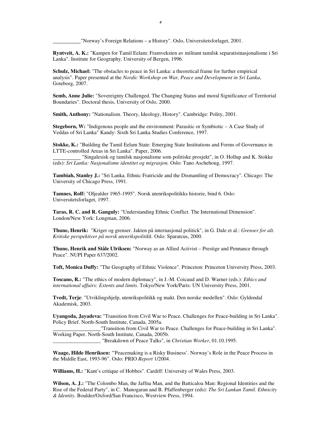"Norway's Foreign Relations – a History". Oslo, Universitetsforlaget, 2001.

**Ryntveit, A. K.:** "Kampen for Tamil Eelam: Framveksten av militant tamilsk separatistnasjonalisme i Sri Lanka". Institute for Geography, University of Bergen, 1996.

**Schulz, Michael:** "The obstacles to peace in Sri Lanka: a theoretical frame for further empirical analysis". Paper presented at the *Nordic Workshop on War, Peace and Development in Sri Lanka*, Goteborg, 2007.

**Semb, Anne Julie:** "Sovereignty Challenged. The Changing Status and moral Significance of Territorial Boundaries". Doctoral thesis, University of Oslo, 2000.

**Smith, Anthony:** "Nationalism. Theory, Ideology, History". Cambridge: Polity, 2001.

**Stegeborn, W:** "Indigenous people and the environment: Parasitic or Symbiotic – A Case Study of Veddas of Sri Lanka" Kandy: Sixth Sri Lanka Studies Conference, 1997.

**Stokke, K.:** "Building the Tamil Eelam State: Emerging State Institutions and Forms of Governance in LTTE-controlled Areas in Sri Lanka". Paper, 2006.

 "Singalesisk og tamilsk nasjonalisme som politiske prosjekt", in O. Hollup and K. Stokke (eds): *Sri Lanka: Nasjonalisme identitet og migrasjon.* Oslo: Tano Aschehoug, 1997.

**Tambiah, Stanley J.:** "Sri Lanka. Ethnic Fratricide and the Dismantling of Democracy". Chicago: The University of Chicago Press, 1991.

**Tamnes, Rolf:** "Oljealder 1965-1995". Norsk utenrikspolitikks historie, bind 6. Oslo: Universitetsforlaget, 1997.

**Taras, R. C. and R. Ganguly:** "Understanding Ethnic Conflict. The International Dimension". London/New York: Longman, 2006.

**Thune, Henrik:** "Kriger og grenser. Jakten på internasjonal politick", in G. Dale et al.: *Grenser for alt. Kritiske perspektiver på norsk utenrikspolitikk.* Oslo: Sparatcus, 2000.

**Thune, Henrik and Ståle Ulriksen:** "Norway as an Allied Activist – Prestige and Pennance through Peace". NUPI Paper 637/2002.

**Toft, Monica Duffy:** "The Geography of Ethnic Violence". Princeton: Princeton University Press, 2003.

**Toscano, R.:** "The ethics of modern diplomacy", in J.-M. Coicaud and D. Warner (eds.): *Ethics and international affairs: Extents and limits*. Tokyo/New York/Paris: UN University Press, 2001.

**Tvedt, Terje**: "Utviklingshjelp, utenrikspolitikk og makt. Den norske modellen". Oslo: Gyldendal Akademisk, 2003.

**Uyangoda, Jayadeva:** "Transition from Civil War to Peace. Challenges for Peace-building in Sri Lanka". Policy Brief. North-South Institute, Canada, 2005a.

 "Transition from Civil War to Peace. Challenges for Peace-building in Sri Lanka". Working Paper. North-South Institute, Canada, 2005b.

\_\_\_\_\_\_\_\_\_\_\_\_\_\_\_\_\_\_ "Breakdown of Peace Talks", in *Christian Worker*, 01.10.1995.

**Waage, Hilde Henriksen:** "'Peacemaking is a Risky Business'. Norway's Role in the Peace Process in the Middle East, 1993-96". Oslo: PRIO *Report* 1/2004.

**Williams, H.:** "Kant's critique of Hobbes". Cardiff: University of Wales Press, 2003.

**Wilson, A. J.:** "The Colombo Man, the Jaffna Man, and the Batticaloa Man: Regional Identities and the Rise of the Federal Party", in C. Manogaran and B. Pfaffenberger (eds): *The Sri Lankan Tamil. Ethnicity & Identity.* Boulder/Oxford/San Francisco, Westview Press, 1994.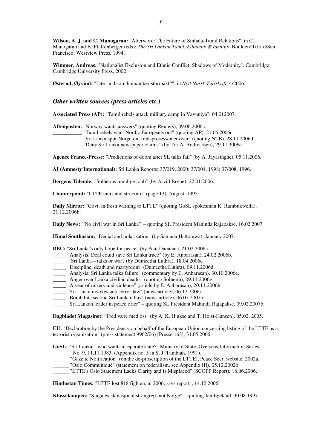**Wilson, A. J. and C. Manogaran:** "Afterword: The Future of Sinhala-Tamil Relations", in C. Manogaran and B. Pfaffenberger (eds): *The Sri Lankan Tamil. Ethnicity & Identity*. Boulder/Oxford/San Francisco: Westview Press, 1994.

**Wimmer, Andreas:** "Nationalist Exclusion and Ethnic Conflict. Shadows of Modernity". Cambridge: Cambridge University Press, 2002.

**Østerud, Øyvind:** "Lite land som humanitær stormakt?", in *Nytt Norsk Tidsskrift*, 4/2006.

### *Other written sources (press articles etc.)*

**Associated Press (AP):** "Tamil rebels attack military camp in Vavuniya", 04.012007.

**Aftenposten:** "Norway wants answers" (quoting Reuters), 09.06.2006a.

"Tamil rebels want Nordic Europeans out" (quoting AP), 21.06.2006c.

"Sri Lanka spør Norge om fredsprosessen er over" (quoting NTB), 28.11.2006d.

<sup>1</sup> "Deny Sri Lanka newspaper claims" (by Tor A. Andreassen), 29.11.2006e.

**Agence France-Presse:** "Predictions of doom after SL talks fail" (by A. Jayasinghe), 05.11.2006.

**AI (Amnesty International):** Sri Lanka Reports: 37/019, 2000; 37/004, 1998; 37/008, 1996.

**Bergens Tidende:** "Solheims umulige jobb" (by Arvid Bryne), 22.01.2006.

**Counterpoint:** "LTTE units and structure" (page 13), August, 1995.

**Daily Mirror:** "Govt. in fresh warning to LTTE" (quoting GoSL spokesman K. Rambukwella), 21.12.2006b.

**Daily News:** "'No civil war in Sri Lanka'" – quoting SL President Mahinda Rajapakse, 16.02.2007.

**Himal Southasian:** "Denial and polarisation" (by Sanjana Hattotuwa), January 2007.

**BBC:** "Sri Lanka's only hope for peace" (by Paul Danahar), 21.02.2006a.

- \_\_\_\_\_ "Analysis: Deal could save Sri Lanka truce" (by E. Anbarasan), 24.02.2006b.
- " Sri Lanka talks or war? (by Dumeetha Luthra), 18.04.2006c.
- \_\_\_\_\_ "Discipline, death and martyrdom" (Dumeetha Luthra), 09.11.2006d.
- \_\_\_\_\_ "Analysis: Sri Lanka talks failure" (commentary by E. Anbarasan), 30.10.2006e.
- **\_\_\_\_\_** "Anger over Lanka civilian deaths" (quoting Solheim), 09.11.2006g.
- $\frac{1}{2}$ "A year of misery and violence" (article by E. Anbarasan), 20.11.2006h
- \_\_\_\_\_ "Sri Lanka invokes anti-terror law" (news article), 06.12.2006i.
- \_\_\_\_\_ "Bomb hits second Sri Lankan bus" (news article), 06.07.2007a.

**\_\_\_\_\_** "Sri Lankan leader in peace offer" – quoting SL President Mahinda Rajapakse, 09.02.2007b.

**Dagbladet Magasinet:** "Fred være med oss" (by A. K. Hjukse and T. Holst-Hansen), 05.02. 2005.

**EU:** "Declaration by the Presidency on behalf of the European Union concerning listing of the LTTE as a terrorist organisation" (press statement 9962/06) [Presse 163], 31.05.2006.

**GoSL:** "Sri Lanka – who wants a separate state?" Ministry of State, Overseas Information Series, No. 9, 11.11.1983. (Appendix no. 5 in S. J. Tambiah, 1991).

"Gazette Notification" (on the de-proscription of the LTTE), Peace Secr. website, 2002a.

"Oslo Communiqué" (statement on federalism, see Appendix III), 05.12.2002b.

\_\_\_\_\_\_ "LTTE's Oslo Statement Lacks Clarity and is Misplaced" (SCOPP Report), 18.06.2006.

**Hindustan Times:** "LTTE lost 818 fighters in 2006, says report", 14.12.2006.

**Klassekampen:** "Singalesisk nasjonalist-angrep mot Norge" – quoting Jan Egeland. 30.08.1997.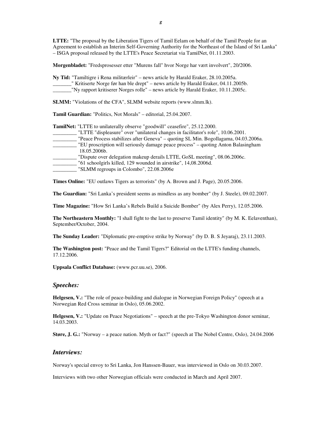**LTTE:** "The proposal by the Liberation Tigers of Tamil Eelam on behalf of the Tamil People for an Agreement to establish an Interim Self-Governing Authority for the Northeast of the Island of Sri Lanka" – ISGA proposal released by the LTTE's Peace Secretariat via TamilNet, 01.11.2003.

**Morgenbladet:** "Fredsprosesser etter "Murens fall" hvor Norge har vært involvert", 20/2006.

**Ny Tid:** "Tamiltigre i Rena militærleir" – news article by Harald Eraker, 28.10.2005a. Kritiserte Norge før han ble drept" – news article by Harald Eraker, 04.11.2005b. \_\_\_\_\_\_\_"Ny rapport kritiserer Norges rolle" – news article by Harald Eraker, 10.11.2005c.

**SLMM:** "Violations of the CFA", SLMM website reports (www.slmm.lk).

**Tamil Guardian:** "Politics, Not Morals" – editorial, 25.04.2007.

**TamilNet:** "LTTE to unilaterally observe "goodwill" ceasefire", 25.12.2000. \_\_\_\_\_\_\_\_\_ "LTTE "displeasure" over "unilateral changes in facilitator's role", 10.06.2001. "Peace Process stabilizes after Geneva" – quoting SL Min. Bogollagama, 04.03.2006a. \_\_\_\_\_\_\_\_\_ "EU proscription will seriously damage peace process" – quoting Anton Balasingham 18.05.2006b. \_\_\_\_\_\_\_\_\_ "Dispute over delegation makeup derails LTTE, GoSL meeting", 08.06.2006c. \_\_\_\_\_\_\_\_\_ "61 schoolgirls killed, 129 wounded in airstrike", 14,08.2006d. \_\_\_\_\_\_\_\_\_ "SLMM regroups in Colombo", 22.08.2006e

**Times Online:** "EU outlaws Tigers as terrorists" (by A. Brown and J. Page), 20.05.2006.

**The Guardian:** "Sri Lanka's president seems as mindless as any bomber" (by J. Steele), 09.02.2007.

**Time Magazine:** "How Sri Lanka's Rebels Build a Suicide Bomber" (by Alex Perry), 12.05.2006.

**The Northeastern Monthly:** "I shall fight to the last to preserve Tamil identity" (by M. K. Eelaventhan), September/October, 2004.

**The Sunday Leader:** "Diplomatic pre-emptive strike by Norway" (by D. B. S Jeyaraj), 23.11.2003.

**The Washington post:** "Peace and the Tamil Tigers?" Editorial on the LTTE's funding channels, 17.12.2006.

**Uppsala Conflict Database:** (www.pcr.uu.se), 2006.

### *Speeches:*

**Helgesen, V.:** "The role of peace-building and dialogue in Norwegian Foreign Policy" (speech at a Norwegian Red Cross seminar in Oslo), 05.06.2002.

**Helgesen, V.:** "Update on Peace Negotiations" – speech at the pre-Tokyo Washington donor seminar, 14.03.2003.

**Støre, J. G.:** "Norway – a peace nation. Myth or fact?" (speech at The Nobel Centre, Oslo), 24.04.2006

### *Interviews:*

Norway's special envoy to Sri Lanka, Jon Hanssen-Bauer, was interviewed in Oslo on 30.03.2007.

Interviews with two other Norwegian officials were conducted in March and April 2007.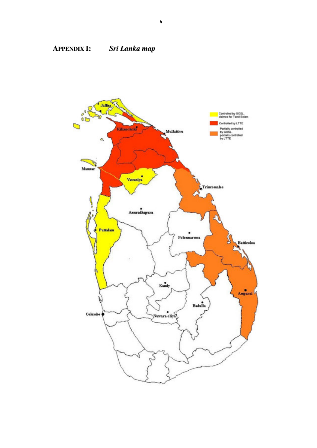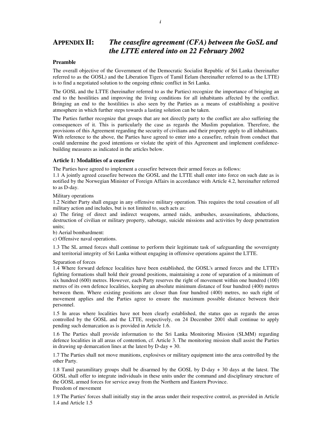## **APPENDIX II:** *The ceasefire agreement (CFA) between the GoSL and the LTTE entered into on 22 February 2002*

### **Preamble**

The overall objective of the Government of the Democratic Socialist Republic of Sri Lanka (hereinafter referred to as the GOSL) and the Liberation Tigers of Tamil Eelam (hereinafter referred to as the LTTE) is to find a negotiated solution to the ongoing ethnic conflict in Sri Lanka.

The GOSL and the LTTE (hereinafter referred to as the Parties) recognize the importance of bringing an end to the hostilities and improving the living conditions for all inhabitants affected by the conflict. Bringing an end to the hostilities is also seen by the Parties as a means of establishing a positive atmosphere in which further steps towards a lasting solution can be taken.

The Parties further recognize that groups that are not directly party to the conflict are also suffering the consequences of it. This is particularly the case as regards the Muslim population. Therefore, the provisions of this Agreement regarding the security of civilians and their property apply to all inhabitants. With reference to the above, the Parties have agreed to enter into a ceasefire, refrain from conduct that could undermine the good intentions or violate the spirit of this Agreement and implement confidencebuilding measures as indicated in the articles below.

### **Article 1: Modalities of a ceasefire**

The Parties have agreed to implement a ceasefire between their armed forces as follows:

1.1 A jointly agreed ceasefire between the GOSL and the LTTE shall enter into force on such date as is notified by the Norwegian Minister of Foreign Affairs in accordance with Article 4.2, hereinafter referred to as D-day.

Military operations

1.2 Neither Party shall engage in any offensive military operation. This requires the total cessation of all military action and includes, but is not limited to, such acts as:

a) The firing of direct and indirect weapons, armed raids, ambushes, assassinations, abductions, destruction of civilian or military property, sabotage, suicide missions and activities by deep penetration units;

b) Aerial bombardment:

c) Offensive naval operations.

1.3 The SL armed forces shall continue to perform their legitimate task of safeguarding the sovereignty and territorial integrity of Sri Lanka without engaging in offensive operations against the LTTE.

### Separation of forces

1.4 Where forward defence localities have been established, the GOSL's armed forces and the LTTE's fighting formations shall hold their ground positions, maintaining a zone of separation of a minimum of six hundred (600) metres. However, each Party reserves the right of movement within one hundred (100) metres of its own defence localities, keeping an absolute minimum distance of four hundred (400) metres between them. Where existing positions are closer than four hundred (400) metres, no such right of movement applies and the Parties agree to ensure the maximum possible distance between their personnel.

1.5 In areas where localities have not been clearly established, the status quo as regards the areas controlled by the GOSL and the LTTE, respectively, on 24 December 2001 shall continue to apply pending such demarcation as is provided in Article 1.6.

1.6 The Parties shall provide information to the Sri Lanka Monitoring Mission (SLMM) regarding defence localities in all areas of contention, cf. Article 3. The monitoring mission shall assist the Parties in drawing up demarcation lines at the latest by D-day + 30.

1.7 The Parties shall not move munitions, explosives or military equipment into the area controlled by the other Party.

1.8 Tamil paramilitary groups shall be disarmed by the GOSL by D-day + 30 days at the latest. The GOSL shall offer to integrate individuals in these units under the command and disciplinary structure of the GOSL armed forces for service away from the Northern and Eastern Province. Freedom of movement

1.9 The Parties' forces shall initially stay in the areas under their respective control, as provided in Article 1.4 and Article 1.5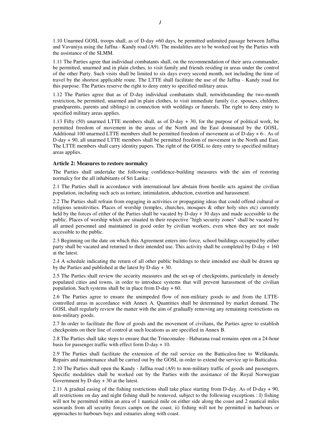1.10 Unarmed GOSL troops shall, as of D-day +60 days, be permitted unlimited passage between Jaffna and Vavuniya using the Jaffna - Kandy road (A9). The modalities are to be worked out by the Parties with the assistance of the SLMM.

1.11 The Parties agree that individual combatants shall, on the recommendation of their area commander, be permitted, unarmed and in plain clothes, to visit family and friends residing in areas under the control of the other Party. Such visits shall be limited to six days every second month, not including the time of travel by the shortest applicable route. The LTTE shall facilitate the use of the Jaffna - Kandy road for this purpose. The Parties reserve the right to deny entry to specified military areas.

1.12 The Parties agree that as of D-day individual combatants shall, notwithstanding the two-month restriction, be permitted, unarmed and in plain clothes, to visit immediate family (i.e. spouses, children, grandparents, parents and siblings) in connection with weddings or funerals. The right to deny entry to specified military areas applies.

1.13 Fifty (50) unarmed LTTE members shall, as of D-day + 30, for the purpose of political work, be permitted freedom of movement in the areas of the North and the East dominated by the GOSL. Additional 100 unarmed LTTE members shall be permitted freedom of movement as of D-day + 6-. As of D-day + 90, all unarmed LTTE members shall be permitted freedom of movement in the North and East. The LTTE members shall carry identity papers. The right of the GOSL to deny entry to specified military areas applies.

### **Article 2: Measures to restore normalcy**

The Parties shall undertake the following confidence-building measures with the aim of restoring normalcy for the all inhabitants of Sri Lanka :

2.1 The Parties shall in accordance with international law abstain from hostile acts against the civilian population, including such acts as torture, intimidation, abduction, extortion and harassment.

2.2 The Parties shall refrain from engaging in activities or propagating ideas that could offend cultural or religious sensitivities. Places of worship (temples, churches, mosques & other holy sites etc) currently held by the forces of either of the Parties shall be vacated by D-day + 30 days and made accessible to the public. Places of worship which are situated in their respective "high security zones" shall be vacated by all armed personnel and maintained in good order by civilian workers, even when they are not made accessible to the public.

2.3 Beginning on the date on which this Agreement enters into force, school buildings occupied by either party shall be vacated and returned to their intended use. This activity shall be completed by D-day + 160 at the latest.

2.4 A schedule indicating the return of all other public buildings to their intended use shall be drawn up by the Parties and published at the latest by D-day + 30.

2.5 The Parties shall review the security measures and the set-up of checkpoints, particularly in densely populated cities and towns, in order to introduce systems that will prevent harassment of the civilian population. Such systems shall be in place from D-day + 60.

2.6 The Parties agree to ensure the unimpeded flow of non-military goods to and from the LTTEcontrolled areas in accordance with Annex A. Quantities shall be determined by market demand. The GOSL shall regularly review the matter with the aim of gradually removing any remaining restrictions on non-military goods.

2.7 In order to facilitate the flow of goods and the movement of civilians, the Parties agree to establish checkpoints on their line of control at such locations as are specified in Annex B.

2.8 The Parties shall take steps to ensure that the Trincomalee - Habarana road remains open on a 24-hour basis for passenger traffic with effect form D-day + 10.

2.9 The Parties shall facilitate the extension of the rail service on the Batticaloa-line to Welikanda. Repairs and maintenance shall be carried out by the GOSL in order to extend the service up to Batticaloa.

2.10 The Parties shall open the Kandy - Jaffna road (A9) to non-military traffic of goods and passengers. Specific modalities shall be worked out by the Parties with the assistance of the Royal Norwegian Government by D-day + 30 at the latest.

2.11 A gradual easing of the fishing restrictions shall take place starting from D-day. As of D-day + 90, all restrictions on day and night fishing shall be removed, subject to the following exceptions : I) fishing will not be permitted within an area of 1 nautical mile on either side along the coast and 2 nautical miles seawards from all security forces camps on the coast; ii) fishing will not be permitted in harbours or approaches to harbours bays and estuaries along with coast.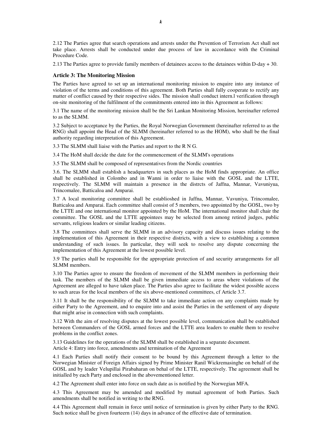2.12 The Parties agree that search operations and arrests under the Prevention of Terrorism Act shall not take place. Arrests shall be conducted under due process of law in accordance with the Criminal Procedure Code.

2.13 The Parties agree to provide family members of detainees access to the detainees within D-day + 30.

#### **Article 3: The Monitoring Mission**

The Parties have agreed to set up an international monitoring mission to enquire into any instance of violation of the terms and conditions of this agreement. Both Parties shall fully cooperate to rectify any matter of conflict caused by their respective sides. The mission shall conduct intern.l verification through on-site monitoring of the fulfilment of the commitments entered into in this Agreement as follows:

3.1 The name of the monitoring mission shall be the Sri Lankan Monitoring Mission, hereinafter referred to as the SLMM.

3.2 Subject to acceptance by the Parties, the Royal Norwegian Government (hereinafter referred to as the RNG) shall appoint the Head of the SLMM (hereinafter referred to as the HOM), who shall be the final authority regarding interpretation of this Agreement.

3.3 The SLMM shall liaise with the Parties and report to the R N G.

3.4 The HoM shall decide the date for the commencement of the SLMM's operations

3.5 The SLMM shall be composed of representatives from the Nordic countries

3.6. The SLMM shall establish a headquarters in such places as the HoM finds appropriate. An office shall be established in Colombo and in Wanni in order to liaise with the GOSL and the LTTE, respectively. The SLMM will maintain a presence in the distrcts of Jaffna, Mannar, Vavuniyua, Trincomalee, Batticaloa and Amparai.

3.7 A local monitoring committee shall be establioshed in Jaffna, Mannar, Vavuniya, Trincomalee, Batticaloa and Amparai. Each committee shall consist of 5 members, two appointed by the GOSL, two by the LTTE and one international monitor appointed by the HoM. The international monitor shall chair the committee. The GOSL and the LTTE appointees may be selected from among retired judges, public servants, religious leaders or similar leading citizens.

3.8 The committees shall serve the SLMM in an advisory capacity and discuss issues relating to the implementation of this Agreement in their respective districts, with a view to establishing a common understanding of such issues. In particular, they will seek to resolve any dispute concerning the implementation of this Agreement at the lowest possible level.

3.9 The parties shall be responsible for the appropriate protection of and security arrangements for all SLMM members.

3.10 The Parties agree to ensure the freedom of movement of the SLMM members in performing their task. The members of the SLMM shall be given immediate access to areas where violations of the Agreement are alleged to have taken place. The Parties also agree to facilitate the widest possible access to such areas for the local members of the six above-mentioned committees, cf Article 3.7.

3.11 It shall be the responsibility of the SLMM to take immediate action on any complaints made by either Party to the Agreement, and to enquire into and assist the Parties in the settlement of any dispute that might arise in connection with such complaints.

3.12 With the aim of resolving disputes at the lowest possible level, communication shall be established between Commanders of the GOSL armed forces and the LTTE area leaders to enable them to resolve problems in the conflict zones.

3.13 Guidelines for the operations of the SLMM shall be established in a separate document. Article 4: Entry into force, amendments and termination of the Agreement

4.1 Each Parties shall notify their consent to be bound by this Agreement through a letter to the Norwegian Minister of Foreign Affairs signed by Prime Minister Ranil Wickremasinghe on behalf of the GOSL and by leader Velupillai Pirabaharan on behal of the LTTE, respectively. The agreement shall be initialled by each Party and enclosed in the abovementioned letter.

4.2 The Agreement shall enter into force on such date as is notified by the Norwegian MFA.

4.3 This Agreement may be amended and modified by mutual agreement of both Parties. Such amendments shall be notified in writing to the RNG.

4.4 This Agreement shall remain in force until notice of termination is given by either Party to the RNG. Such notice shall be given fourteern (14) days in advance of the effective date of termination.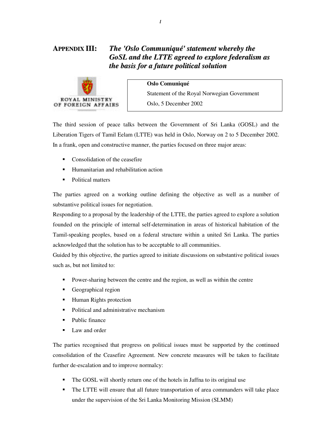# **APPENDIX III:** *The 'Oslo Communiqué' statement whereby the GoSL and the LTTE agreed to explore federalism as the basis for a future political solution*



**Oslo Comuniqué**  Statement of the Royal Norwegian Government Oslo, 5 December 2002

The third session of peace talks between the Government of Sri Lanka (GOSL) and the Liberation Tigers of Tamil Eelam (LTTE) was held in Oslo, Norway on 2 to 5 December 2002. In a frank, open and constructive manner, the parties focused on three major areas:

- Consolidation of the ceasefire
- Humanitarian and rehabilitation action
- Political matters

The parties agreed on a working outline defining the objective as well as a number of substantive political issues for negotiation.

Responding to a proposal by the leadership of the LTTE, the parties agreed to explore a solution founded on the principle of internal self-determination in areas of historical habitation of the Tamil-speaking peoples, based on a federal structure within a united Sri Lanka. The parties acknowledged that the solution has to be acceptable to all communities.

Guided by this objective, the parties agreed to initiate discussions on substantive political issues such as, but not limited to:

- Power-sharing between the centre and the region, as well as within the centre
- **Geographical region**
- Human Rights protection
- Political and administrative mechanism
- Public finance
- Law and order

The parties recognised that progress on political issues must be supported by the continued consolidation of the Ceasefire Agreement. New concrete measures will be taken to facilitate further de-escalation and to improve normalcy:

- The GOSL will shortly return one of the hotels in Jaffna to its original use
- The LTTE will ensure that all future transportation of area commanders will take place under the supervision of the Sri Lanka Monitoring Mission (SLMM)